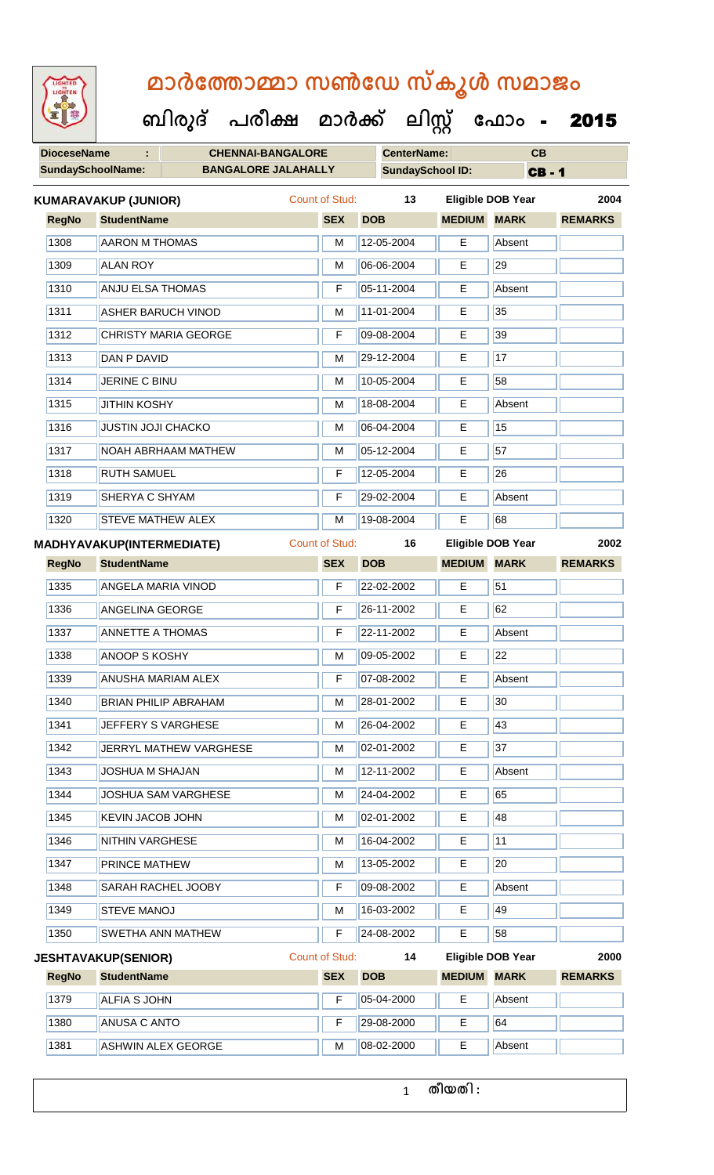**DioceseName : CHENNAI-BANGALORE CenterName: CB** SundaySchoolName: **BANGALORE JALAHALLY SundaySchool ID:** CB - 1  **ബിരുദ് പരീക്ഷ മാര്ക് ക ലിസ്റ്റ ക ഫ ാോം** - 2015 **RegNo StudentName SEX DOB MEDIUM MARK REMARKS KUMARAVAKUP (JUNIOR)** Count of Stud: **13 Eligible DOB Year 2004** 1308 AARON M THOMAS NO 2004 | M 12-05-2004 | E Absent 1309 ALAN ROY M 06-06-2004 E 29 |1310 || ANJU ELSA THOMAS || F || F || 05-11-2004 || E || Absent 1311 ASHER BARUCH VINOD M 11-01-2004 E 35 1312 CHRISTY MARIA GEORGE F 09-08-2004 E 39 1313 DAN P DAVID M 29-12-2004 E 17 1314 JERINE C BINU M 10-05-2004 E 58 1315 JJITHIN KOSHY M 18-08-2004 E Absent 1316 JUSTIN JOJI CHACKO M 06-04-2004 E 15 1317 NOAH ABRHAAM MATHEW M 05-12-2004 E 57 1318 RUTH SAMUEL **F** 12-05-2004 E 26 1319 SHERYA C SHYAM **F 29-02-2004** E Absent 1320 STEVE MATHEW ALEX M M 19-08-2004 E 68 **RegNo StudentName SEX DOB MEDIUM MARK REMARKS MADHYAVAKUP(INTERMEDIATE)** Count of Stud: **16 Eligible DOB Year 2002** 1335 ANGELA MARIA VINOD **F** 22-02-2002 **F** 51 1336 ANGELINA GEORGE **F 26-11-2002** E 62 1337 ANNETTE A THOMAS F 22-11-2002 E Absent 1338 ANOOP S KOSHY M 09-05-2002 E 22 1339 ANUSHA MARIAM ALEX F 07-08-2002 E Absent 1340 BRIAN PHILIP ABRAHAM M M 28-01-2002 E 30 1341 JEFFERY S VARGHESE M M 26-04-2002 E 43 1342 JERRYL MATHEW VARGHESE M M 02-01-2002 E 37 1343 JOSHUA M SHAJAN M 12-11-2002 E Absent 1344 JJOSHUA SAM VARGHESE M M 24-04-2002 E 65 1345 KEVIN JACOB JOHN M 02-01-2002 E 48 1346 NITHIN VARGHESE **M** 16-04-2002 **E** 11 1347 PRINCE MATHEW M 13-05-2002 E 20 1348 SARAH RACHEL JOOBY F 09-08-2002 E Absent 1349 STEVE MANOJ M 16-03-2002 E 49 1350 SWETHA ANN MATHEW **F 24-08-2002** E 58 **RegNo StudentName SEX DOB MEDIUM MARK REMARKS JESHTAVAKUP(SENIOR)** Count of Stud: **14 Eligible DOB Year 2000** 1379 ALFIA S JOHN F 05-04-2000 E Absent 1380 ANUSA CANTO F 29-08-2000 E 64 1381 ASHWIN ALEX GEORGE M 08-02-2000 E Absent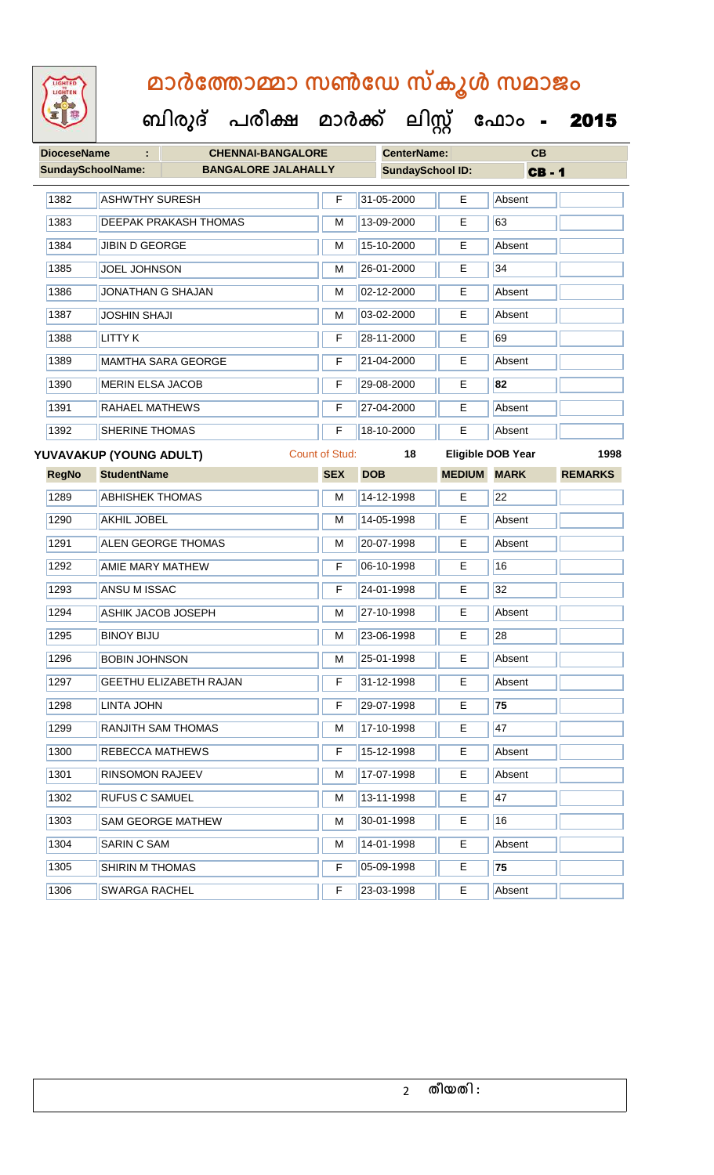

#### **ബിരുദ് പരീക്ഷ മാര്ക്**

**ക ലിസ്റ്റ**

**ക ഫ ാോം** - 2015

**DioceseName : CHENNAI-BANGALORE CenterName: CB** SundaySchoolName: **BANGALORE JALAHALLY SundaySchool ID:** CB - 1 1382 ASHWTHY SURESH F 31-05-2000 E Absent 1383 DEEPAK PRAKASH THOMAS M 13-09-2000 E 63 1384 JJIBIN D GEORGE M 15-10-2000 E Absent 1385 JOEL JOHNSON M 26-01-2000 E 34 1386 JONATHAN G SHAJAN M 102-12-2000 E Absent 1387 JOSHIN SHAJI M 03-02-2000 E Absent 1388 LITTY K F 28-11-2000 E 69 1389 MAMTHA SARA GEORGE F 21-04-2000 E Absent 1390 MERIN ELSA JACOB F 29-08-2000 E **82** 1391 RAHAEL MATHEWS F 27-04-2000 E Absent 1392 SHERINE THOMAS **F 18-10-2000** E Absent **RegNo StudentName SEX DOB MEDIUM MARK REMARKS YUVAVAKUP (YOUNG ADULT)** Count of Stud: **18 Eligible DOB Year 1998** 1289 ABHISHEK THOMAS M M 14-12-1998 E 22 1290 AKHIL JOBEL M 14-05-1998 E Absent 1291 ALEN GEORGE THOMAS M 20-07-1998 E Absent 1292 AMIE MARY MATHEW **F** 06-10-1998 E 16 1293 **ANSU M ISSAC F 24-01-1998 E** 32 1294 ASHIK JACOB JOSEPH M 27-10-1998 E Absent 1295 BINOY BIJU M 23-06-1998 E 28 1296 BOBIN JOHNSON M 25-01-1998 E Absent 1297 GEETHU ELIZABETH RAJAN F 31-12-1998 E Absent 1298 LINTA JOHN F 29-07-1998 E **75** 1299 RANJITH SAM THOMAS M 17-10-1998 E 47 1300 REBECCA MATHEWS **F 15-12-1998** E Absent 1301 RINSOMON RAJEEV M 17-07-1998 E Absent

1302 RUFUS C SAMUEL M 13-11-1998 E 47 1303 SAM GEORGE MATHEW M M 30-01-1998 E 16

1305 SHIRIN M THOMAS F 05-09-1998 E **75**

1304 SARIN C SAM M 14-01-1998 E Absent

1306 SWARGA RACHEL F 23-03-1998 E Absent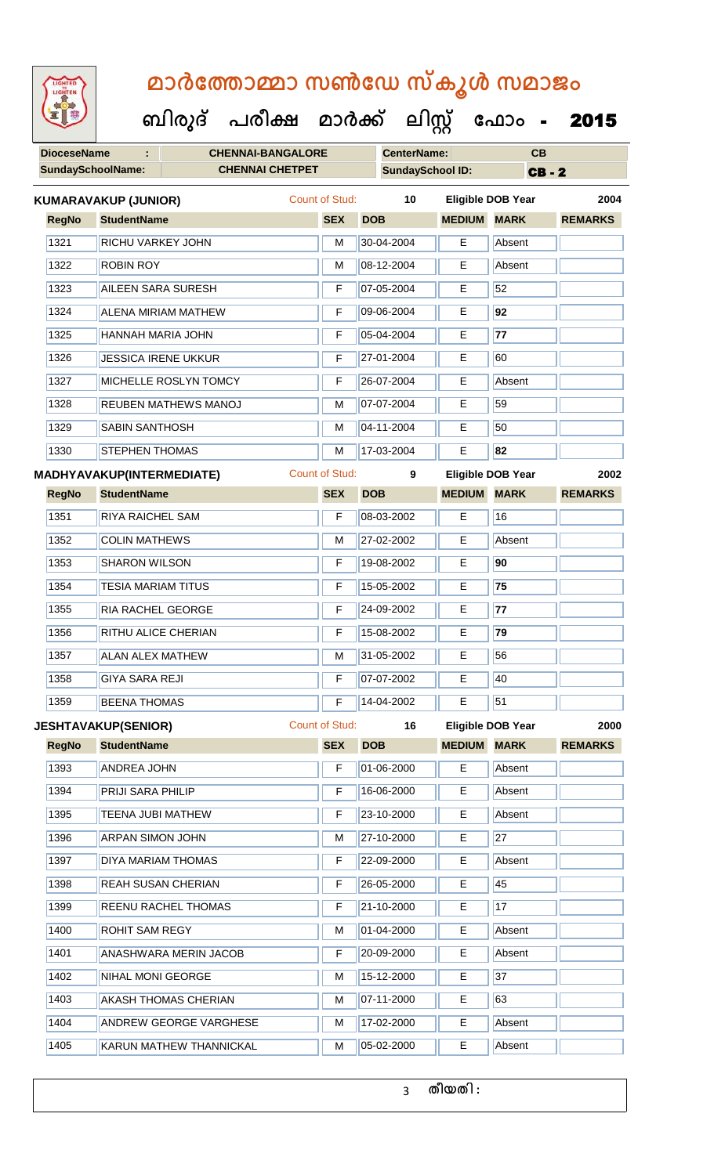|  | <b>IGHTED</b> |  |
|--|---------------|--|
|  |               |  |
|  |               |  |
|  |               |  |
|  |               |  |

 **ബിരുദ് പരീക്ഷ മാര്ക് ക ലിസ്റ്റ ക ഫ ാോം** - 2015

| <b>DioceseName</b> | ÷                                | <b>CHENNAI-BANGALORE</b>    |                       |            | <b>CenterName:</b>      |                    | CB                       |                |  |
|--------------------|----------------------------------|-----------------------------|-----------------------|------------|-------------------------|--------------------|--------------------------|----------------|--|
| SundaySchoolName:  |                                  | <b>CHENNAI CHETPET</b>      |                       |            | <b>SundaySchool ID:</b> |                    | <b>CB-2</b>              |                |  |
|                    | <b>KUMARAVAKUP (JUNIOR)</b>      |                             | Count of Stud:        |            | 10                      |                    | <b>Eligible DOB Year</b> | 2004           |  |
| <b>RegNo</b>       | <b>StudentName</b>               |                             | <b>SEX</b>            | <b>DOB</b> |                         | <b>MEDIUM MARK</b> |                          | <b>REMARKS</b> |  |
| 1321               | RICHU VARKEY JOHN                |                             | м                     |            | 30-04-2004              | E                  | Absent                   |                |  |
| 1322               | <b>ROBIN ROY</b>                 |                             | M                     |            | 08-12-2004              | E                  | Absent                   |                |  |
| 1323               | <b>AILEEN SARA SURESH</b>        |                             | F                     |            | 07-05-2004              | Е                  | 52                       |                |  |
| 1324               |                                  | <b>ALENA MIRIAM MATHEW</b>  | F                     |            | 09-06-2004              | E                  | 92                       |                |  |
| 1325               | HANNAH MARIA JOHN                |                             | F                     |            | 05-04-2004              | E                  | 77                       |                |  |
| 1326               |                                  | <b>JESSICA IRENE UKKUR</b>  | F                     |            | 27-01-2004              | E                  | 60                       |                |  |
| 1327               |                                  | MICHELLE ROSLYN TOMCY       | F                     |            | 26-07-2004              | Е                  | Absent                   |                |  |
| 1328               |                                  | <b>REUBEN MATHEWS MANOJ</b> | M                     |            | 07-07-2004              | Е                  | 59                       |                |  |
| 1329               | <b>SABIN SANTHOSH</b>            |                             | M                     |            | 04-11-2004              | Е                  | 50                       |                |  |
| 1330               | <b>STEPHEN THOMAS</b>            |                             | M                     |            | 17-03-2004              | E                  | 82                       |                |  |
|                    | <b>MADHYAVAKUP(INTERMEDIATE)</b> |                             | <b>Count of Stud:</b> |            | 9                       |                    | <b>Eligible DOB Year</b> | 2002           |  |
| <b>RegNo</b>       | <b>StudentName</b>               |                             | <b>SEX</b>            | <b>DOB</b> |                         | <b>MEDIUM</b>      | <b>MARK</b>              | <b>REMARKS</b> |  |
| 1351               | <b>RIYA RAICHEL SAM</b>          |                             | F                     |            | 08-03-2002              | E                  | 16                       |                |  |
| 1352               | <b>COLIN MATHEWS</b>             |                             | M                     |            | 27-02-2002              | Е                  | Absent                   |                |  |
| 1353               | <b>SHARON WILSON</b>             |                             | F                     |            | 19-08-2002              | E                  | 90                       |                |  |
| 1354               | <b>TESIA MARIAM TITUS</b>        |                             | F                     |            | 15-05-2002              | E                  | 75                       |                |  |
| 1355               | RIA RACHEL GEORGE                |                             | F                     |            | 24-09-2002              | E                  | 77                       |                |  |
| 1356               | RITHU ALICE CHERIAN              |                             | F                     |            | 15-08-2002              | E                  | 79                       |                |  |
| 1357               | <b>ALAN ALEX MATHEW</b>          |                             | М                     |            | 31-05-2002              | Е                  | 56                       |                |  |
| 1358               | <b>GIYA SARA REJI</b>            |                             | F                     |            | 07-07-2002              | Е                  | 40                       |                |  |
| 1359               | <b>BEENA THOMAS</b>              |                             | F                     |            | 14-04-2002              | E                  | 51                       |                |  |
|                    | <b>JESHTAVAKUP(SENIOR)</b>       |                             | <b>Count of Stud:</b> |            | 16                      |                    | <b>Eligible DOB Year</b> | 2000           |  |
| <b>RegNo</b>       | <b>StudentName</b>               |                             | <b>SEX</b>            | <b>DOB</b> |                         | <b>MEDIUM</b>      | <b>MARK</b>              | <b>REMARKS</b> |  |
| 1393               | <b>ANDREA JOHN</b>               |                             | F                     |            | 01-06-2000              | E                  | Absent                   |                |  |
| 1394               | PRIJI SARA PHILIP                |                             | F                     |            | 16-06-2000              | E                  | Absent                   |                |  |
| 1395               | TEENA JUBI MATHEW                |                             | F                     |            | 23-10-2000              | E                  | Absent                   |                |  |
| 1396               | <b>ARPAN SIMON JOHN</b>          |                             | M                     |            | 27-10-2000              | E                  | $\overline{27}$          |                |  |
| 1397               |                                  | DIYA MARIAM THOMAS          | F                     |            | 22-09-2000              | E                  | Absent                   |                |  |
| 1398               |                                  | REAH SUSAN CHERIAN          | F                     |            | 26-05-2000              | E                  | 45                       |                |  |

| 1398 | <b>REAH SUSAN CHERIAN</b>      | F | $ 26-05-2000 $     | E  | 45     |
|------|--------------------------------|---|--------------------|----|--------|
| 1399 | <b>REENU RACHEL THOMAS</b>     | F | $ 21 - 10 - 2000 $ | Е  | 17     |
| 1400 | <b>ROHIT SAM REGY</b>          | M | 01-04-2000         | E  | Absent |
| 1401 | ANASHWARA MERIN JACOB          | F | 20-09-2000         | E. | Absent |
| 1402 | NIHAL MONI GEORGE              | M | 15-12-2000         | Ε  | 37     |
| 1403 | AKASH THOMAS CHERIAN           | M | $ 07-11-2000 $     | E  | 63     |
| 1404 | <b>ANDREW GEORGE VARGHESE</b>  | M | 17-02-2000         | E  | Absent |
| 1405 | <b>KARUN MATHEW THANNICKAL</b> | M | 05-02-2000         | Е  | Absent |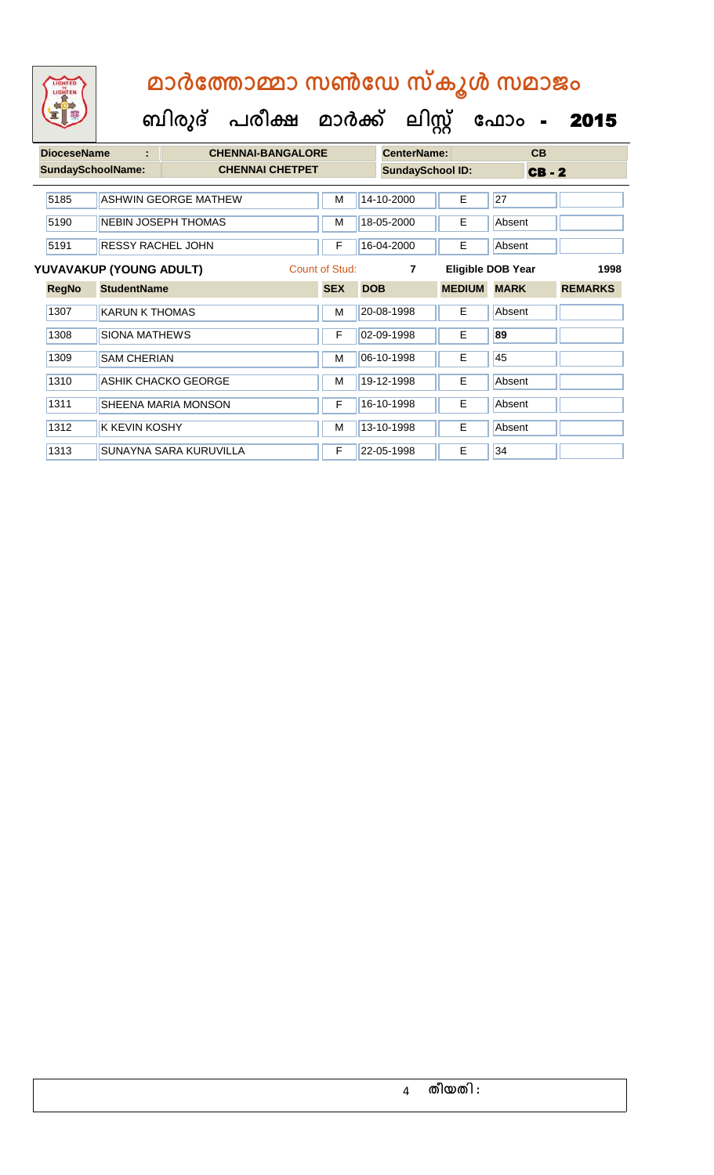**ബിരുദ് പരീക്ഷ മാര്ക് ക ലിസ്റ്റ ക ഫ ാോം** - 2015

| <b>DioceseName</b>       | t                        | <b>CHENNAI-BANGALORE</b>    |  |                |            | <b>CenterName:</b>      |                          |             | CB       |                |
|--------------------------|--------------------------|-----------------------------|--|----------------|------------|-------------------------|--------------------------|-------------|----------|----------------|
| <b>SundaySchoolName:</b> |                          | <b>CHENNAI CHETPET</b>      |  |                |            | <b>SundaySchool ID:</b> |                          |             | $CB - 2$ |                |
| 5185                     |                          | <b>ASHWIN GEORGE MATHEW</b> |  | M              |            | 14-10-2000              | E                        | 27          |          |                |
| 5190                     |                          | <b>NEBIN JOSEPH THOMAS</b>  |  | м              |            | 18-05-2000              | Е                        | Absent      |          |                |
| 5191                     | <b>RESSY RACHEL JOHN</b> |                             |  | F              |            | 16-04-2000              | E                        | Absent      |          |                |
| YUVAVAKUP (YOUNG ADULT)  |                          |                             |  | Count of Stud: |            | $\overline{7}$          | <b>Eligible DOB Year</b> |             |          | 1998           |
| <b>RegNo</b>             | <b>StudentName</b>       |                             |  | <b>SEX</b>     | <b>DOB</b> |                         | <b>MEDIUM</b>            | <b>MARK</b> |          | <b>REMARKS</b> |
| 1307                     | <b>KARUN K THOMAS</b>    |                             |  | м              |            | 20-08-1998              | E.                       | Absent      |          |                |
| 1308                     | SIONA MATHEWS            |                             |  | F              |            | 02-09-1998              | E                        | 89          |          |                |
| 1309                     | <b>SAM CHERIAN</b>       |                             |  | м              |            | 06-10-1998              | Е                        | 45          |          |                |
| 1310                     |                          | ASHIK CHACKO GEORGE         |  | M              |            | 19-12-1998              | E                        | Absent      |          |                |
| 1311                     |                          | <b>SHEENA MARIA MONSON</b>  |  | F              |            | 16-10-1998              | E                        | Absent      |          |                |
| 1312                     | <b>K KEVIN KOSHY</b>     |                             |  | M              |            | 13-10-1998              | Е                        | Absent      |          |                |
| 1313                     |                          | SUNAYNA SARA KURUVILLA      |  | F              |            | 22-05-1998              | E                        | 34          |          |                |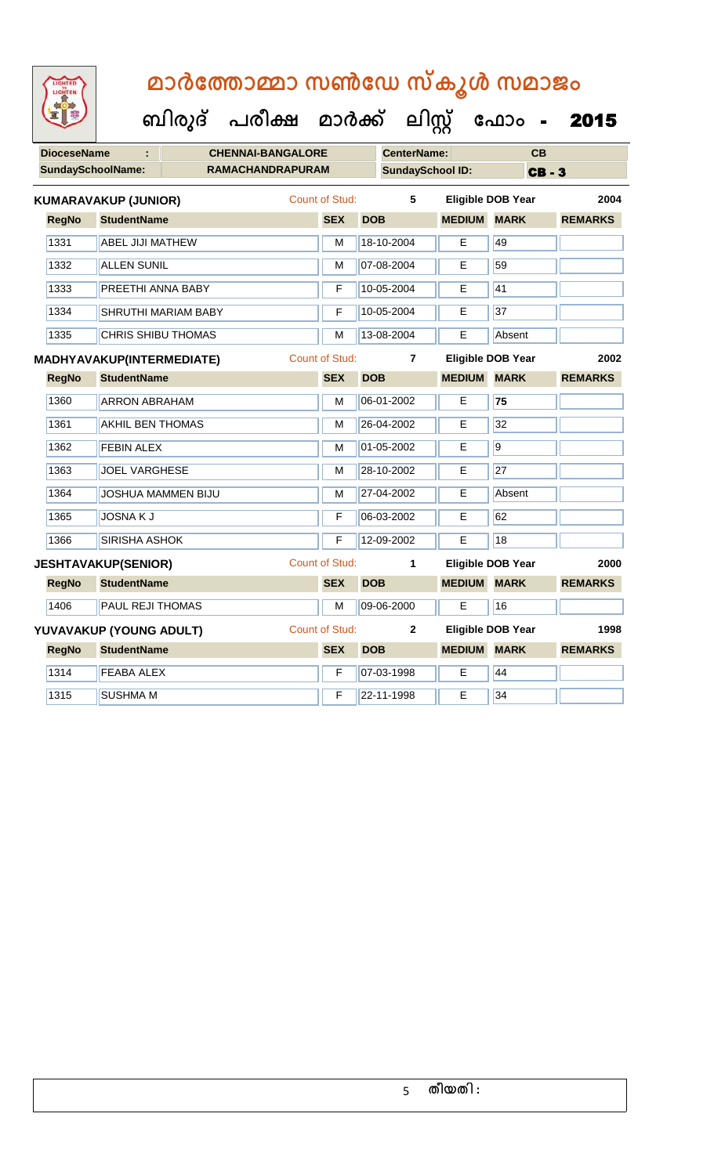| LIGHTED<br>LIGHTEN | മാർത്തോമ്മാ സൺഡേ സ്കൂൾ സമാജം                        |                       |                         |                    |                          |                |
|--------------------|-----------------------------------------------------|-----------------------|-------------------------|--------------------|--------------------------|----------------|
|                    | ബിരുദ് പരീക്ഷ മാർക്ക് ലിസ്റ്റ് ഫോം -                |                       |                         |                    |                          | 2015           |
| <b>DioceseName</b> | <b>CHENNAI-BANGALORE</b>                            |                       | <b>CenterName:</b>      |                    | CB                       |                |
|                    | <b>SundaySchoolName:</b><br><b>RAMACHANDRAPURAM</b> |                       | <b>SundaySchool ID:</b> |                    | <b>CB-3</b>              |                |
|                    | <b>KUMARAVAKUP (JUNIOR)</b>                         | <b>Count of Stud:</b> | 5                       |                    | <b>Eligible DOB Year</b> | 2004           |
| <b>RegNo</b>       | <b>StudentName</b>                                  | <b>SEX</b>            | <b>DOB</b>              | <b>MEDIUM MARK</b> |                          | <b>REMARKS</b> |
| 1331               | <b>ABEL JIJI MATHEW</b>                             | M                     | 18-10-2004              | E                  | 49                       |                |
| 1332               | <b>ALLEN SUNIL</b>                                  | M                     | 07-08-2004              | E                  | 59                       |                |
| 1333               | PREETHI ANNA BABY                                   | F                     | 10-05-2004              | Е                  | 41                       |                |
| 1334               | <b>SHRUTHI MARIAM BABY</b>                          | F                     | 10-05-2004              | E                  | 37                       |                |
| 1335               | <b>CHRIS SHIBU THOMAS</b>                           | M                     | 13-08-2004              | E                  | Absent                   |                |
|                    | MADHYAVAKUP(INTERMEDIATE)                           | <b>Count of Stud:</b> | 7                       |                    | Eligible DOB Year        | 2002           |
| <b>RegNo</b>       | <b>StudentName</b>                                  | <b>SEX</b>            | <b>DOB</b>              | <b>MEDIUM</b>      | <b>MARK</b>              | <b>REMARKS</b> |
| 1360               | <b>ARRON ABRAHAM</b>                                | M                     | 06-01-2002              | Е                  | 75                       |                |
| 1361               | <b>AKHIL BEN THOMAS</b>                             | M                     | 26-04-2002              | E                  | 32                       |                |
| 1362               | <b>FEBIN ALEX</b>                                   | M                     | 01-05-2002              | E                  | $\overline{9}$           |                |
| 1363               | <b>JOEL VARGHESE</b>                                | M                     | 28-10-2002              | Е                  | 27                       |                |
| 1364               | JOSHUA MAMMEN BIJU                                  | м                     | 27-04-2002              | E                  | Absent                   |                |
| 1365               | JOSNA K J                                           | $\mathsf F$           | 06-03-2002              | E                  | 62                       |                |
| 1366               | <b>SIRISHA ASHOK</b>                                | F                     | 12-09-2002              | E                  | 18                       |                |
|                    | <b>JESHTAVAKUP(SENIOR)</b>                          | Count of Stud:        | $\mathbf{1}$            |                    | <b>Eligible DOB Year</b> | 2000           |
| <b>RegNo</b>       | <b>StudentName</b>                                  |                       | SEX DOB                 | <b>MEDIUM MARK</b> |                          | REMARKS        |
| 1406               | PAUL REJI THOMAS                                    | $\overline{M}$        | 09-06-2000              | E                  | 16                       |                |
|                    | YUVAVAKUP (YOUNG ADULT)                             | <b>Count of Stud:</b> | $\mathbf{2}$            |                    | <b>Eligible DOB Year</b> | 1998           |
| <b>RegNo</b>       | <b>StudentName</b>                                  | <b>SEX</b>            | <b>DOB</b>              | <b>MEDIUM MARK</b> |                          | <b>REMARKS</b> |
| 1314               | <b>FEABA ALEX</b>                                   | $\overline{F}$        | 07-03-1998              | E                  | 44                       |                |
| 1315               | <b>SUSHMA M</b>                                     | F                     | 22-11-1998              | E                  | 34                       |                |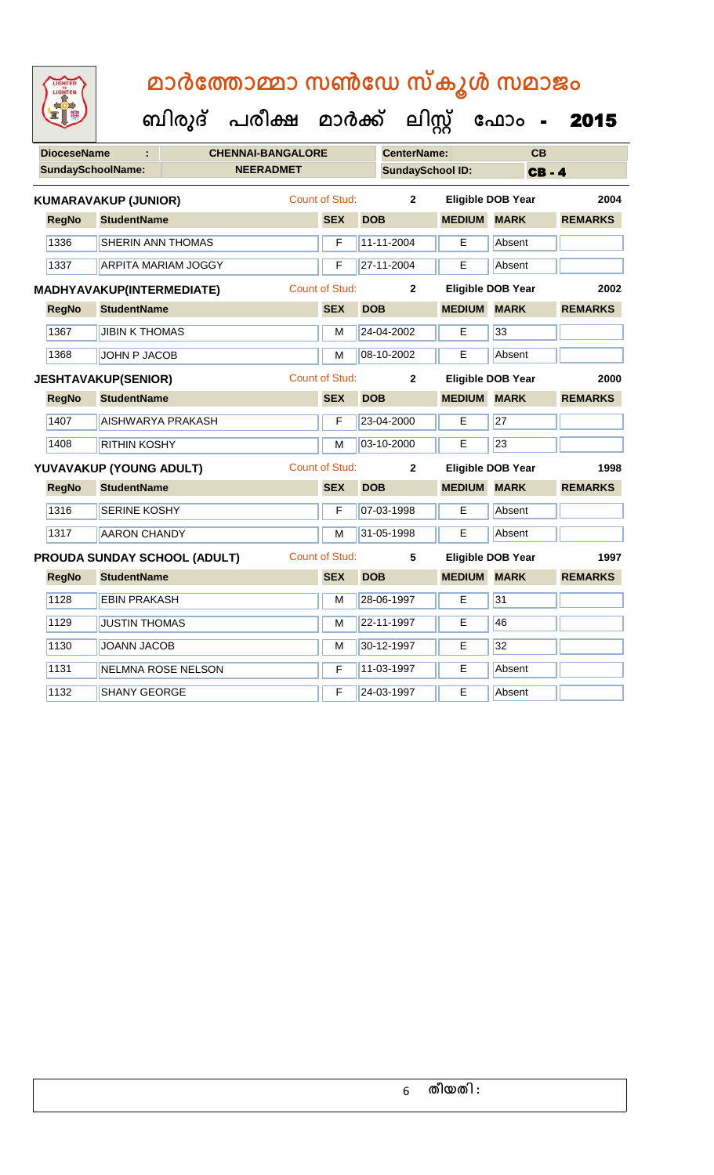| LIGHTED<br><b>THTE</b> |
|------------------------|
|                        |
|                        |
|                        |

 **ബിരുദ് പരീക്ഷ മാര്ക് ക ലിസ്റ്റ ക ഫ ാോം** - 2015

| <b>DioceseName</b>       |                                  |                                     | <b>CHENNAI-BANGALORE</b> |                         |            | <b>CenterName:</b> |               | CB                       |                |  |  |
|--------------------------|----------------------------------|-------------------------------------|--------------------------|-------------------------|------------|--------------------|---------------|--------------------------|----------------|--|--|
| <b>SundaySchoolName:</b> |                                  |                                     | <b>NEERADMET</b>         | <b>SundaySchool ID:</b> |            |                    |               | <b>CB-4</b>              |                |  |  |
|                          | <b>KUMARAVAKUP (JUNIOR)</b>      |                                     |                          | Count of Stud:          |            | $\overline{2}$     |               | <b>Eligible DOB Year</b> | 2004           |  |  |
| <b>RegNo</b>             | <b>StudentName</b>               |                                     |                          | <b>SEX</b>              | <b>DOB</b> |                    | <b>MEDIUM</b> | <b>MARK</b>              | <b>REMARKS</b> |  |  |
| 1336                     | SHERIN ANN THOMAS                |                                     |                          | F                       |            | 11-11-2004         | E             | Absent                   |                |  |  |
| 1337                     | <b>ARPITA MARIAM JOGGY</b>       |                                     |                          | F                       |            | 27-11-2004         | E             | Absent                   |                |  |  |
|                          | <b>MADHYAVAKUP(INTERMEDIATE)</b> |                                     |                          | <b>Count of Stud:</b>   |            | $\overline{2}$     |               | <b>Eligible DOB Year</b> | 2002           |  |  |
| <b>RegNo</b>             | <b>StudentName</b>               |                                     |                          | <b>SEX</b>              | <b>DOB</b> |                    | <b>MEDIUM</b> | <b>MARK</b>              | <b>REMARKS</b> |  |  |
| 1367                     | <b>JIBIN K THOMAS</b>            |                                     |                          | M                       |            | 24-04-2002         | E             | 33                       |                |  |  |
| 1368                     | <b>JOHN P JACOB</b>              |                                     |                          | M                       |            | 08-10-2002         | E             | Absent                   |                |  |  |
|                          | <b>JESHTAVAKUP(SENIOR)</b>       |                                     |                          | <b>Count of Stud:</b>   |            | $\overline{2}$     |               | <b>Eligible DOB Year</b> | 2000           |  |  |
| <b>RegNo</b>             | <b>StudentName</b>               |                                     |                          | <b>SEX</b>              | <b>DOB</b> |                    | <b>MEDIUM</b> | <b>MARK</b>              | <b>REMARKS</b> |  |  |
| 1407                     | <b>AISHWARYA PRAKASH</b>         |                                     |                          | F                       |            | 23-04-2000         | E             | 27                       |                |  |  |
| 1408                     | <b>RITHIN KOSHY</b>              |                                     |                          | M                       |            | 03-10-2000         | E             | 23                       |                |  |  |
|                          | YUVAVAKUP (YOUNG ADULT)          |                                     |                          | <b>Count of Stud:</b>   |            | $\mathbf{2}$       |               | <b>Eligible DOB Year</b> | 1998           |  |  |
| <b>RegNo</b>             | <b>StudentName</b>               |                                     |                          | <b>SEX</b>              | <b>DOB</b> |                    | <b>MEDIUM</b> | <b>MARK</b>              | <b>REMARKS</b> |  |  |
| 1316                     | <b>SERINE KOSHY</b>              |                                     |                          | F                       |            | 07-03-1998         | E             | Absent                   |                |  |  |
| 1317                     | <b>AARON CHANDY</b>              |                                     |                          | M                       |            | 31-05-1998         | E             | Absent                   |                |  |  |
|                          |                                  | <b>PROUDA SUNDAY SCHOOL (ADULT)</b> |                          | <b>Count of Stud:</b>   |            | 5                  |               | <b>Eligible DOB Year</b> | 1997           |  |  |
| <b>RegNo</b>             | <b>StudentName</b>               |                                     |                          | <b>SEX</b>              | <b>DOB</b> |                    | <b>MEDIUM</b> | <b>MARK</b>              | <b>REMARKS</b> |  |  |
| 1128                     | <b>EBIN PRAKASH</b>              |                                     |                          | M                       |            | 28-06-1997         | E             | 31                       |                |  |  |
| 1129                     | <b>JUSTIN THOMAS</b>             |                                     |                          | M                       |            | 22-11-1997         | Е             | 46                       |                |  |  |

1130 JOANN JACOB M 30-12-1997 E 32

1131 NELMNA ROSE NELSON F 11-03-1997 E Absent

1132 SHANY GEORGE **F 24-03-1997** E Absent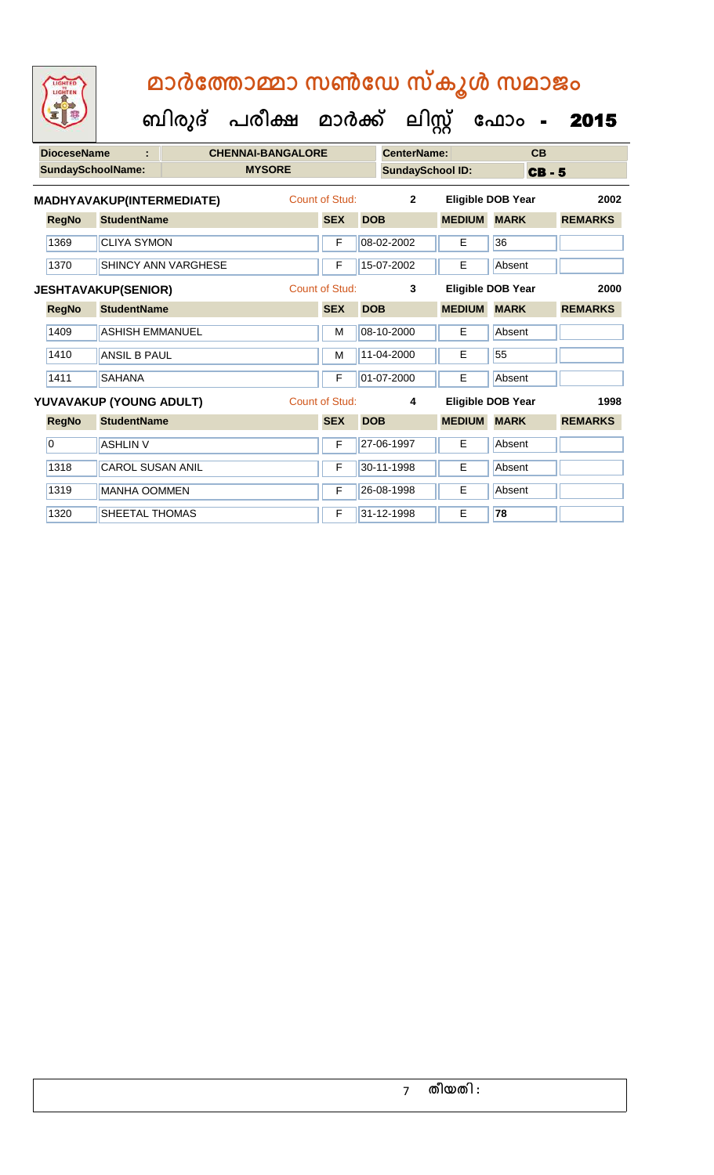**ബിരുദ് പരീക്ഷ മാര്ക് ക ലിസ്റ്റ ക ഫ ാോം** - 2015

| <b>DioceseName</b> |                            |                           | <b>CHENNAI-BANGALORE</b>   |               |                | <b>CenterName:</b> |                         |               | CB                       |             |                |
|--------------------|----------------------------|---------------------------|----------------------------|---------------|----------------|--------------------|-------------------------|---------------|--------------------------|-------------|----------------|
|                    |                            | SundaySchoolName:         |                            | <b>MYSORE</b> |                |                    | <b>SundaySchool ID:</b> |               |                          | <b>CB-5</b> |                |
|                    |                            | MADHYAVAKUP(INTERMEDIATE) |                            |               | Count of Stud: |                    | $\overline{2}$          |               | <b>Eligible DOB Year</b> |             | 2002           |
|                    | <b>RegNo</b>               | <b>StudentName</b>        |                            |               | <b>SEX</b>     | <b>DOB</b>         |                         | <b>MEDIUM</b> | <b>MARK</b>              |             | <b>REMARKS</b> |
|                    | 1369                       | <b>CLIYA SYMON</b>        |                            |               | F              |                    | 08-02-2002              | E             | 36                       |             |                |
|                    | 1370                       |                           | <b>SHINCY ANN VARGHESE</b> |               | F              |                    | 15-07-2002              | E             | Absent                   |             |                |
|                    | <b>JESHTAVAKUP(SENIOR)</b> |                           |                            |               | Count of Stud: |                    | 3                       |               | Eligible DOB Year        |             | 2000           |
|                    | <b>RegNo</b>               | <b>StudentName</b>        |                            |               | <b>SEX</b>     | <b>DOB</b>         |                         | <b>MEDIUM</b> | <b>MARK</b>              |             | <b>REMARKS</b> |
|                    | 1409                       | <b>ASHISH EMMANUEL</b>    |                            |               | M              |                    | 08-10-2000              | E             | Absent                   |             |                |
|                    | 1410                       | <b>ANSIL B PAUL</b>       |                            |               | M              |                    | 11-04-2000              | E             | 55                       |             |                |
|                    | 1411                       | <b>SAHANA</b>             |                            |               | F              |                    | 01-07-2000              | E             | Absent                   |             |                |
|                    |                            | YUVAVAKUP (YOUNG ADULT)   |                            |               | Count of Stud: |                    | 4                       |               | Eligible DOB Year        |             | 1998           |
|                    | <b>RegNo</b>               | <b>StudentName</b>        |                            |               | <b>SEX</b>     | <b>DOB</b>         |                         | <b>MEDIUM</b> | <b>MARK</b>              |             | <b>REMARKS</b> |
|                    | $\overline{0}$             | <b>ASHLIN V</b>           |                            |               | F              |                    | 27-06-1997              | E.            | Absent                   |             |                |
|                    | 1318                       | <b>CAROL SUSAN ANIL</b>   |                            |               | F              |                    | 30-11-1998              | Е             | Absent                   |             |                |
|                    | 1319                       | <b>MANHA OOMMEN</b>       |                            |               | F              |                    | 26-08-1998              | E             | Absent                   |             |                |
|                    | 1320                       | <b>SHEETAL THOMAS</b>     |                            |               | F              |                    | 31-12-1998              | E             | 78                       |             |                |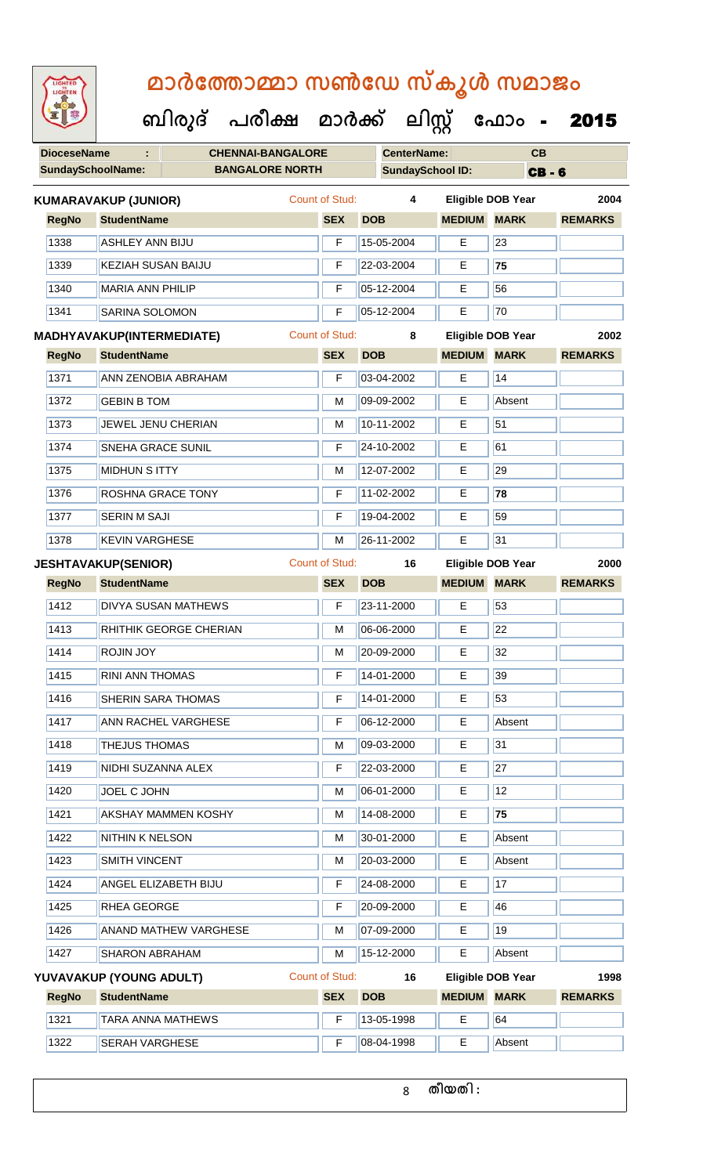| LIGHTED<br>LIGHTEN       |                                                  |                          |                       |                         |               | മാർത്തോമ്മാ സൺഡേ സ്കൂൾ സമാജം |                |  |
|--------------------------|--------------------------------------------------|--------------------------|-----------------------|-------------------------|---------------|------------------------------|----------------|--|
|                          | ബിരുദ് പരീക്ഷ മാർക്ക് ലിസ്റ്റ് ഫോം - <b>2015</b> |                          |                       |                         |               |                              |                |  |
| <b>DioceseName</b>       |                                                  | <b>CHENNAI-BANGALORE</b> |                       | <b>CenterName:</b>      |               | CB                           |                |  |
| <b>SundaySchoolName:</b> |                                                  | <b>BANGALORE NORTH</b>   |                       | <b>SundaySchool ID:</b> |               | <b>CB-6</b>                  |                |  |
|                          | <b>KUMARAVAKUP (JUNIOR)</b>                      |                          | Count of Stud:        | 4                       |               | Eligible DOB Year            | 2004           |  |
| <b>RegNo</b>             | <b>StudentName</b>                               |                          | <b>SEX</b>            | <b>DOB</b>              | <b>MEDIUM</b> | <b>MARK</b>                  | <b>REMARKS</b> |  |
| 1338                     | <b>ASHLEY ANN BIJU</b>                           |                          | F                     | 15-05-2004              | E             | 23                           |                |  |
| 1339                     | <b>KEZIAH SUSAN BAIJU</b>                        |                          | F                     | 22-03-2004              | Е             | 75                           |                |  |
| 1340                     | <b>MARIA ANN PHILIP</b>                          |                          | F                     | 05-12-2004              | E             | 56                           |                |  |
| 1341                     | <b>SARINA SOLOMON</b>                            |                          | F                     | 05-12-2004              | E             | 70                           |                |  |
|                          | MADHYAVAKUP(INTERMEDIATE)                        |                          | <b>Count of Stud:</b> | 8                       |               | <b>Eligible DOB Year</b>     | 2002           |  |
| <b>RegNo</b>             | <b>StudentName</b>                               |                          | <b>SEX</b>            | <b>DOB</b>              | <b>MEDIUM</b> | <b>MARK</b>                  | <b>REMARKS</b> |  |
| 1371                     | ANN ZENOBIA ABRAHAM                              |                          | F                     | 03-04-2002              | E             | 14                           |                |  |
| 1372                     | <b>GEBIN B TOM</b>                               |                          | М                     | 09-09-2002              | Е             | Absent                       |                |  |
| 1373                     | JEWEL JENU CHERIAN                               |                          | м                     | 10-11-2002              | Е             | 51                           |                |  |
| 1374                     | <b>SNEHA GRACE SUNIL</b>                         |                          | F                     | 24-10-2002              | Е             | 61                           |                |  |
| 1375                     | <b>MIDHUN S ITTY</b>                             |                          | M                     | 12-07-2002              | E             | 29                           |                |  |
| 1376                     | <b>ROSHNA GRACE TONY</b>                         |                          | F                     | 11-02-2002              | Е             | 78                           |                |  |
| 1377                     | <b>SERIN M SAJI</b>                              |                          | F                     | 19-04-2002              | E             | 59                           |                |  |
| 1378                     | <b>KEVIN VARGHESE</b>                            |                          | M                     | 26-11-2002              | E             | 31                           |                |  |
|                          | <b>JESHTAVAKUP(SENIOR)</b>                       |                          | Count of Stud:        | 16                      |               | Eligible DOB Year            | 2000           |  |
| <b>RegNo</b>             | <b>StudentName</b>                               |                          | <b>SEX</b>            | <b>DOB</b>              | <b>MEDIUM</b> | <b>MARK</b>                  | <b>REMARKS</b> |  |
| 1412                     | <b>DIVYA SUSAN MATHEWS</b>                       |                          | F                     | 23-11-2000              | Е             | 53                           |                |  |
| 1413                     | RHITHIK GEORGE CHERIAN                           |                          | M                     | 06-06-2000              | E.            | 22                           |                |  |
| 1414                     | <b>ROJIN JOY</b>                                 |                          | М                     | 20-09-2000              | Е             | 32                           |                |  |
| 1415                     | <b>RINI ANN THOMAS</b>                           |                          | F                     | 14-01-2000              | E             | 39                           |                |  |
| 1416                     | <b>SHERIN SARA THOMAS</b>                        |                          | F                     | 14-01-2000              | E.            | 53                           |                |  |
| 1417                     | <b>ANN RACHEL VARGHESE</b>                       |                          | F                     | 06-12-2000              | E.            | Absent                       |                |  |
| 1418                     | <b>THEJUS THOMAS</b>                             |                          | м                     | 09-03-2000              | E             | 31                           |                |  |
| 1419                     | NIDHI SUZANNA ALEX                               |                          | F                     | 22-03-2000              | Е             | 27                           |                |  |
| 1420                     | JOEL C JOHN                                      |                          | М                     | 06-01-2000              | E             | 12                           |                |  |
| 1421                     | <b>AKSHAY MAMMEN KOSHY</b>                       |                          | M                     | 14-08-2000              | E.            | 75                           |                |  |
| 1422                     | <b>NITHIN K NELSON</b>                           |                          | м                     | 30-01-2000              | E.            | Absent                       |                |  |
| 1423                     | <b>SMITH VINCENT</b>                             |                          | M                     | 20-03-2000              | E.            | Absent                       |                |  |
| 1424                     | <b>ANGEL ELIZABETH BIJU</b>                      |                          | F                     | 24-08-2000              | E.            | 17                           |                |  |
| 1425                     | RHEA GEORGE                                      |                          | F                     | 20-09-2000              | Е             | 46                           |                |  |
| 1426                     | <b>ANAND MATHEW VARGHESE</b>                     |                          | M                     | 07-09-2000              | E.            | 19                           |                |  |
| 1427                     | <b>SHARON ABRAHAM</b>                            |                          | M                     | 15-12-2000              | E.            | Absent                       |                |  |
|                          | YUVAVAKUP (YOUNG ADULT)                          |                          | <b>Count of Stud:</b> | 16                      |               | <b>Eligible DOB Year</b>     | 1998           |  |

| <b>RegNo</b> | <b>SEX</b><br><b>StudentName</b> |  | <b>DOB</b>     | <b>MEDIUM MARK</b> |        | <b>REMARKS</b> |
|--------------|----------------------------------|--|----------------|--------------------|--------|----------------|
| 1321         | <b>TARA ANNA MATHEWS</b>         |  | 13-05-1998     |                    | 64     |                |
| 1322         | <b>SERAH VARGHESE</b>            |  | $ 08-04-1998 $ | −                  | Absent |                |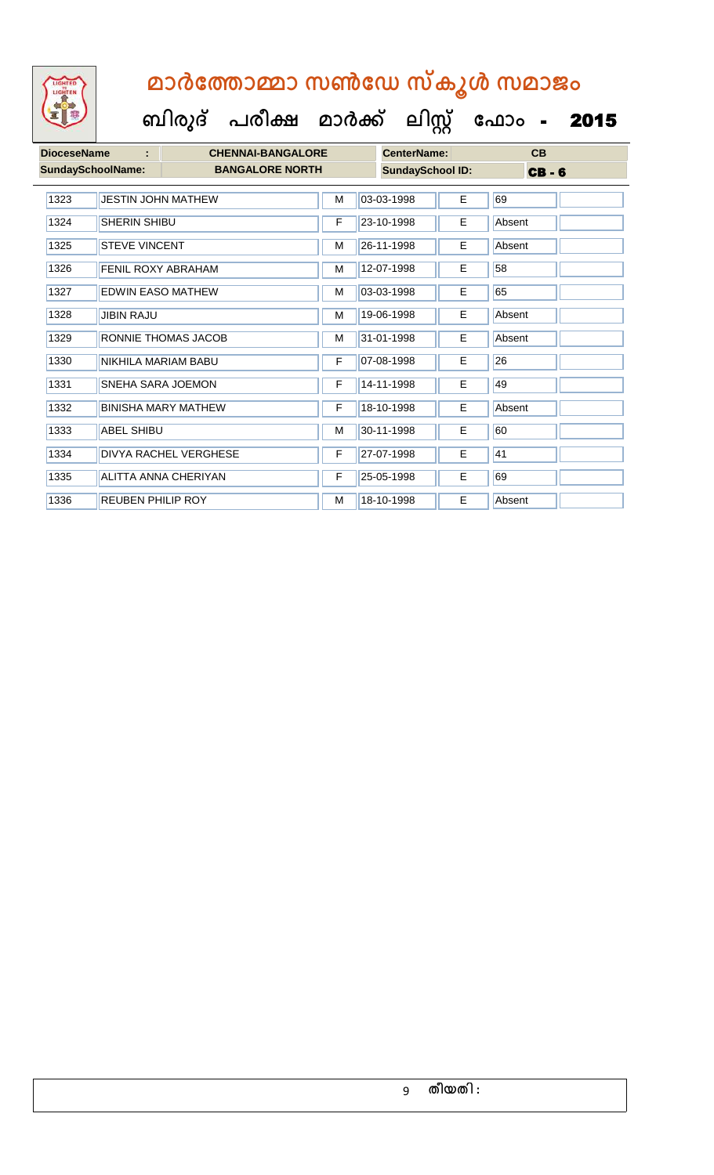| <b>IGHTED</b> |
|---------------|
|               |
|               |
|               |
|               |

 **ബിരുദ് പരീക്ഷ മാര്ക് ക ലിസ്റ്റ ക ഫ ാോം** - 2015

| <b>DioceseName</b> | ÷                         | <b>CHENNAI-BANGALORE</b>   |   | <b>CenterName:</b>      |    | CB          |  |
|--------------------|---------------------------|----------------------------|---|-------------------------|----|-------------|--|
|                    | <b>SundaySchoolName:</b>  | <b>BANGALORE NORTH</b>     |   | <b>SundaySchool ID:</b> |    | <b>CB-6</b> |  |
| 1323               | <b>JESTIN JOHN MATHEW</b> |                            | M | 03-03-1998              | E  | 69          |  |
| 1324               | SHERIN SHIBU              |                            |   | 23-10-1998              | E. | Absent      |  |
| 1325               | <b>STEVE VINCENT</b>      |                            |   | 26-11-1998              | E. | Absent      |  |
| 1326               | <b>FENIL ROXY ABRAHAM</b> |                            |   | 12-07-1998              | E  | 58          |  |
| 1327               | <b>EDWIN EASO MATHEW</b>  |                            | M | 03-03-1998              | E  | 65          |  |
| 1328               | <b>JIBIN RAJU</b>         |                            | M | 19-06-1998              | E  | Absent      |  |
| 1329               |                           | RONNIE THOMAS JACOB        | M | 31-01-1998              | E  | Absent      |  |
| 1330               | NIKHILA MARIAM BABU       |                            | F | 07-08-1998              | Е  | 26          |  |
| 1331               | SNEHA SARA JOEMON         |                            | F | 14-11-1998              | E  | 49          |  |
| 1332               |                           | <b>BINISHA MARY MATHEW</b> | F | 18-10-1998              | Е  | Absent      |  |
| 1333               | ABEL SHIBU                |                            | M | 30-11-1998              | E  | 60          |  |
| 1334               |                           | DIVYA RACHEL VERGHESE      | F | 27-07-1998              | E  | 41          |  |
| 1335               |                           | ALITTA ANNA CHERIYAN       | F | 25-05-1998              | E  | 69          |  |

1336 REUBEN PHILIP ROY M 18-10-1998 E Absent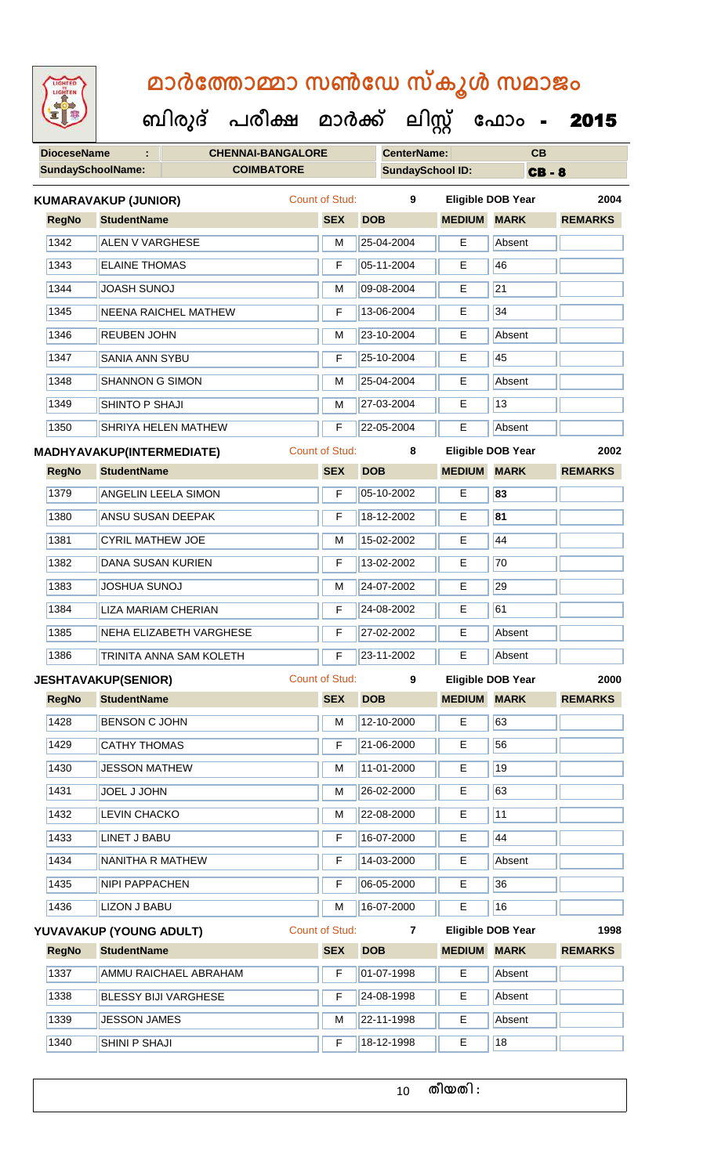| <b>IGHTED</b> |
|---------------|
|               |
|               |
|               |
|               |

 **ബിരുദ് പരീക്ഷ മാര്ക് ക ലിസ്റ്റ ക ഫ ാോം** - 2015

| <b>DioceseName</b> |                                  | <b>CHENNAI-BANGALORE</b>    |                            |            | <b>CenterName:</b>      |                    | CB                |                |
|--------------------|----------------------------------|-----------------------------|----------------------------|------------|-------------------------|--------------------|-------------------|----------------|
|                    | <b>SundaySchoolName:</b>         | <b>COIMBATORE</b>           |                            |            | <b>SundaySchool ID:</b> |                    | <b>CB-8</b>       |                |
|                    | <b>KUMARAVAKUP (JUNIOR)</b>      |                             | Count of Stud:             |            | 9                       |                    | Eligible DOB Year | 2004           |
| <b>RegNo</b>       | <b>StudentName</b>               |                             | <b>SEX</b>                 | <b>DOB</b> |                         | <b>MEDIUM</b>      | <b>MARK</b>       | <b>REMARKS</b> |
| 1342               | <b>ALEN V VARGHESE</b>           |                             | M                          |            | 25-04-2004              | E.                 | Absent            |                |
| 1343               | <b>ELAINE THOMAS</b>             |                             | F                          |            | 05-11-2004              | Е                  | 46                |                |
| 1344               | <b>JOASH SUNOJ</b>               |                             | М                          |            | 09-08-2004              | Е                  | 21                |                |
| 1345               |                                  | <b>NEENA RAICHEL MATHEW</b> | F                          |            | 13-06-2004              | E                  | 34                |                |
| 1346               | <b>REUBEN JOHN</b>               |                             | M                          |            | 23-10-2004              | E                  | Absent            |                |
| 1347               | <b>SANIA ANN SYBU</b>            |                             | F                          |            | 25-10-2004              | E                  | 45                |                |
| 1348               | <b>SHANNON G SIMON</b>           |                             | M                          |            | 25-04-2004              | Е                  | Absent            |                |
| 1349               | SHINTO P SHAJI                   |                             | M                          |            | 27-03-2004              | Е                  | 13                |                |
| 1350               |                                  | <b>SHRIYA HELEN MATHEW</b>  | F                          |            | 22-05-2004              | Е                  | Absent            |                |
|                    | <b>MADHYAVAKUP(INTERMEDIATE)</b> |                             | <b>Count of Stud:</b><br>8 |            |                         |                    | Eligible DOB Year | 2002           |
| <b>RegNo</b>       | <b>StudentName</b>               |                             | <b>SEX</b><br><b>DOB</b>   |            |                         | <b>MEDIUM</b>      | <b>MARK</b>       | <b>REMARKS</b> |
| 1379               |                                  | <b>ANGELIN LEELA SIMON</b>  | F                          |            | 05-10-2002              | E.                 | 83                |                |
| 1380               | ANSU SUSAN DEEPAK                |                             | F                          |            | 18-12-2002              | Е                  | 81                |                |
| 1381               | <b>CYRIL MATHEW JOE</b>          |                             | М                          |            | 15-02-2002              | E                  | 44                |                |
| 1382               | <b>DANA SUSAN KURIEN</b>         |                             | F                          |            | 13-02-2002              | E                  | 70                |                |
| 1383               | <b>JOSHUA SUNOJ</b>              |                             | M                          |            | 24-07-2002              | Е                  | 29                |                |
| 1384               |                                  | <b>LIZA MARIAM CHERIAN</b>  | F                          |            | 24-08-2002              | E                  | 61                |                |
| 1385               |                                  | NEHA ELIZABETH VARGHESE     | F                          |            | 27-02-2002              | E                  | Absent            |                |
| 1386               |                                  | TRINITA ANNA SAM KOLETH     | F                          |            | 23-11-2002              | Е                  | Absent            |                |
|                    | <b>JESHTAVAKUP(SENIOR)</b>       |                             | Count of Stud:             |            | 9                       |                    | Eligible DOB Year | 2000           |
| <b>RegNo</b>       | <b>StudentName</b>               |                             | <b>SEX</b>                 | <b>DOB</b> |                         | <b>MEDIUM MARK</b> |                   | <b>REMARKS</b> |
| 1428               | <b>BENSON C JOHN</b>             |                             | М                          |            | 12-10-2000              | E                  | 63                |                |
| 1429               | <b>CATHY THOMAS</b>              |                             | F                          |            | 21-06-2000              | E                  | 56                |                |
| 1430               | <b>JESSON MATHEW</b>             |                             | M                          |            | 11-01-2000              | E                  | 19                |                |
| 1431               | JOEL J JOHN                      | М                           |                            | 26-02-2000 | Е                       | 63                 |                   |                |
| 1432               | <b>LEVIN CHACKO</b>              |                             | M                          |            | 22-08-2000              | E                  | 11                |                |
| 1433               | <b>LINET J BABU</b>              |                             | F.                         |            | 16-07-2000              | E                  | 44                |                |

1434 NANITHA R MATHEW **F** 14-03-2000 **E** Absent 1435 NIPI PAPPACHEN F 06-05-2000 E 36 1436 LIZON J BABU M 16-07-2000 E 16 **RegNo StudentName SEX DOB MEDIUM MARK REMARKS YUVAVAKUP (YOUNG ADULT)** Count of Stud: **7 Eligible DOB Year 1998**

| 1337 | AMMU RAICHAEL ABRAHAM       |   | $ 01-07-1998 $    |   | Absent |  |
|------|-----------------------------|---|-------------------|---|--------|--|
| 1338 | <b>BLESSY BIJI VARGHESE</b> |   | $ 24-08-1998 $    | E | Absent |  |
| 1339 | <b>JESSON JAMES</b>         | M | $122 - 11 - 1998$ | E | Absent |  |
| 1340 | ISHINI P SHAJI              |   | 18-12-1998        |   | 18     |  |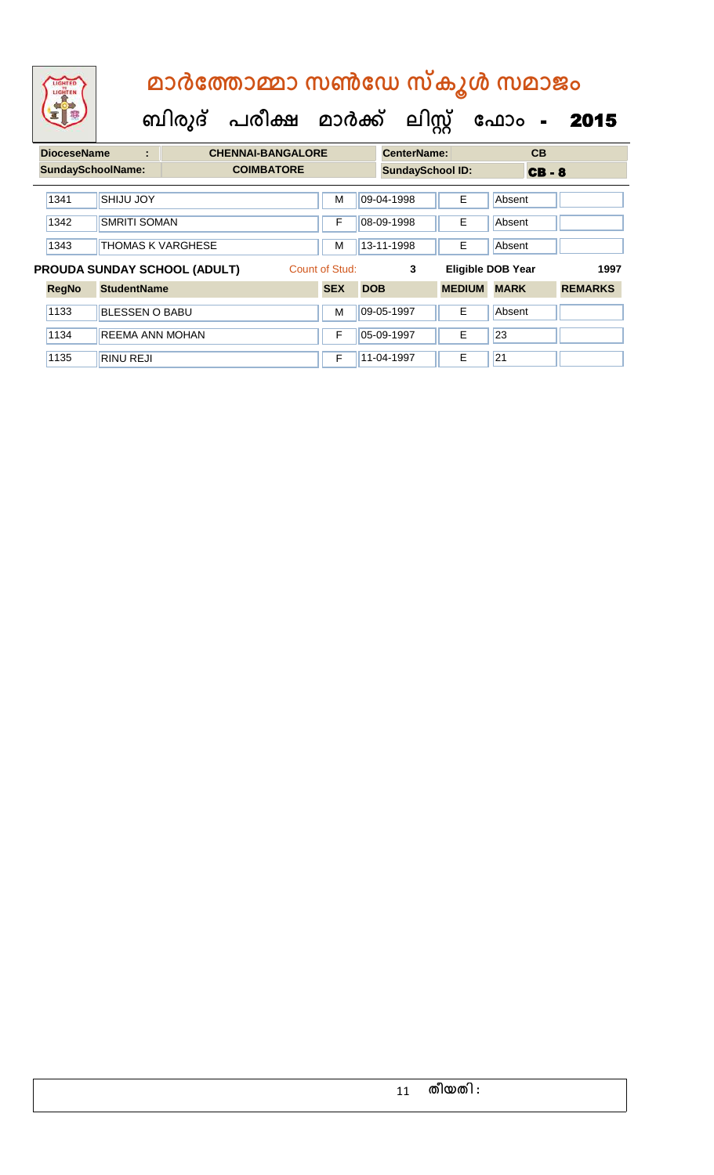**ബിരുദ് പരീക്ഷ മാര്ക് ക ലിസ്റ്റ ക ഫ ാോം** - 2015

| <b>DioceseName</b> | ÷                        | <b>CHENNAI-BANGALORE</b>            |                |            | <b>CenterName:</b>      |               | CB                       |                |  |
|--------------------|--------------------------|-------------------------------------|----------------|------------|-------------------------|---------------|--------------------------|----------------|--|
|                    | <b>SundaySchoolName:</b> | <b>COIMBATORE</b>                   |                |            | <b>SundaySchool ID:</b> |               | <b>CB-8</b>              |                |  |
| 1341               | <b>SHIJU JOY</b>         |                                     | M              |            | 09-04-1998              | E             | Absent                   |                |  |
| 1342               | <b>SMRITI SOMAN</b>      |                                     | F              |            | 08-09-1998              | E             | Absent                   |                |  |
| 1343               | <b>THOMAS K VARGHESE</b> | М                                   |                | 13-11-1998 | E                       | Absent        |                          |                |  |
|                    |                          | <b>PROUDA SUNDAY SCHOOL (ADULT)</b> | Count of Stud: |            | 3                       |               | <b>Eligible DOB Year</b> | 1997           |  |
| <b>RegNo</b>       | <b>StudentName</b>       |                                     | <b>SEX</b>     | <b>DOB</b> |                         | <b>MEDIUM</b> | <b>MARK</b>              | <b>REMARKS</b> |  |
| 1133               | <b>BLESSEN O BABU</b>    |                                     | м              |            | 09-05-1997              | E             | Absent                   |                |  |
| 1134               | <b>REEMA ANN MOHAN</b>   |                                     | F              |            | 05-09-1997              | E             | 23                       |                |  |
| 1135               | <b>RINU REJI</b>         |                                     | F              |            | 11-04-1997              | Е             | 21                       |                |  |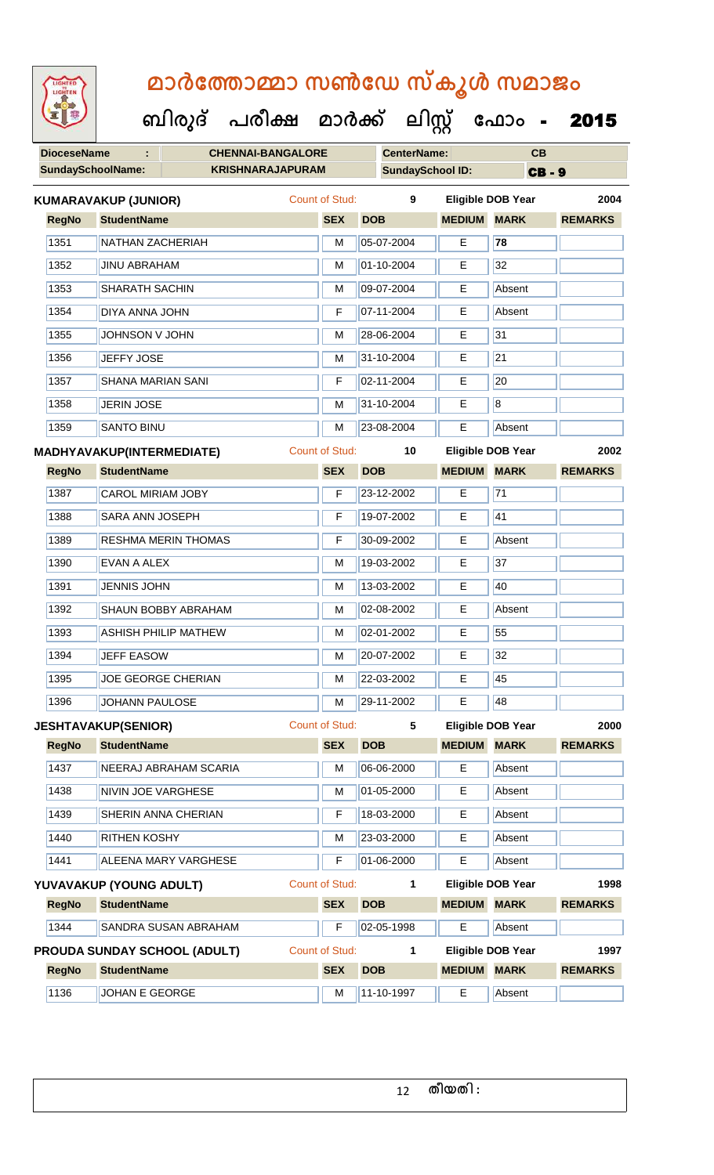| 92                       | ബിരുദ്<br>പരിക്ഷ                    | മാർക്ക്        | <u> ലിസ്റ്റ്</u>        |               | ഫോം                      | 2015           |
|--------------------------|-------------------------------------|----------------|-------------------------|---------------|--------------------------|----------------|
| <b>DioceseName</b>       | <b>CHENNAI-BANGALORE</b>            |                | <b>CenterName:</b>      |               | CB                       |                |
| <b>SundaySchoolName:</b> | <b>KRISHNARAJAPURAM</b>             |                | <b>SundaySchool ID:</b> |               | <b>CB-9</b>              |                |
|                          | <b>KUMARAVAKUP (JUNIOR)</b>         | Count of Stud: | 9                       |               | <b>Eligible DOB Year</b> | 2004           |
| <b>RegNo</b>             | <b>StudentName</b>                  | <b>SEX</b>     | <b>DOB</b>              | <b>MEDIUM</b> | <b>MARK</b>              | <b>REMARKS</b> |
| 1351                     | <b>NATHAN ZACHERIAH</b>             | M              | 05-07-2004              | Е             | 78                       |                |
| 1352                     | <b>JINU ABRAHAM</b>                 | M              | 01-10-2004              | E             | 32                       |                |
| 1353                     | <b>SHARATH SACHIN</b>               | M              | 09-07-2004              | Е             | Absent                   |                |
| 1354                     | <b>DIYA ANNA JOHN</b>               | F              | 07-11-2004              | E             | Absent                   |                |
| 1355                     | JOHNSON V JOHN                      | M              | 28-06-2004              | E             | 31                       |                |
| 1356                     | <b>JEFFY JOSE</b>                   | М              | 31-10-2004              | Е             | 21                       |                |
| 1357                     | <b>SHANA MARIAN SANI</b>            | F              | 02-11-2004              | E             | 20                       |                |
| 1358                     | <b>JERIN JOSE</b>                   | M              | 31-10-2004              | E             | 8                        |                |
| 1359                     | <b>SANTO BINU</b>                   | M              | 23-08-2004              | Е             | Absent                   |                |
|                          | MADHYAVAKUP(INTERMEDIATE)           | Count of Stud: | 10                      |               | <b>Eligible DOB Year</b> | 2002           |
| <b>RegNo</b>             | <b>StudentName</b>                  | <b>SEX</b>     | <b>DOB</b>              | <b>MEDIUM</b> | <b>MARK</b>              | <b>REMARKS</b> |
| 1387                     | CAROL MIRIAM JOBY                   | F              | 23-12-2002              | E.            | 71                       |                |
| 1388                     | SARA ANN JOSEPH                     | F              | 19-07-2002              | Е             | 41                       |                |
| 1389                     | RESHMA MERIN THOMAS                 | F              | 30-09-2002              | Е             | Absent                   |                |
| 1390                     | EVAN A ALEX                         | M              | 19-03-2002              | Е             | 37                       |                |
| 1391                     | <b>JENNIS JOHN</b>                  | M              | 13-03-2002              | E             | 40                       |                |
| 1392                     | <b>SHAUN BOBBY ABRAHAM</b>          | М              | 02-08-2002              | Е             | Absent                   |                |
| 1393                     | ASHISH PHILIP MATHEW                | М              | 02-01-2002              | E             | 55                       |                |
| 1394                     | <b>JEFF EASOW</b>                   | M              | 20-07-2002              | E.            | 32                       |                |
| 1395                     | JOE GEORGE CHERIAN                  | M              | 22-03-2002              | E             | 45                       |                |
| 1396                     | <b>JOHANN PAULOSE</b>               | M              | 29-11-2002              | E             | 48                       |                |
|                          | <b>JESHTAVAKUP(SENIOR)</b>          | Count of Stud: | 5                       |               | <b>Eligible DOB Year</b> | 2000           |
| <b>RegNo</b>             | <b>StudentName</b>                  | <b>SEX</b>     | <b>DOB</b>              | <b>MEDIUM</b> | <b>MARK</b>              | <b>REMARKS</b> |
| 1437                     | NEERAJ ABRAHAM SCARIA               | M              | 06-06-2000              | E             | Absent                   |                |
| 1438                     | NIVIN JOE VARGHESE                  | M              | 01-05-2000              | E             | Absent                   |                |
| 1439                     | SHERIN ANNA CHERIAN                 | F              | 18-03-2000              | Е             | Absent                   |                |
| 1440                     | <b>RITHEN KOSHY</b>                 | M              | 23-03-2000              | E             | Absent                   |                |
| 1441                     | <b>ALEENA MARY VARGHESE</b>         | F              | 01-06-2000              | E             | Absent                   |                |
|                          | YUVAVAKUP (YOUNG ADULT)             | Count of Stud: | 1                       |               | <b>Eligible DOB Year</b> | 1998           |
| <b>RegNo</b>             | <b>StudentName</b>                  | <b>SEX</b>     | <b>DOB</b>              | <b>MEDIUM</b> | <b>MARK</b>              | <b>REMARKS</b> |
| 1344                     | SANDRA SUSAN ABRAHAM                | F              | 02-05-1998              | E             | Absent                   |                |
|                          | <b>PROUDA SUNDAY SCHOOL (ADULT)</b> | Count of Stud: | $\mathbf{1}$            |               | <b>Eligible DOB Year</b> | 1997           |
| <b>RegNo</b>             | <b>StudentName</b>                  | <b>SEX</b>     | <b>DOB</b>              | <b>MEDIUM</b> | <b>MARK</b>              | <b>REMARKS</b> |
| 1136                     | JOHAN E GEORGE                      | M              | 11-10-1997              | E             | Absent                   |                |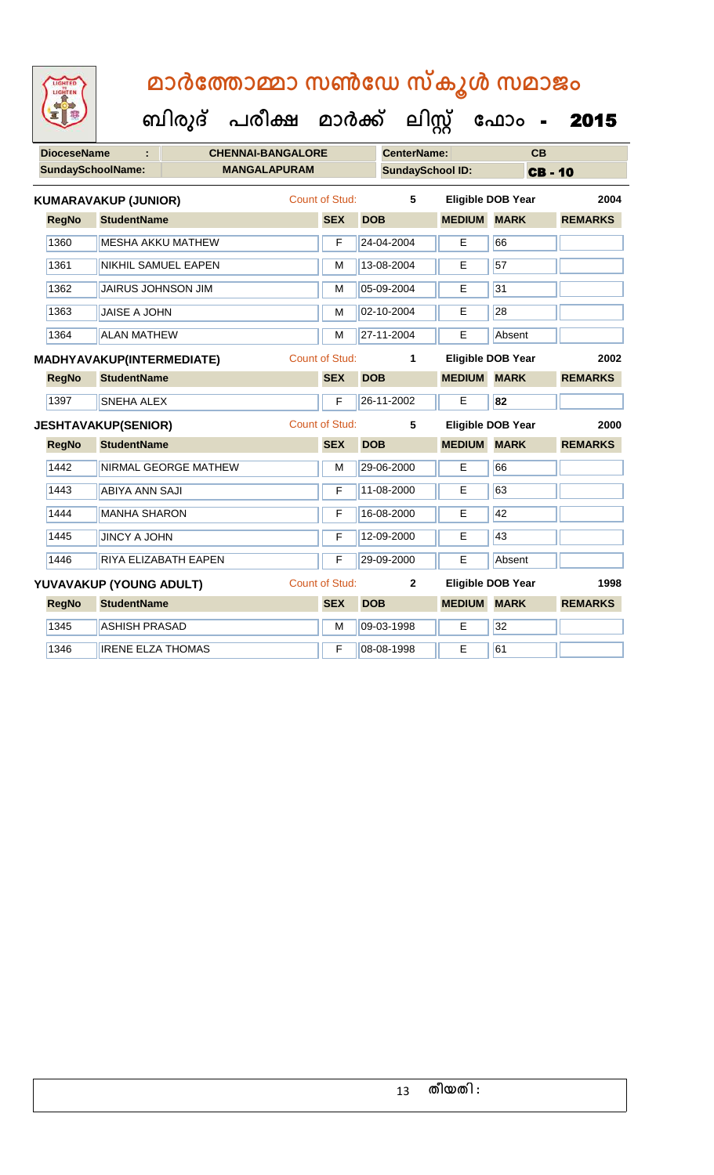| LIGHTED<br>LIGHTEN       |                             | മാർത്തോമ്മാ സൺഡേ സ്കൂൾ സമാജം<br>ബിരുദ് പരീക്ഷ മാർക്ക് ലിസ്റ്റ് ഫോം - |                       |            |                         |                    |                          | 2015           |
|--------------------------|-----------------------------|----------------------------------------------------------------------|-----------------------|------------|-------------------------|--------------------|--------------------------|----------------|
| <b>DioceseName</b>       | ÷.                          | <b>CHENNAI-BANGALORE</b>                                             |                       |            | CenterName:             |                    | CB                       |                |
| <b>SundaySchoolName:</b> |                             | <b>MANGALAPURAM</b>                                                  |                       |            | <b>SundaySchool ID:</b> |                    |                          | <b>CB-10</b>   |
|                          | <b>KUMARAVAKUP (JUNIOR)</b> |                                                                      | Count of Stud:        |            | 5                       |                    | <b>Eligible DOB Year</b> | 2004           |
| <b>RegNo</b>             | <b>StudentName</b>          |                                                                      | <b>SEX</b>            | <b>DOB</b> |                         | <b>MEDIUM MARK</b> |                          | <b>REMARKS</b> |
| 1360                     | <b>MESHA AKKU MATHEW</b>    |                                                                      | F                     | 24-04-2004 |                         | E                  | 66                       |                |
| 1361                     | NIKHIL SAMUEL EAPEN         |                                                                      | м                     | 13-08-2004 |                         | E                  | 57                       |                |
| 1362                     | <b>JAIRUS JOHNSON JIM</b>   |                                                                      | м                     | 05-09-2004 |                         | E                  | 31                       |                |
| 1363                     | <b>JAISE A JOHN</b>         |                                                                      | м                     | 02-10-2004 |                         | E                  | 28                       |                |
| 1364                     | <b>ALAN MATHEW</b>          |                                                                      | M                     | 27-11-2004 |                         | E                  | Absent                   |                |
|                          | MADHYAVAKUP(INTERMEDIATE)   |                                                                      | <b>Count of Stud:</b> |            | 1                       |                    | Eligible DOB Year        | 2002           |
| <b>RegNo</b>             | <b>StudentName</b>          |                                                                      | <b>SEX</b>            | <b>DOB</b> |                         | <b>MEDIUM</b>      | <b>MARK</b>              | <b>REMARKS</b> |
| 1397                     | SNEHA ALEX                  |                                                                      | F                     | 26-11-2002 |                         | Е                  | 82                       |                |
|                          | <b>JESHTAVAKUP(SENIOR)</b>  |                                                                      | <b>Count of Stud:</b> |            | 5                       |                    | Eligible DOB Year        | 2000           |
| <b>RegNo</b>             | <b>StudentName</b>          |                                                                      | <b>SEX</b>            | <b>DOB</b> |                         | <b>MEDIUM</b>      | <b>MARK</b>              | <b>REMARKS</b> |
| 1442                     | NIRMAL GEORGE MATHEW        |                                                                      | м                     | 29-06-2000 |                         | E                  | 66                       |                |
| 1443                     | ABIYA ANN SAJI              |                                                                      | F                     | 11-08-2000 |                         | E                  | 63                       |                |
| 1444                     | <b>MANHA SHARON</b>         |                                                                      | F                     | 16-08-2000 |                         | E.                 | 42                       |                |
| 1445                     | <b>JINCY A JOHN</b>         |                                                                      | F                     | 12-09-2000 |                         | Е                  | 43                       |                |
| 1446                     | RIYA ELIZABATH EAPEN        |                                                                      | F                     | 29-09-2000 |                         | Е                  | Absent                   |                |
|                          | YUVAVAKUP (YOUNG ADULT)     |                                                                      | <b>Count of Stud:</b> |            | $\mathbf{2}$            |                    | <b>Eligible DOB Year</b> | 1998           |
| <b>RegNo</b>             | <b>StudentName</b>          |                                                                      | <b>SEX</b>            | <b>DOB</b> |                         | <b>MEDIUM</b>      | <b>MARK</b>              | <b>REMARKS</b> |
| 1345                     | <b>ASHISH PRASAD</b>        |                                                                      | м                     | 09-03-1998 |                         | Е                  | 32                       |                |
| 1346                     | <b>IRENE ELZA THOMAS</b>    |                                                                      | F                     | 08-08-1998 |                         | E                  | 61                       |                |
|                          |                             |                                                                      |                       |            |                         |                    |                          |                |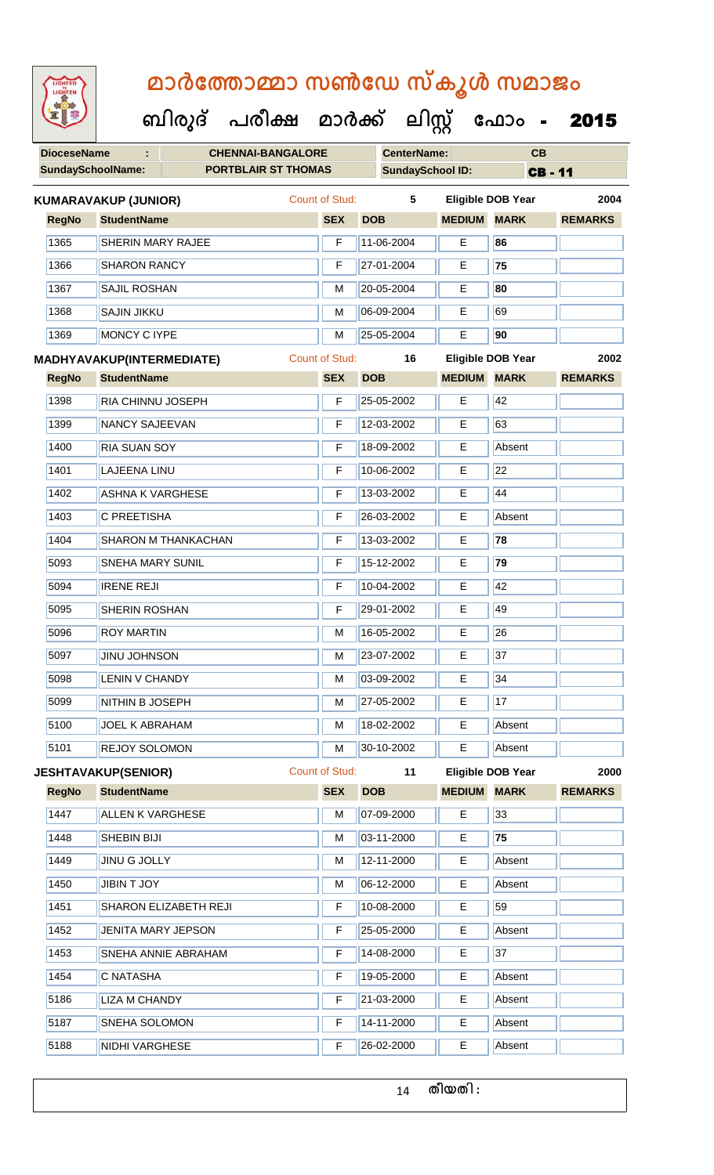| LIGHTED<br>LIGHTEN       | മാർത്തോമ്മാ സൺഡേ സ്കൂൾ സമാജം                      |                              |                         |               |                                  |                        |  |  |
|--------------------------|---------------------------------------------------|------------------------------|-------------------------|---------------|----------------------------------|------------------------|--|--|
|                          | ബിരുദ് പരീക്ഷ മാർക്ക് ലിസ്റ്റ് ഫോം -              |                              |                         |               |                                  | 2015                   |  |  |
| <b>DioceseName</b>       | <b>CHENNAI-BANGALORE</b>                          |                              | <b>CenterName:</b>      |               | CB                               |                        |  |  |
| <b>SundaySchoolName:</b> | <b>PORTBLAIR ST THOMAS</b>                        |                              | <b>SundaySchool ID:</b> |               | <b>CB-11</b>                     |                        |  |  |
| <b>RegNo</b>             | <b>KUMARAVAKUP (JUNIOR)</b><br><b>StudentName</b> | Count of Stud:<br><b>SEX</b> | 5<br><b>DOB</b>         | <b>MEDIUM</b> | Eligible DOB Year<br><b>MARK</b> | 2004<br><b>REMARKS</b> |  |  |
| 1365                     | SHERIN MARY RAJEE                                 | F                            | 11-06-2004              | E             | 86                               |                        |  |  |
| 1366                     | <b>SHARON RANCY</b>                               | F                            | 27-01-2004              | Е             | 75                               |                        |  |  |
| 1367                     | <b>SAJIL ROSHAN</b>                               | М                            | 20-05-2004              | Е             | 80                               |                        |  |  |
| 1368                     | <b>SAJIN JIKKU</b>                                | м                            | 06-09-2004              | E             | 69                               |                        |  |  |
| 1369                     | <b>MONCY C IYPE</b>                               | М                            | 25-05-2004              | Е             | 90                               |                        |  |  |
|                          | MADHYAVAKUP(INTERMEDIATE)                         | Count of Stud:               | 16                      |               | Eligible DOB Year                | 2002                   |  |  |
| <b>RegNo</b>             | <b>StudentName</b>                                | <b>SEX</b>                   | <b>DOB</b>              | <b>MEDIUM</b> | <b>MARK</b>                      | <b>REMARKS</b>         |  |  |
| 1398                     | <b>RIA CHINNU JOSEPH</b>                          | F                            | 25-05-2002              | Е             | 42                               |                        |  |  |
| 1399                     | <b>NANCY SAJEEVAN</b>                             | F                            | 12-03-2002              | E             | 63                               |                        |  |  |
| 1400                     | <b>RIA SUAN SOY</b>                               | F                            | 18-09-2002              | Е             | Absent                           |                        |  |  |
| 1401                     | <b>LAJEENA LINU</b>                               | F                            | 10-06-2002              | E             | 22                               |                        |  |  |
| 1402                     | <b>ASHNA K VARGHESE</b>                           | F                            | 13-03-2002              | E             | 44                               |                        |  |  |
| 1403                     | C PREETISHA                                       | F                            | 26-03-2002              | Е             | Absent                           |                        |  |  |
| 1404                     | <b>SHARON M THANKACHAN</b>                        | F                            | 13-03-2002              | Е             | 78                               |                        |  |  |
| 5093                     | <b>SNEHA MARY SUNIL</b>                           | F                            | 15-12-2002              | E             | 79                               |                        |  |  |
| 5094                     | <b>IRENE REJI</b>                                 | F                            | 10-04-2002              | E.            | 42                               |                        |  |  |
| 5095                     | SHERIN ROSHAN                                     | F                            | 29-01-2002              | Е             | 49                               |                        |  |  |
| 5096                     | <b>ROY MARTIN</b>                                 | M                            | 16-05-2002              | Е             | 26                               |                        |  |  |
| 5097                     | <b>JINU JOHNSON</b>                               | M                            | 23-07-2002              | Е             | 37                               |                        |  |  |
| 5098                     | LENIN V CHANDY                                    | M                            | 03-09-2002              | Е             | 34                               |                        |  |  |
| 5099                     | NITHIN B JOSEPH                                   | M                            | 27-05-2002              | E             | 17                               |                        |  |  |
| 5100                     | <b>JOEL K ABRAHAM</b>                             | M                            | 18-02-2002              | E.            | Absent                           |                        |  |  |
| 5101                     | <b>REJOY SOLOMON</b>                              | M                            | 30-10-2002              | Е             | Absent                           |                        |  |  |
|                          | <b>JESHTAVAKUP(SENIOR)</b>                        | Count of Stud:               | 11                      |               | Eligible DOB Year                | 2000                   |  |  |
| <b>RegNo</b>             | <b>StudentName</b>                                | <b>SEX</b>                   | <b>DOB</b>              | <b>MEDIUM</b> | <b>MARK</b>                      | <b>REMARKS</b>         |  |  |
| 1447                     | <b>ALLEN K VARGHESE</b>                           | M                            | 07-09-2000              | Е             | 33                               |                        |  |  |
| 1448                     | SHEBIN BIJI                                       | м                            | 03-11-2000              | E.            | 75                               |                        |  |  |
| 1449                     | <b>JINU G JOLLY</b>                               | M                            | 12-11-2000              | Е             | Absent                           |                        |  |  |
| 1450                     | JIBIN T JOY                                       | M                            | 06-12-2000              | E             | Absent                           |                        |  |  |
| 1451                     | SHARON ELIZABETH REJI                             | F                            | 10-08-2000              | Е             | 59                               |                        |  |  |
| 1452                     | JENITA MARY JEPSON                                | F                            | 25-05-2000              | Е             | Absent                           |                        |  |  |
| 1453                     | SNEHA ANNIE ABRAHAM                               | F                            | 14-08-2000              | Е             | 37                               |                        |  |  |
| 1454                     | C NATASHA                                         | F                            | 19-05-2000              | E.            | Absent                           |                        |  |  |
| 5186                     | <b>LIZA M CHANDY</b>                              | F                            | 21-03-2000              | Е             | Absent                           |                        |  |  |
| 5187                     | SNEHA SOLOMON                                     | F                            | 14-11-2000              | Е             | Absent                           |                        |  |  |

5188 NIDHI VARGHESE **F** 26-02-2000 **E** Absent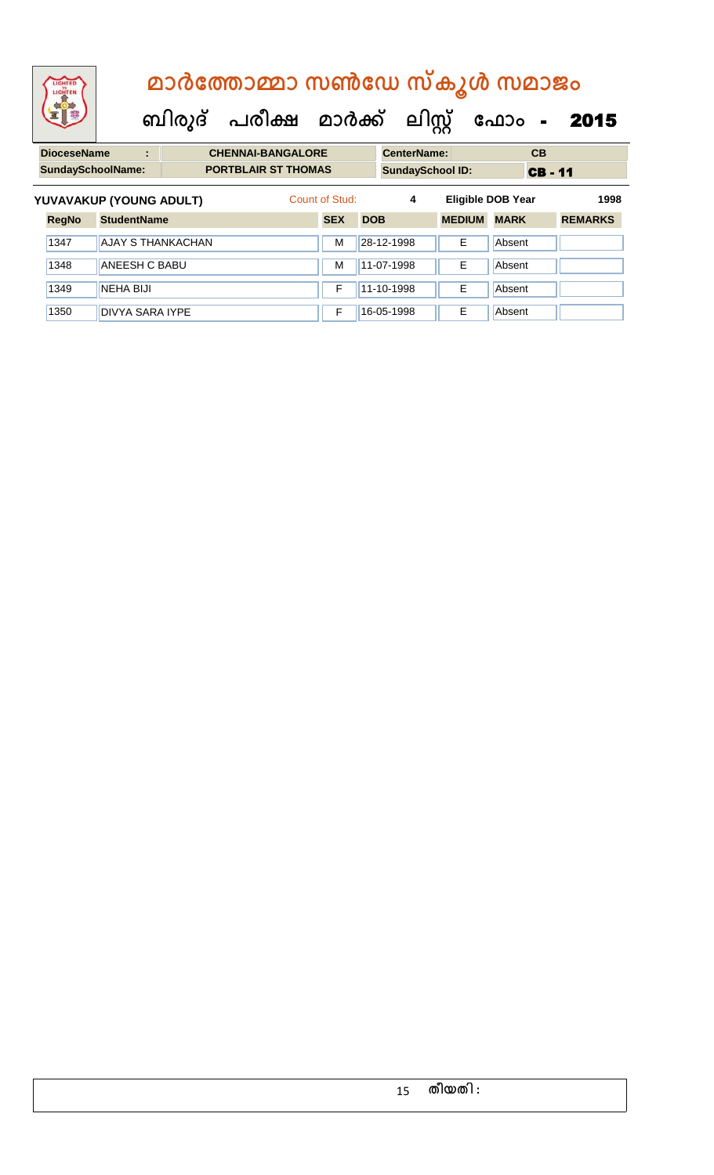| <b>IGHTED</b><br>LIGHTER |                    | മാർത്തോമ്മാ സൺഡേ സ്കൂൾ സമാജം |                          |                                |                |            |            |                    |                          |             |              |                |
|--------------------------|--------------------|------------------------------|--------------------------|--------------------------------|----------------|------------|------------|--------------------|--------------------------|-------------|--------------|----------------|
|                          |                    |                              |                          | ബിരുദ് പരീക്ഷ മാർക്ക് ലിസ്റ്റ് |                |            |            |                    |                          | ഫോം -       |              | 2015           |
| <b>DioceseName</b>       |                    | ٠                            |                          | <b>CHENNAI-BANGALORE</b>       |                |            |            | <b>CenterName:</b> |                          |             | <b>CB</b>    |                |
| <b>SundaySchoolName:</b> |                    |                              |                          | <b>PORTBLAIR ST THOMAS</b>     |                |            |            |                    | <b>SundaySchool ID:</b>  |             | <b>CB-11</b> |                |
| YUVAVAKUP (YOUNG ADULT)  |                    |                              |                          |                                | Count of Stud: |            |            | 4                  | <b>Eligible DOB Year</b> |             |              | 1998           |
| <b>RegNo</b>             | <b>StudentName</b> |                              |                          |                                | <b>SEX</b>     | <b>DOB</b> |            |                    | <b>MEDIUM</b>            | <b>MARK</b> |              | <b>REMARKS</b> |
| 1347                     |                    |                              | <b>AJAY S THANKACHAN</b> |                                | M              |            | 28-12-1998 |                    | F                        | Absent      |              |                |

1348 ANEESH C BABU M 11-07-1998 E Absent

1349 NEHA BIJI F 11-10-1998 E Absent 1350 DIVYA SARA IYPE **F** 16-05-1998 **E** Absent

| 15 | തീയതി : |  |
|----|---------|--|
|----|---------|--|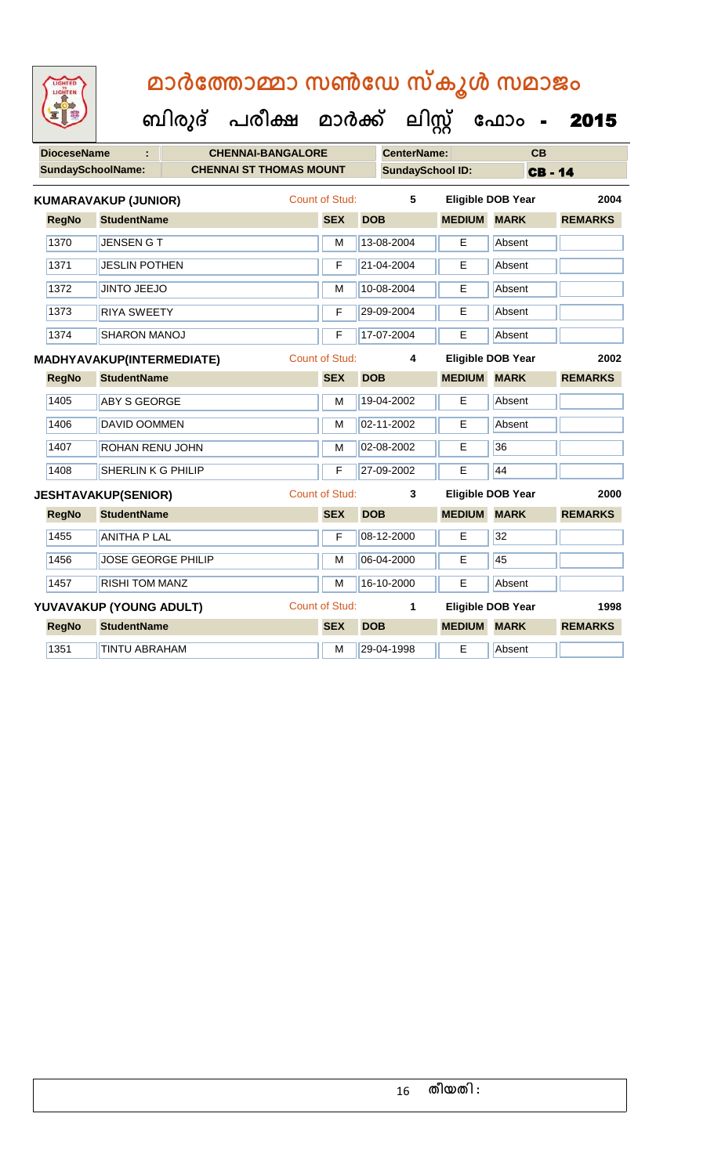| LIGHTED<br>LIGHTEN |                             | മാർത്തോമ്മാ സൺഡേ സ്കൂൾ സമാജം         |                       |            |                         |                    |                          |                |
|--------------------|-----------------------------|--------------------------------------|-----------------------|------------|-------------------------|--------------------|--------------------------|----------------|
|                    |                             | ബിരുദ് പരീക്ഷ മാർക്ക് ലിസ്റ്റ് ഫോം - |                       |            |                         |                    |                          | 2015           |
| <b>DioceseName</b> | ÷.                          | <b>CHENNAI-BANGALORE</b>             |                       |            | <b>CenterName:</b>      |                    | CB                       |                |
|                    | <b>SundaySchoolName:</b>    | <b>CHENNAI ST THOMAS MOUNT</b>       |                       |            | <b>SundaySchool ID:</b> |                    |                          | <b>CB-14</b>   |
|                    | <b>KUMARAVAKUP (JUNIOR)</b> |                                      | Count of Stud:        |            | 5                       |                    | <b>Eligible DOB Year</b> | 2004           |
| <b>RegNo</b>       | <b>StudentName</b>          |                                      | <b>SEX</b>            | <b>DOB</b> |                         | <b>MEDIUM</b>      | <b>MARK</b>              | <b>REMARKS</b> |
| 1370               | <b>JENSEN GT</b>            |                                      | M                     |            | 13-08-2004              | E                  | Absent                   |                |
| 1371               | <b>JESLIN POTHEN</b>        |                                      | F                     |            | 21-04-2004              | E                  | Absent                   |                |
| 1372               | <b>JINTO JEEJO</b>          |                                      | м                     |            | 10-08-2004              | E                  | Absent                   |                |
| 1373               | <b>RIYA SWEETY</b>          |                                      | F                     |            | 29-09-2004              | E                  | Absent                   |                |
| 1374               | <b>SHARON MANOJ</b>         |                                      | F                     |            | 17-07-2004              | E                  | Absent                   |                |
|                    | MADHYAVAKUP(INTERMEDIATE)   |                                      | Count of Stud:        |            | 4                       |                    | <b>Eligible DOB Year</b> | 2002           |
| <b>RegNo</b>       | <b>StudentName</b>          |                                      | <b>SEX</b>            | <b>DOB</b> |                         | <b>MEDIUM</b>      | <b>MARK</b>              | <b>REMARKS</b> |
| 1405               | <b>ABY S GEORGE</b>         |                                      | м                     |            | 19-04-2002              | E.                 | Absent                   |                |
| 1406               | <b>DAVID OOMMEN</b>         |                                      | M                     |            | 02-11-2002              | E.                 | Absent                   |                |
| 1407               | ROHAN RENU JOHN             |                                      | м                     |            | 02-08-2002              | Е                  | 36                       |                |
| 1408               | SHERLIN K G PHILIP          |                                      | F                     |            | 27-09-2002              | Е                  | 44                       |                |
|                    | <b>JESHTAVAKUP(SENIOR)</b>  |                                      | Count of Stud:        |            | 3                       |                    | <b>Eligible DOB Year</b> | 2000           |
| <b>RegNo</b>       | <b>StudentName</b>          |                                      | <b>SEX</b>            | <b>DOB</b> |                         | <b>MEDIUM</b>      | <b>MARK</b>              | <b>REMARKS</b> |
| 1455               | <b>ANITHA P LAL</b>         |                                      | F                     |            | 08-12-2000              | E.                 | 32                       |                |
| 1456               | <b>JOSE GEORGE PHILIP</b>   |                                      | м                     |            | 06-04-2000              | E                  | 45                       |                |
| 1457               | <b>RISHI TOM MANZ</b>       |                                      | M                     |            | 16-10-2000              | E                  | Absent                   |                |
|                    | YUVAVAKUP (YOUNG ADULT)     |                                      | <b>Count of Stud:</b> |            | 1                       |                    | <b>Eligible DOB Year</b> | 1998           |
| <b>RegNo</b>       | <b>StudentName</b>          |                                      | <b>SEX</b>            | <b>DOB</b> |                         | <b>MEDIUM MARK</b> |                          | <b>REMARKS</b> |
| 1351               | <b>TINTU ABRAHAM</b>        |                                      | м                     |            | 29-04-1998              | E                  | Absent                   |                |
|                    |                             |                                      |                       |            |                         |                    |                          |                |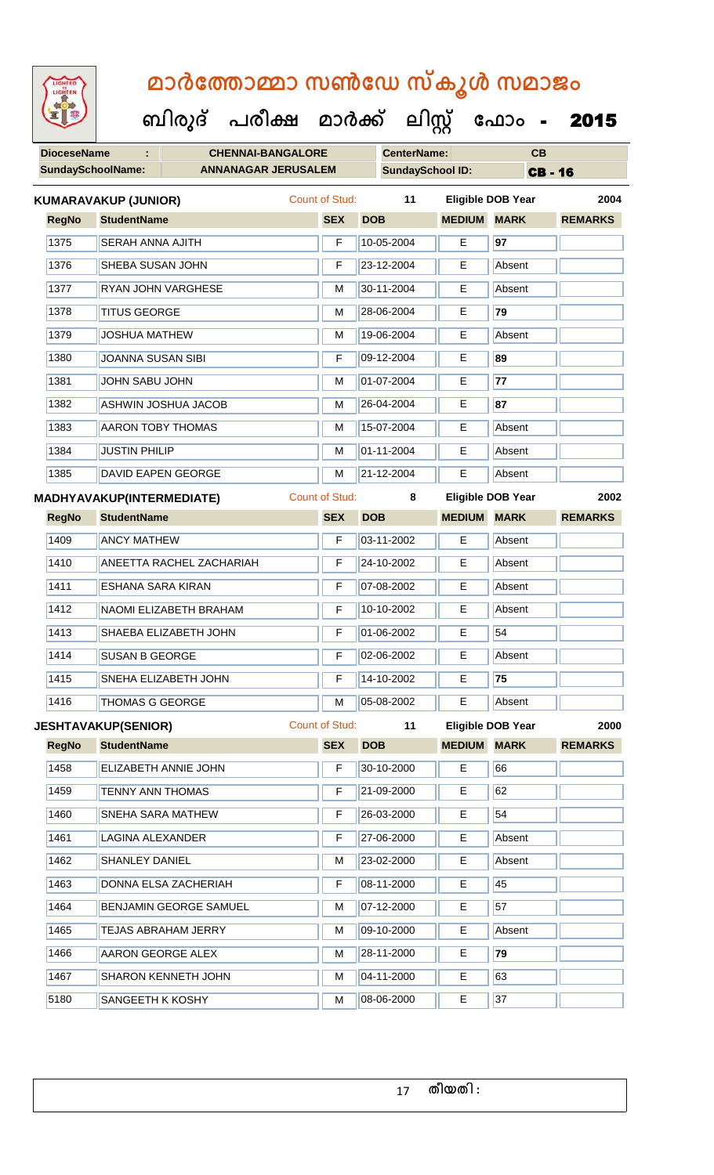**ബിരുദ് പരീക്ഷ മാര്ക് ക ലിസ്റ്റ ക ഫ ാോം** - 2015

| <b>DioceseName</b> | ÷                                | <b>CHENNAI-BANGALORE</b>        |                       |                 | <b>CenterName:</b>      |               | CB                       |                |
|--------------------|----------------------------------|---------------------------------|-----------------------|-----------------|-------------------------|---------------|--------------------------|----------------|
|                    | SundaySchoolName:                | <b>ANNANAGAR JERUSALEM</b>      |                       |                 | <b>SundaySchool ID:</b> |               | <b>CB-16</b>             |                |
|                    | <b>KUMARAVAKUP (JUNIOR)</b>      |                                 | Count of Stud:        |                 | 11                      |               | <b>Eligible DOB Year</b> | 2004           |
| <b>RegNo</b>       | <b>StudentName</b>               |                                 | <b>SEX</b>            | <b>DOB</b>      |                         | <b>MEDIUM</b> | <b>MARK</b>              | <b>REMARKS</b> |
| 1375               | <b>SERAH ANNA AJITH</b>          |                                 | F                     |                 | 10-05-2004              | Е             | 97                       |                |
| 1376               | SHEBA SUSAN JOHN                 |                                 | F                     |                 | 23-12-2004              | Е             | Absent                   |                |
| 1377               |                                  | RYAN JOHN VARGHESE              | M                     |                 | 30-11-2004              | Е             | Absent                   |                |
| 1378               | <b>TITUS GEORGE</b>              |                                 | М                     |                 | 28-06-2004              | E.            | 79                       |                |
| 1379               | <b>JOSHUA MATHEW</b>             |                                 | M                     |                 | 19-06-2004              | E             | Absent                   |                |
| 1380               | <b>JOANNA SUSAN SIBI</b>         |                                 | F                     |                 | 09-12-2004              | E             | 89                       |                |
| 1381               | JOHN SABU JOHN                   |                                 | М                     |                 | 01-07-2004              | E             | 77                       |                |
| 1382               |                                  | <b>ASHWIN JOSHUA JACOB</b>      | М                     |                 | 26-04-2004              | Е             | 87                       |                |
| 1383               | <b>AARON TOBY THOMAS</b>         |                                 | M                     |                 | 15-07-2004              | E             | Absent                   |                |
| 1384               | <b>JUSTIN PHILIP</b>             |                                 | М                     |                 | 01-11-2004              | E             | Absent                   |                |
| 1385               |                                  | <b>DAVID EAPEN GEORGE</b>       | M                     |                 | 21-12-2004              | E             | Absent                   |                |
|                    | <b>MADHYAVAKUP(INTERMEDIATE)</b> |                                 | <b>Count of Stud:</b> |                 | 8                       |               | <b>Eligible DOB Year</b> | 2002           |
| <b>RegNo</b>       | <b>StudentName</b>               |                                 | <b>SEX</b>            | <b>DOB</b>      |                         | <b>MEDIUM</b> | <b>MARK</b>              | <b>REMARKS</b> |
| 1409               | <b>ANCY MATHEW</b>               |                                 | F                     |                 | 03-11-2002              | Е             | Absent                   |                |
| 1410               |                                  | <b>ANEETTA RACHEL ZACHARIAH</b> | F                     |                 | 24-10-2002              | E             | Absent                   |                |
| 1411               | ESHANA SARA KIRAN                |                                 | F                     |                 | 07-08-2002              | Е             | Absent                   |                |
| 1412               |                                  | NAOMI ELIZABETH BRAHAM          | F                     |                 | 10-10-2002              | E             | Absent                   |                |
| 1413               |                                  | SHAEBA ELIZABETH JOHN           | F                     |                 | 01-06-2002              | Е             | 54                       |                |
| 1414               | SUSAN B GEORGE                   |                                 | F                     |                 | 02-06-2002              | E             | Absent                   |                |
| 1415               |                                  | SNEHA ELIZABETH JOHN            | F                     |                 | 14-10-2002              | E.            | 75                       |                |
| 1416               | <b>THOMAS G GEORGE</b>           |                                 | M                     |                 | 05-08-2002              | E             | Absent                   |                |
|                    | <b>JESHTAVAKUP(SENIOR)</b>       |                                 | Count of Stud:        |                 | 11                      |               | Eligible DOB Year        | 2000           |
| <b>RegNo</b>       | <b>StudentName</b>               |                                 | <b>SEX</b>            | <b>DOB</b>      |                         | <b>MEDIUM</b> | <b>MARK</b>              | <b>REMARKS</b> |
| 1458               |                                  | ELIZABETH ANNIE JOHN            | F                     |                 | 30-10-2000              | E             | 66                       |                |
| 1459               | <b>TENNY ANN THOMAS</b>          |                                 | F                     |                 | 21-09-2000              | E             | 62                       |                |
| 1460               |                                  | SNEHA SARA MATHEW               | F                     |                 | 26-03-2000              | E             | 54                       |                |
| 1461               | LAGINA ALEXANDER                 |                                 | F                     | 27-06-2000<br>E |                         |               | Absent                   |                |
| 1462               | SHANLEY DANIEL                   |                                 | M                     |                 | 23-02-2000              | Е             | Absent                   |                |
| 1463               |                                  | DONNA ELSA ZACHERIAH            | F                     |                 | 08-11-2000              | E             | 45                       |                |
| 1464               |                                  | BENJAMIN GEORGE SAMUEL          | M                     |                 | 07-12-2000              | E             | 57                       |                |

**TEJAS ABRAHAM JERRY** M M 09-10-2000 **E** Absent

1466 AARON GEORGE ALEX **M** 28-11-2000 **E** 79 1467 SHARON KENNETH JOHN M 04-11-2000 E 63 5180 SANGEETH K KOSHY M 08-06-2000 E 37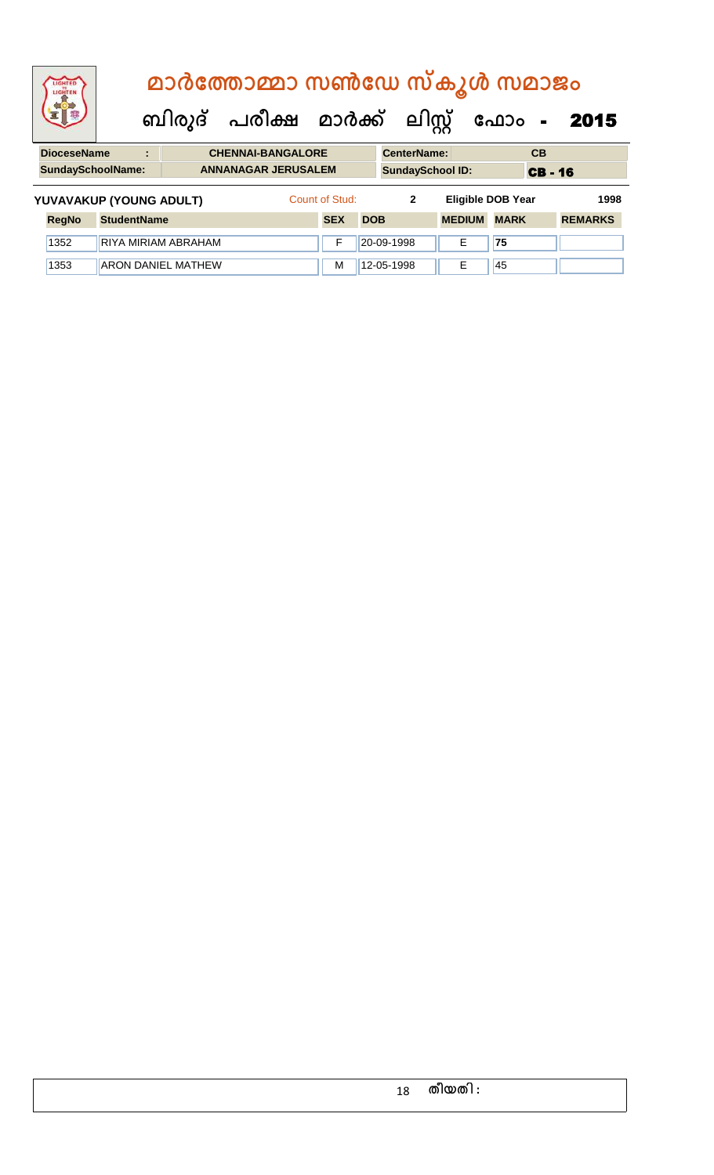|                                                        | LIGHTED<br>LIGHTEN      | മാർത്തോമ്മാ സൺഡേ സ്കൂൾ സമാജം |  |                            |  |                                |                         |                    |                          |              |    |                |      |
|--------------------------------------------------------|-------------------------|------------------------------|--|----------------------------|--|--------------------------------|-------------------------|--------------------|--------------------------|--------------|----|----------------|------|
|                                                        |                         |                              |  |                            |  | ബിരുദ് പരീക്ഷ മാർക്ക് ലിസ്റ്റ് |                         |                    | ഫോം<br>$\sim$            |              |    | 2015           |      |
| <b>DioceseName</b><br><b>CHENNAI-BANGALORE</b><br>÷    |                         |                              |  |                            |  |                                |                         | <b>CenterName:</b> |                          |              | CB |                |      |
| <b>SundaySchoolName:</b><br><b>ANNANAGAR JERUSALEM</b> |                         |                              |  |                            |  |                                | <b>SundaySchool ID:</b> |                    |                          | <b>CB-16</b> |    |                |      |
|                                                        | YUVAVAKUP (YOUNG ADULT) |                              |  |                            |  | Count of Stud:                 |                         | $\mathbf{2}$       | <b>Eligible DOB Year</b> |              |    |                | 1998 |
|                                                        | <b>RegNo</b>            | <b>StudentName</b>           |  |                            |  | <b>SEX</b>                     | <b>DOB</b>              |                    | <b>MEDIUM</b>            | <b>MARK</b>  |    | <b>REMARKS</b> |      |
|                                                        | 1352                    |                              |  | <b>RIYA MIRIAM ABRAHAM</b> |  | F                              |                         | 20-09-1998         | Е                        | 75           |    |                |      |
|                                                        | 1353                    |                              |  | <b>ARON DANIEL MATHEW</b>  |  | M                              |                         | 12-05-1998         | F                        | 45           |    |                |      |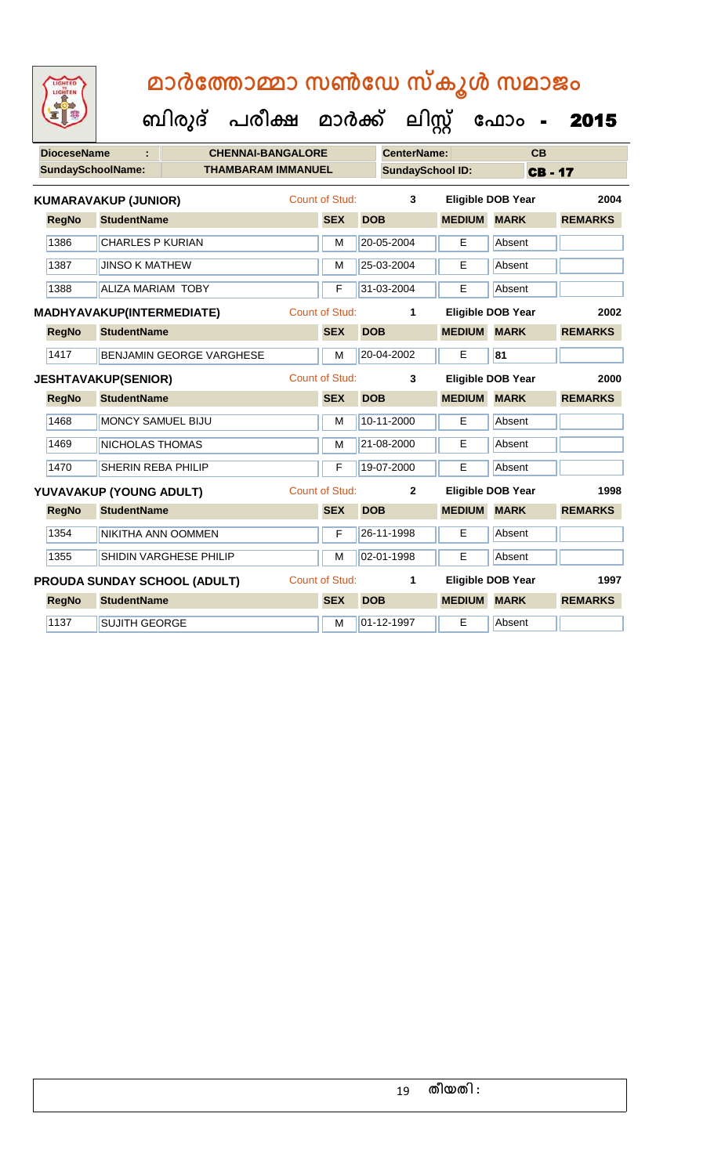| 92                       |                                     | ബിരുദ് | പരീക്ഷ                    | മാർക്ക്               |            | ലിസ്റ്റ്                |                    | ഫോം                      | 2015           |
|--------------------------|-------------------------------------|--------|---------------------------|-----------------------|------------|-------------------------|--------------------|--------------------------|----------------|
| <b>DioceseName</b>       |                                     |        | <b>CHENNAI-BANGALORE</b>  |                       |            | <b>CenterName:</b>      |                    | CB                       |                |
| <b>SundaySchoolName:</b> |                                     |        | <b>THAMBARAM IMMANUEL</b> |                       |            | <b>SundaySchool ID:</b> |                    | <b>CB-17</b>             |                |
|                          | <b>KUMARAVAKUP (JUNIOR)</b>         |        |                           | <b>Count of Stud:</b> |            | 3                       |                    | <b>Eligible DOB Year</b> | 2004           |
| <b>RegNo</b>             | <b>StudentName</b>                  |        |                           | <b>SEX</b>            | <b>DOB</b> |                         | <b>MEDIUM MARK</b> |                          | <b>REMARKS</b> |
| 1386                     | <b>CHARLES P KURIAN</b>             |        |                           | M                     |            | 20-05-2004              | E                  | Absent                   |                |
| 1387                     | <b>JINSO K MATHEW</b>               |        |                           | M                     |            | 25-03-2004              | E                  | Absent                   |                |
| 1388                     | <b>ALIZA MARIAM TOBY</b>            |        |                           | F                     |            | 31-03-2004              | E                  | Absent                   |                |
|                          | MADHYAVAKUP(INTERMEDIATE)           |        |                           | <b>Count of Stud:</b> |            | 1                       |                    | <b>Eligible DOB Year</b> | 2002           |
| <b>RegNo</b>             | <b>StudentName</b>                  |        |                           | <b>SEX</b>            | <b>DOB</b> |                         | <b>MEDIUM</b>      | <b>MARK</b>              | <b>REMARKS</b> |
| 1417                     | <b>BENJAMIN GEORGE VARGHESE</b>     |        |                           | M                     |            | 20-04-2002              | E                  | 81                       |                |
|                          | <b>JESHTAVAKUP(SENIOR)</b>          |        |                           | <b>Count of Stud:</b> |            | 3                       |                    | <b>Eligible DOB Year</b> | 2000           |
| <b>RegNo</b>             | <b>StudentName</b>                  |        |                           | <b>SEX</b>            | <b>DOB</b> |                         | <b>MEDIUM</b>      | <b>MARK</b>              | <b>REMARKS</b> |
| 1468                     | <b>MONCY SAMUEL BIJU</b>            |        |                           | M                     |            | 10-11-2000              | E                  | Absent                   |                |
| 1469                     | <b>NICHOLAS THOMAS</b>              |        |                           | M                     |            | 21-08-2000              | E                  | Absent                   |                |
| 1470                     | SHERIN REBA PHILIP                  |        |                           | F                     |            | 19-07-2000              | E                  | Absent                   |                |
|                          | YUVAVAKUP (YOUNG ADULT)             |        |                           | <b>Count of Stud:</b> |            | $\mathbf{2}$            |                    | <b>Eligible DOB Year</b> | 1998           |
| <b>RegNo</b>             | <b>StudentName</b>                  |        |                           | <b>SEX</b>            | <b>DOB</b> |                         | <b>MEDIUM</b>      | <b>MARK</b>              | <b>REMARKS</b> |
| 1354                     | NIKITHA ANN OOMMEN                  |        |                           | F                     |            | 26-11-1998              | E                  | Absent                   |                |
| 1355                     | SHIDIN VARGHESE PHILIP              |        |                           | M                     |            | 02-01-1998              | E                  | Absent                   |                |
|                          | <b>PROUDA SUNDAY SCHOOL (ADULT)</b> |        |                           | <b>Count of Stud:</b> |            | 1                       |                    | Eligible DOB Year        | 1997           |
| <b>RegNo</b>             | <b>StudentName</b>                  |        |                           | <b>SEX</b>            | <b>DOB</b> |                         | <b>MEDIUM</b>      | <b>MARK</b>              | <b>REMARKS</b> |
| 1137                     | <b>SUJITH GEORGE</b>                |        |                           | M                     |            | 01-12-1997              | Е                  | Absent                   |                |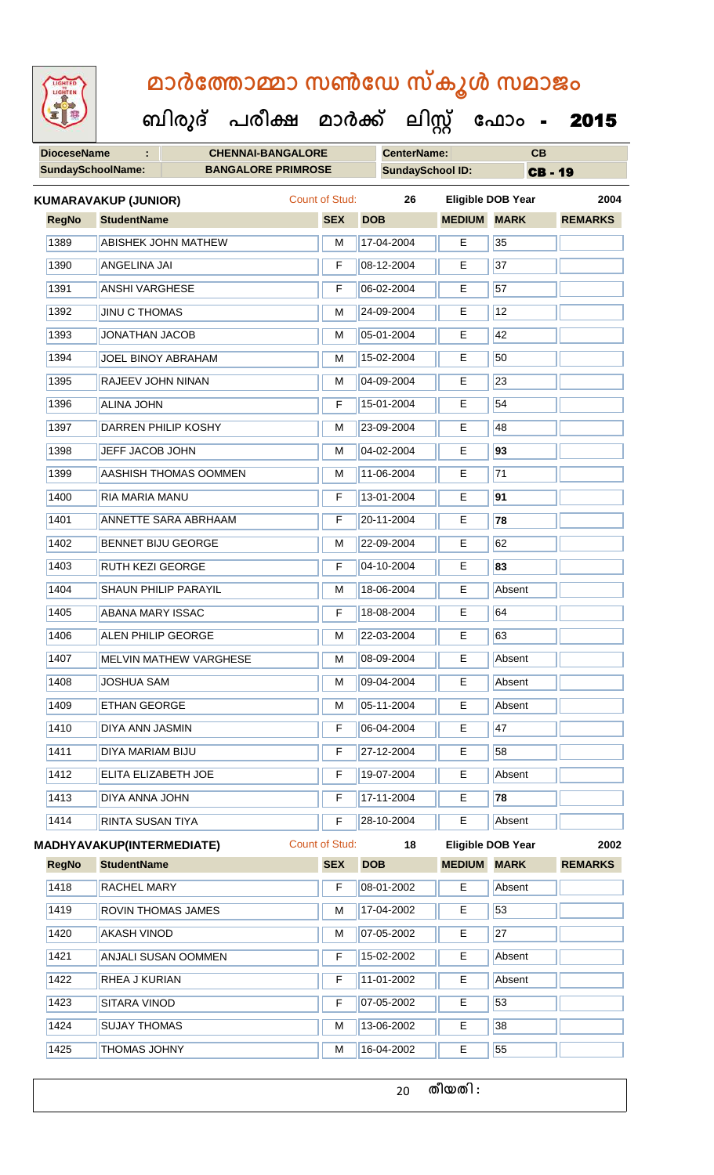**ബിരുദ് പരീക്ഷ മാര്ക് ക ലിസ്റ്റ ക ഫ ാോം** - 2015

| <b>DioceseName</b>       | ÷.                               | <b>CHENNAI-BANGALORE</b>      |                |            | <b>CenterName:</b>      |               | CB                       |                |
|--------------------------|----------------------------------|-------------------------------|----------------|------------|-------------------------|---------------|--------------------------|----------------|
| <b>SundaySchoolName:</b> |                                  | <b>BANGALORE PRIMROSE</b>     |                |            | <b>SundaySchool ID:</b> |               | <b>CB-19</b>             |                |
|                          | <b>KUMARAVAKUP (JUNIOR)</b>      |                               | Count of Stud: |            | 26                      |               | Eligible DOB Year        | 2004           |
| <b>RegNo</b>             | <b>StudentName</b>               |                               | <b>SEX</b>     | <b>DOB</b> |                         | <b>MEDIUM</b> | <b>MARK</b>              | <b>REMARKS</b> |
| 1389                     |                                  | <b>ABISHEK JOHN MATHEW</b>    | M              |            | 17-04-2004              | E             | 35                       |                |
| 1390                     | <b>ANGELINA JAI</b>              |                               | F              |            | 08-12-2004              | E             | 37                       |                |
| 1391                     | <b>ANSHI VARGHESE</b>            |                               | F              |            | 06-02-2004              | Е             | 57                       |                |
| 1392                     | <b>JINU C THOMAS</b>             |                               | M              |            | 24-09-2004              | E             | 12                       |                |
| 1393                     | <b>JONATHAN JACOB</b>            |                               | M              |            | 05-01-2004              | E             | 42                       |                |
| 1394                     |                                  | JOEL BINOY ABRAHAM            | M              |            | 15-02-2004              | E             | 50                       |                |
| 1395                     | RAJEEV JOHN NINAN                |                               | M              |            | 04-09-2004              | Е             | 23                       |                |
| 1396                     | <b>ALINA JOHN</b>                |                               | F              |            | 15-01-2004              | Е             | 54                       |                |
| 1397                     |                                  | DARREN PHILIP KOSHY           | M              |            | 23-09-2004              | Е             | 48                       |                |
| 1398                     | JEFF JACOB JOHN                  |                               | M              |            | 04-02-2004              | E             | 93                       |                |
| 1399                     |                                  | <b>AASHISH THOMAS OOMMEN</b>  | M              |            | 11-06-2004              | E             | 71                       |                |
| 1400                     | RIA MARIA MANU                   |                               | F              |            | 13-01-2004              | Е             | 91                       |                |
| 1401                     |                                  | <b>ANNETTE SARA ABRHAAM</b>   | F              |            | 20-11-2004              | Е             | 78                       |                |
| 1402                     |                                  | <b>BENNET BIJU GEORGE</b>     | M              |            | 22-09-2004              | Е             | 62                       |                |
| 1403                     | <b>RUTH KEZI GEORGE</b>          |                               | F              |            | 04-10-2004              | E             | 83                       |                |
| 1404                     |                                  | SHAUN PHILIP PARAYIL          | M              |            | 18-06-2004              | E             | Absent                   |                |
| 1405                     | <b>ABANA MARY ISSAC</b>          |                               | F              |            | 18-08-2004              | E             | 64                       |                |
| 1406                     | <b>ALEN PHILIP GEORGE</b>        |                               | M              |            | 22-03-2004              | E             | 63                       |                |
| 1407                     |                                  | <b>MELVIN MATHEW VARGHESE</b> | M              |            | 08-09-2004              | E             | Absent                   |                |
| 1408                     | <b>JOSHUA SAM</b>                |                               | м              |            | 09-04-2004              | Е             | Absent                   |                |
| 1409                     | ETHAN GEORGE                     |                               | M              |            | 05-11-2004              | E             | Absent                   |                |
| 1410                     | DIYA ANN JASMIN                  |                               | F              |            | 06-04-2004              | E             | 47                       |                |
| 1411                     | DIYA MARIAM BIJU                 |                               | F              |            | 27-12-2004              | Е             | 58                       |                |
| 1412                     | ELITA ELIZABETH JOE              |                               | F              |            | 19-07-2004              | Е             | Absent                   |                |
| 1413                     | DIYA ANNA JOHN                   |                               | F              |            | 17-11-2004              | E.            | 78                       |                |
| 1414                     | RINTA SUSAN TIYA                 |                               | F              |            | 28-10-2004              | E             | Absent                   |                |
|                          | <b>MADHYAVAKUP(INTERMEDIATE)</b> |                               | Count of Stud: |            | 18                      |               | <b>Eligible DOB Year</b> | 2002           |
| <b>RegNo</b>             | <b>StudentName</b>               |                               | <b>SEX</b>     | <b>DOB</b> |                         | <b>MEDIUM</b> | <b>MARK</b>              | <b>REMARKS</b> |
| 1418                     | RACHEL MARY                      |                               | F              |            | 08-01-2002              | E             | Absent                   |                |
| 1419                     |                                  | ROVIN THOMAS JAMES            | M              |            | 17-04-2002              | E             | 53                       |                |
| 1420                     | <b>AKASH VINOD</b>               |                               | M              |            | 07-05-2002              | E             | 27                       |                |

1421 ANJALI SUSAN OOMMEN F 15-02-2002 E Absent

1422 RHEA J KURIAN F 11-01-2002 E Absent

1423 SITARA VINOD **F** 07-05-2002 **E** 53

1424 SUJAY THOMAS M 13-06-2002 E 38

THOMAS JOHNY M 16-04-2002 E 55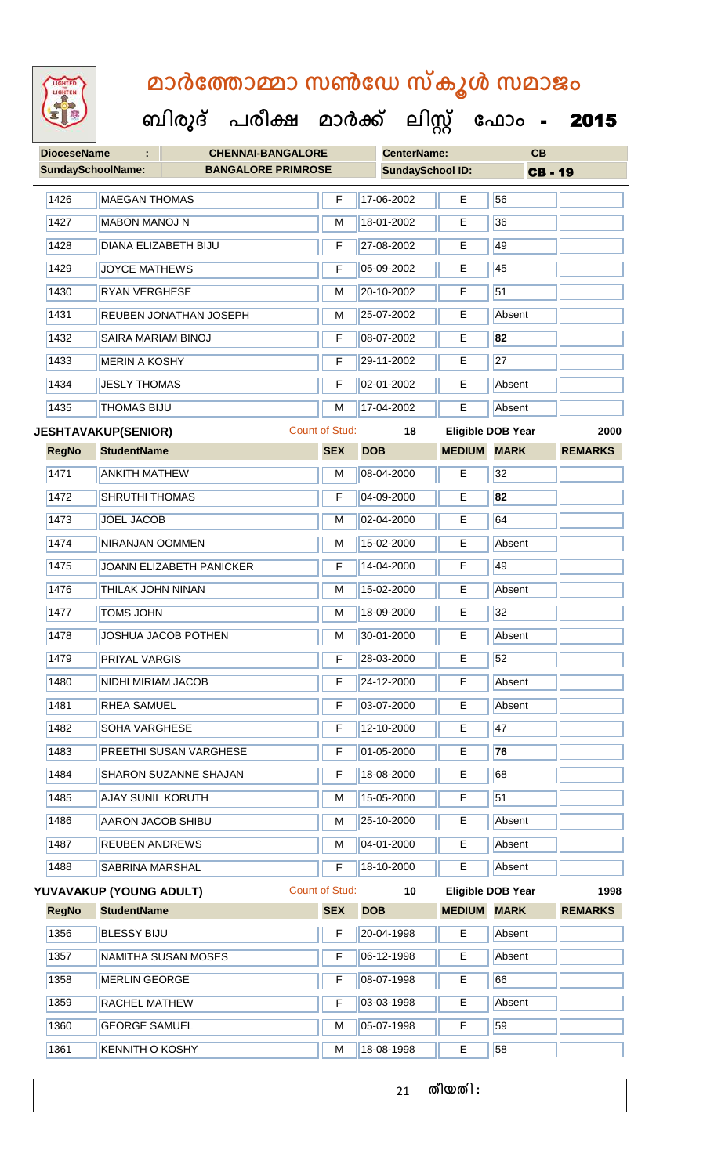

#### **ബിരുദ് പരീക്ഷ മാര്ക് ക ലിസ്റ്റ ക ഫ ാോം** - 2015

| <b>DioceseName</b><br>÷  |                            | <b>CHENNAI-BANGALORE</b>  |                         | <b>CenterName:</b> |    | CB            |                          |                |  |
|--------------------------|----------------------------|---------------------------|-------------------------|--------------------|----|---------------|--------------------------|----------------|--|
| <b>SundaySchoolName:</b> |                            | <b>BANGALORE PRIMROSE</b> | <b>SundaySchool ID:</b> |                    |    |               | <b>CB-19</b>             |                |  |
| 1426                     | <b>MAEGAN THOMAS</b>       |                           | F                       | 17-06-2002         |    | E             | 56                       |                |  |
| 1427                     | <b>MABON MANOJ N</b>       |                           | M                       | 18-01-2002         |    | E             | 36                       |                |  |
| 1428                     | DIANA ELIZABETH BIJU       |                           | F                       | 27-08-2002         |    | E             | 49                       |                |  |
| 1429                     | <b>JOYCE MATHEWS</b>       |                           | F                       | 05-09-2002         |    | Е             | 45                       |                |  |
| 1430                     | <b>RYAN VERGHESE</b>       |                           | M                       | 20-10-2002         |    | Е             | 51                       |                |  |
| 1431                     |                            | REUBEN JONATHAN JOSEPH    | M                       | 25-07-2002         |    | E             | Absent                   |                |  |
| 1432                     | SAIRA MARIAM BINOJ         |                           | F                       | 08-07-2002         |    | E             | 82                       |                |  |
| 1433                     | <b>MERIN A KOSHY</b>       |                           | F                       | 29-11-2002         |    | Е             | $\overline{27}$          |                |  |
| 1434                     | <b>JESLY THOMAS</b>        |                           | F                       | 02-01-2002         |    | Е             | Absent                   |                |  |
| 1435                     | <b>THOMAS BIJU</b>         |                           | M                       | 17-04-2002         |    | Е             | Absent                   |                |  |
|                          | <b>JESHTAVAKUP(SENIOR)</b> |                           | <b>Count of Stud:</b>   |                    | 18 |               | <b>Eligible DOB Year</b> | 2000           |  |
| <b>RegNo</b>             | <b>StudentName</b>         |                           | <b>SEX</b>              | <b>DOB</b>         |    | <b>MEDIUM</b> | <b>MARK</b>              | <b>REMARKS</b> |  |
| 1471                     | <b>ANKITH MATHEW</b>       |                           | M                       | 08-04-2000         |    | E             | 32                       |                |  |
| 1472                     | <b>SHRUTHI THOMAS</b>      |                           | F                       | 04-09-2000         |    | E             | 82                       |                |  |
| 1473                     | <b>JOEL JACOB</b>          |                           | M                       | 02-04-2000         |    | Е             | 64                       |                |  |
| 1474                     | NIRANJAN OOMMEN            |                           | M                       | 15-02-2000         |    | Е             | Absent                   |                |  |
| 1475                     |                            | JOANN ELIZABETH PANICKER  | F                       | 14-04-2000         |    | E             | 49                       |                |  |
| 1476                     | <b>THILAK JOHN NINAN</b>   |                           | M                       | 15-02-2000         |    | E             | Absent                   |                |  |
| 1477                     | <b>TOMS JOHN</b>           |                           | M                       | 18-09-2000         |    | E             | 32                       |                |  |
| 1478                     |                            | JOSHUA JACOB POTHEN       | M                       | 30-01-2000         |    | Е             | Absent                   |                |  |
| 1479                     | <b>PRIYAL VARGIS</b>       |                           | F                       | 28-03-2000         |    | Е             | 52                       |                |  |
| 1480                     | <b>NIDHI MIRIAM JACOB</b>  |                           | F.                      | 24-12-2000         |    | E.            | Absent                   |                |  |
| 1481                     | RHEA SAMUEL                |                           | F                       | 03-07-2000         |    | E             | Absent                   |                |  |
| 1482                     | SOHA VARGHESE              |                           | F                       | 12-10-2000         |    | Е             | 47                       |                |  |
| 1483                     |                            | PREETHI SUSAN VARGHESE    | F                       | 01-05-2000         |    | Е             | 76                       |                |  |
| 1484                     |                            | SHARON SUZANNE SHAJAN     | F                       | 18-08-2000         |    | E             | 68                       |                |  |
| 1485                     | <b>AJAY SUNIL KORUTH</b>   |                           | М                       | 15-05-2000         |    | Е             | 51                       |                |  |
| 1486                     | <b>AARON JACOB SHIBU</b>   |                           | M                       | 25-10-2000         |    | Е             | Absent                   |                |  |
| 1487                     | <b>REUBEN ANDREWS</b>      |                           | M                       | 04-01-2000         |    | Е             | Absent                   |                |  |
| 1488                     | SABRINA MARSHAL            |                           | F                       | 18-10-2000         |    | E             | Absent                   |                |  |
|                          | YUVAVAKUP (YOUNG ADULT)    |                           | Count of Stud:          |                    | 10 |               | <b>Eligible DOB Year</b> | 1998           |  |
| <b>RegNo</b>             | <b>StudentName</b>         |                           | <b>SEX</b>              | <b>DOB</b>         |    | <b>MEDIUM</b> | <b>MARK</b>              | <b>REMARKS</b> |  |
| 1356                     | <b>BLESSY BIJU</b>         |                           | F                       | 20-04-1998         |    | Е             | Absent                   |                |  |
| 1357                     |                            | NAMITHA SUSAN MOSES       | F                       | 06-12-1998         |    | E             | Absent                   |                |  |
| 1358                     | MERLIN GEORGE              |                           | F                       | 08-07-1998         |    | Е             | 66                       |                |  |
| 1359                     | RACHEL MATHEW              |                           | F                       | 03-03-1998         |    | Е             | Absent                   |                |  |
| 1360                     | <b>GEORGE SAMUEL</b>       |                           | M                       | 05-07-1998         |    | E.            | 59                       |                |  |
| 1361                     | <b>KENNITH O KOSHY</b>     |                           | M                       | 18-08-1998         |    | E             | 58                       |                |  |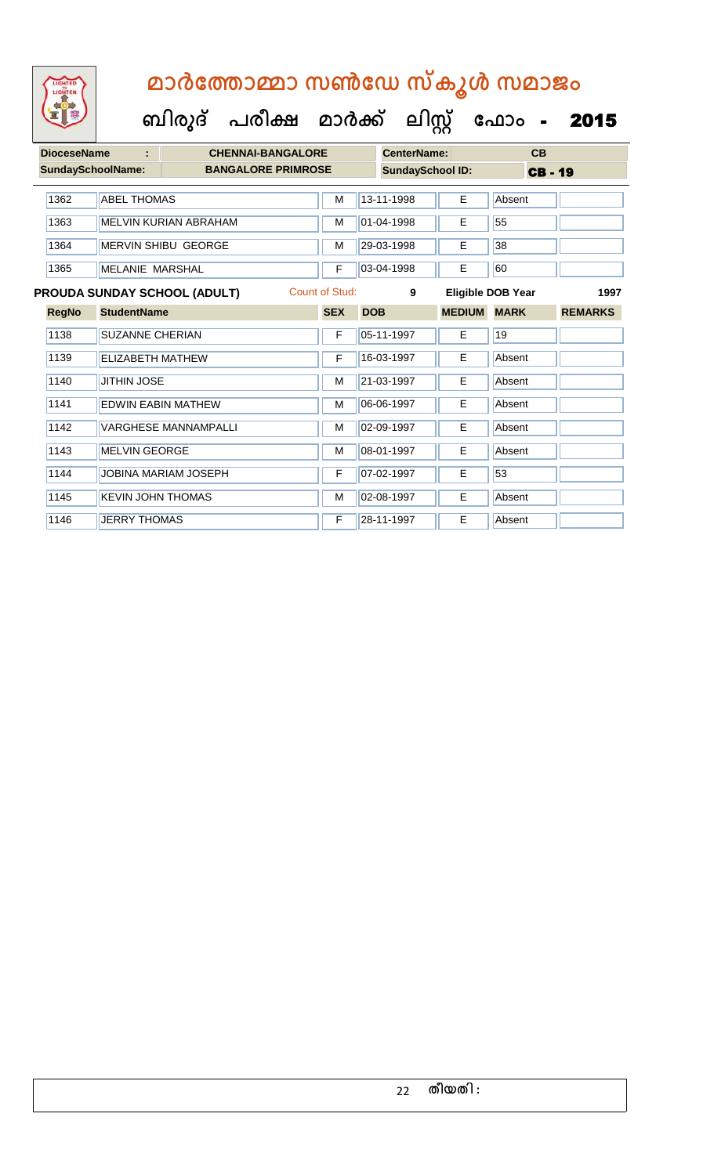**ബിരുദ് പരീക്ഷ മാര്ക് ക ലിസ്റ്റ ക ഫ ാോം** - 2015

| <b>DioceseName</b>       | ÷                        | <b>CHENNAI-BANGALORE</b>            |                       |            | CenterName:             |               | CB                |                |
|--------------------------|--------------------------|-------------------------------------|-----------------------|------------|-------------------------|---------------|-------------------|----------------|
| <b>SundaySchoolName:</b> |                          | <b>BANGALORE PRIMROSE</b>           |                       |            | <b>SundaySchool ID:</b> |               | <b>CB-19</b>      |                |
| 1362                     | <b>ABEL THOMAS</b>       |                                     | M                     |            | 13-11-1998              | E             | Absent            |                |
| 1363                     |                          | MELVIN KURIAN ABRAHAM               | M                     |            | 01-04-1998              | E             | 55                |                |
| 1364                     |                          | <b>MERVIN SHIBU GEORGE</b>          | М                     |            | 29-03-1998              | E.            | 38                |                |
| 1365                     | <b>MELANIE MARSHAL</b>   |                                     | F                     |            | 03-04-1998              | E             | 60                |                |
|                          |                          | <b>PROUDA SUNDAY SCHOOL (ADULT)</b> | <b>Count of Stud:</b> |            | 9                       |               | Eligible DOB Year | 1997           |
| <b>RegNo</b>             | <b>StudentName</b>       |                                     | <b>SEX</b>            | <b>DOB</b> |                         | <b>MEDIUM</b> | <b>MARK</b>       | <b>REMARKS</b> |
| 1138                     | <b>SUZANNE CHERIAN</b>   |                                     | F                     |            | 05-11-1997              | E             | 19                |                |
| 1139                     | <b>ELIZABETH MATHEW</b>  |                                     | F                     |            | 16-03-1997              | E             | Absent            |                |
| 1140                     | <b>JITHIN JOSE</b>       |                                     | M                     |            | 21-03-1997              | E             | Absent            |                |
| 1141                     |                          | <b>EDWIN EABIN MATHEW</b>           | M                     |            | 06-06-1997              | E             | Absent            |                |
| 1142                     |                          | <b>VARGHESE MANNAMPALLI</b>         | M                     |            | 02-09-1997              | E             | Absent            |                |
| 1143                     | <b>MELVIN GEORGE</b>     |                                     | M                     |            | 08-01-1997              | E             | Absent            |                |
| 1144                     |                          | <b>JOBINA MARIAM JOSEPH</b>         | F                     |            | 07-02-1997              | E             | 53                |                |
| 1145                     | <b>KEVIN JOHN THOMAS</b> |                                     | M                     |            | 02-08-1997              | E             | Absent            |                |
| 1146                     | <b>JERRY THOMAS</b>      |                                     | F                     |            | 28-11-1997              | E             | Absent            |                |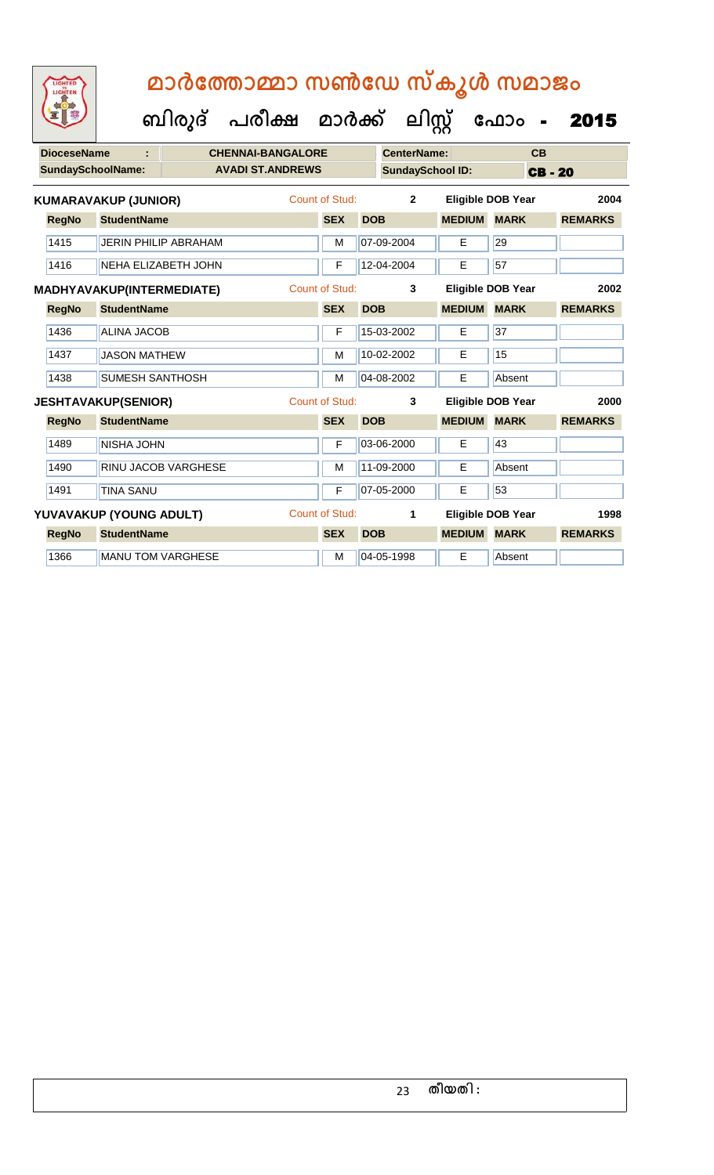**DioceseName : CHENNAI-BANGALORE CenterName: CB SundaySchoolName: AVADI ST.ANDREWS SundaySchool ID: CB - 20 ബിരുദ് പരീക്ഷ മാര്ക് ക ലിസ്റ്റ ക ഫ ാോം** - 2015 **RegNo StudentName SEX DOB MEDIUM MARK REMARKS KUMARAVAKUP (JUNIOR)** Count of Stud: **2 Eligible DOB Year 2004** 1415 JERIN PHILIP ABRAHAM M M 07-09-2004 E 29 1416 NEHA ELIZABETH JOHN F 12-04-2004 E 57 **RegNo StudentName SEX DOB MEDIUM MARK REMARKS MADHYAVAKUP(INTERMEDIATE)** Count of Stud: **3 Eligible DOB Year 2002** 1436 ALINA JACOB F 15-03-2002 E 37 1437 JASON MATHEW M M 10-02-2002 E 15 1438 SUMESH SANTHOSH M M 04-08-2002 E Absent **RegNo StudentName SEX DOB MEDIUM MARK REMARKS JESHTAVAKUP(SENIOR)** Count of Stud: **3 Eligible DOB Year 2000** 1489 NISHA JOHN F 03-06-2000 E 43 1490 RINU JACOB VARGHESE M M 11-09-2000 E Absent 1491 TINA SANU **F** 07-05-2000 **E** 53 **RegNo StudentName SEX DOB MEDIUM MARK REMARKS YUVAVAKUP (YOUNG ADULT)** Count of Stud: **1 Eligible DOB Year 1998** 1366 MANU TOM VARGHESE MANU TOM VARGHESE MANU TOM VARGHESE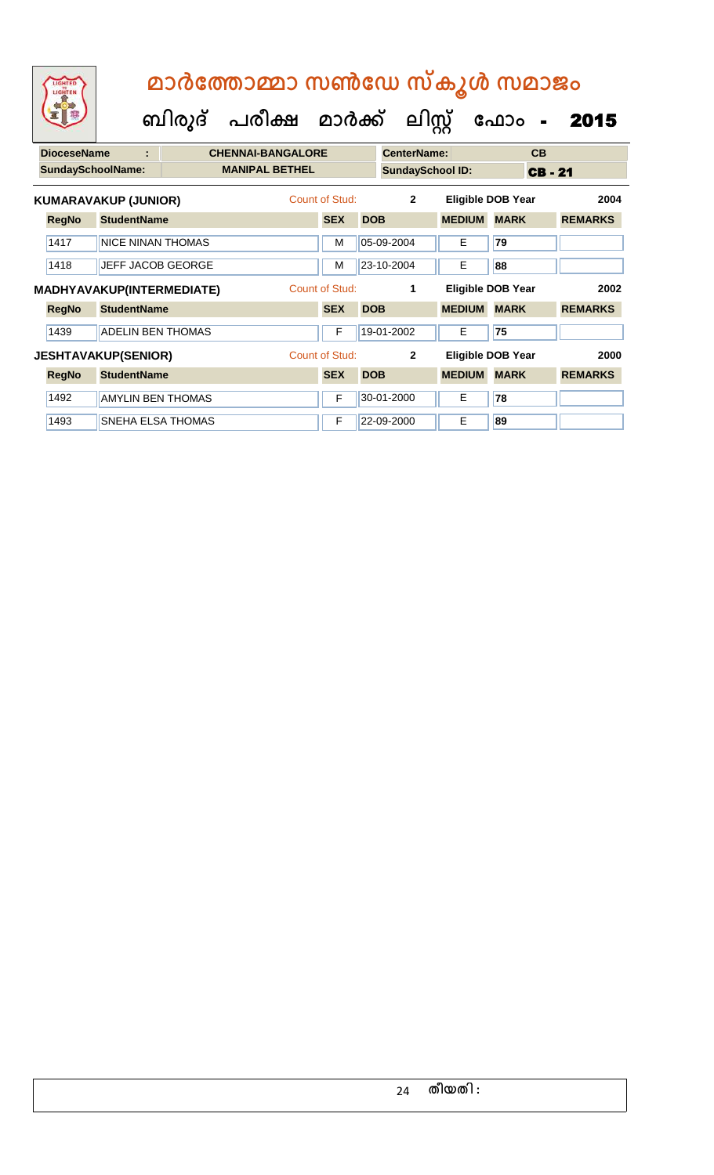# **ബിരുദ് പരീക്ഷ മാര്ക് ക ലിസ്റ്റ ക ഫ ാോം** - 2015  **മാര്കഫതാമ്മാ സണ്ഫേ സ്കൂള് സമാജോം**

| <b>DioceseName</b> | ÷                           | <b>CHENNAI-BANGALORE</b> |                |            | <b>CenterName:</b>      |                          |             | CB           |                |  |
|--------------------|-----------------------------|--------------------------|----------------|------------|-------------------------|--------------------------|-------------|--------------|----------------|--|
|                    | <b>SundaySchoolName:</b>    | <b>MANIPAL BETHEL</b>    |                |            | <b>SundaySchool ID:</b> |                          |             | <b>CB-21</b> |                |  |
|                    | <b>KUMARAVAKUP (JUNIOR)</b> |                          | Count of Stud: |            | $\overline{2}$          | <b>Eligible DOB Year</b> |             |              | 2004           |  |
| <b>RegNo</b>       | <b>StudentName</b>          |                          | <b>SEX</b>     | <b>DOB</b> |                         | <b>MEDIUM</b>            | <b>MARK</b> |              | <b>REMARKS</b> |  |
| 1417               | <b>NICE NINAN THOMAS</b>    |                          | M              |            | 05-09-2004              | Е                        | 79          |              |                |  |
| 1418               | <b>JEFF JACOB GEORGE</b>    |                          | M              |            | 23-10-2004              | E.                       | 88          |              |                |  |
|                    | MADHYAVAKUP(INTERMEDIATE)   |                          | Count of Stud: |            | 1                       | <b>Eligible DOB Year</b> |             |              | 2002           |  |
| <b>RegNo</b>       | <b>StudentName</b>          |                          | <b>SEX</b>     | <b>DOB</b> |                         | <b>MEDIUM</b>            | <b>MARK</b> |              | <b>REMARKS</b> |  |
| 1439               | <b>ADELIN BEN THOMAS</b>    |                          | F              |            | 19-01-2002              | E.                       | 75          |              |                |  |
|                    | <b>JESHTAVAKUP(SENIOR)</b>  |                          | Count of Stud: |            | $\mathbf{2}$            | Eligible DOB Year        |             |              | 2000           |  |
| <b>RegNo</b>       | <b>StudentName</b>          |                          | <b>SEX</b>     | <b>DOB</b> |                         | <b>MEDIUM</b>            | <b>MARK</b> |              | <b>REMARKS</b> |  |
| 1492               | <b>AMYLIN BEN THOMAS</b>    |                          | F              |            | 30-01-2000              | E.                       | 78          |              |                |  |
| 1493               | <b>SNEHA ELSA THOMAS</b>    |                          | F              |            | 22-09-2000              | E                        | 89          |              |                |  |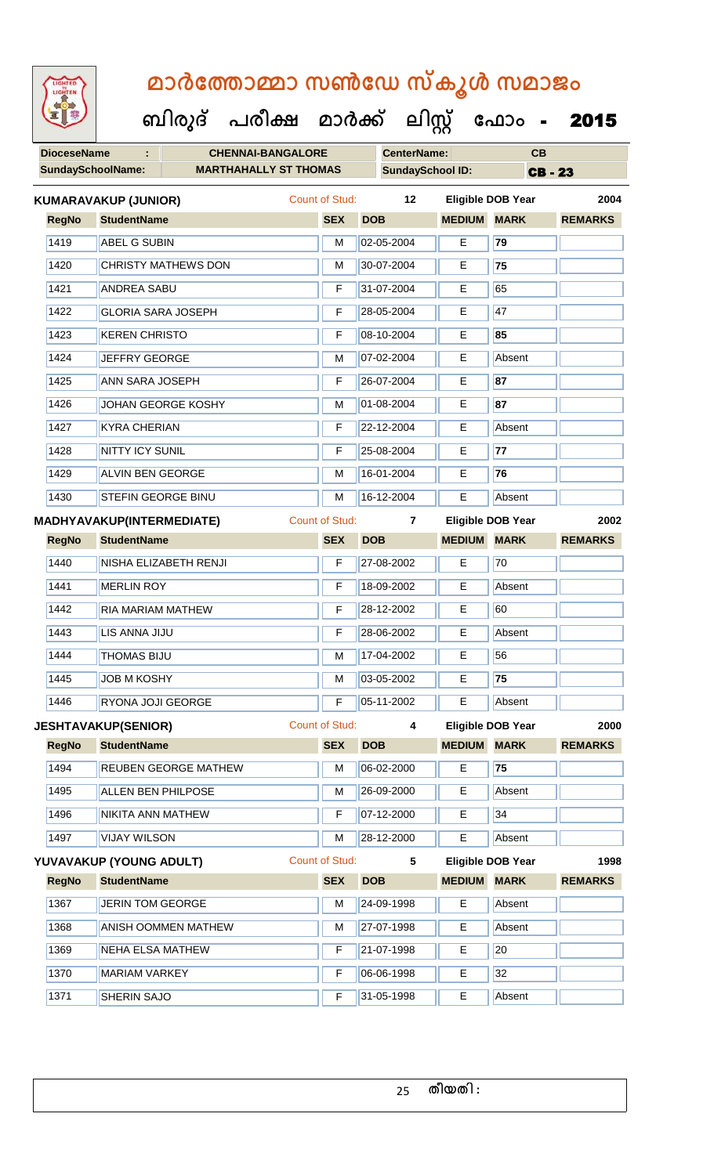| 92                 | ബിരുദ്<br>പരീക്ഷ                                         | മാർക്ക്               |                    | பிழ                     | ഫോം<br>$\blacksquare$    | 2015           |
|--------------------|----------------------------------------------------------|-----------------------|--------------------|-------------------------|--------------------------|----------------|
| <b>DioceseName</b> | <b>CHENNAI-BANGALORE</b>                                 |                       | <b>CenterName:</b> |                         | CB                       |                |
|                    | <b>SundaySchoolName:</b><br><b>MARTHAHALLY ST THOMAS</b> |                       |                    | <b>SundaySchool ID:</b> |                          | <b>CB-23</b>   |
|                    | <b>KUMARAVAKUP (JUNIOR)</b>                              | Count of Stud:        | 12                 |                         | <b>Eligible DOB Year</b> | 2004           |
| <b>RegNo</b>       | <b>StudentName</b>                                       | <b>SEX</b>            | <b>DOB</b>         | <b>MEDIUM</b>           | <b>MARK</b>              | <b>REMARKS</b> |
| 1419               | ABEL G SUBIN                                             | М                     | 02-05-2004         | Е                       | 79                       |                |
| 1420               | <b>CHRISTY MATHEWS DON</b>                               | M                     | 30-07-2004         | E.                      | 75                       |                |
| 1421               | <b>ANDREA SABU</b>                                       | F                     | 31-07-2004         | Е                       | 65                       |                |
| 1422               | <b>GLORIA SARA JOSEPH</b>                                | F                     | 28-05-2004         | Е                       | 47                       |                |
| 1423               | <b>KEREN CHRISTO</b>                                     | F                     | 08-10-2004         | E                       | 85                       |                |
| 1424               | JEFFRY GEORGE                                            | М                     | 07-02-2004         | Е                       | Absent                   |                |
| 1425               | <b>ANN SARA JOSEPH</b>                                   | F                     | 26-07-2004         | E                       | 87                       |                |
| 1426               | JOHAN GEORGE KOSHY                                       | M                     | 01-08-2004         | Е                       | 87                       |                |
| 1427               | <b>KYRA CHERIAN</b>                                      | F                     | 22-12-2004         | E                       | Absent                   |                |
| 1428               | <b>NITTY ICY SUNIL</b>                                   | F                     | 25-08-2004         | E                       | 77                       |                |
| 1429               | <b>ALVIN BEN GEORGE</b>                                  | M                     | 16-01-2004         | E                       | 76                       |                |
| 1430               | STEFIN GEORGE BINU                                       | M                     | 16-12-2004         | Е                       | Absent                   |                |
|                    | <b>MADHYAVAKUP(INTERMEDIATE)</b>                         | <b>Count of Stud:</b> | $\overline{7}$     |                         | <b>Eligible DOB Year</b> | 2002           |
| <b>RegNo</b>       | <b>StudentName</b>                                       | <b>SEX</b>            | <b>DOB</b>         | <b>MEDIUM</b>           | <b>MARK</b>              | <b>REMARKS</b> |
| 1440               | NISHA ELIZABETH RENJI                                    | F                     | 27-08-2002         | Е                       | 70                       |                |
| 1441               | <b>MERLIN ROY</b>                                        | F                     | 18-09-2002         | E                       | Absent                   |                |
| 1442               | <b>RIA MARIAM MATHEW</b>                                 | F                     | 28-12-2002         | E                       | 60                       |                |
| 1443               | LIS ANNA JIJU                                            | F                     | 28-06-2002         | Е                       | Absent                   |                |
| 1444               | <b>THOMAS BIJU</b>                                       | M                     | 17-04-2002         | E.                      | 56                       |                |
| 1445               | <b>JOB M KOSHY</b>                                       | M                     | 03-05-2002         | Е                       | 75                       |                |
| 1446               | RYONA JOJI GEORGE                                        | F                     | 05-11-2002         | E                       | Absent                   |                |
|                    | <b>JESHTAVAKUP(SENIOR)</b>                               | <b>Count of Stud:</b> | 4                  |                         | <b>Eligible DOB Year</b> | 2000           |
| <b>RegNo</b>       | <b>StudentName</b>                                       | <b>SEX</b>            | <b>DOB</b>         | <b>MEDIUM MARK</b>      |                          | <b>REMARKS</b> |
| 1494               | REUBEN GEORGE MATHEW                                     | M                     | 06-02-2000         | E                       | 75                       |                |
| 1495               | <b>ALLEN BEN PHILPOSE</b>                                | М                     | 26-09-2000         | E                       | Absent                   |                |
| 1496               | NIKITA ANN MATHEW                                        | F                     | 07-12-2000         | Е                       | 34                       |                |
| 1497               | <b>VIJAY WILSON</b>                                      | M                     | 28-12-2000         | E                       | Absent                   |                |
|                    | YUVAVAKUP (YOUNG ADULT)                                  | Count of Stud:        | $5\phantom{.0}$    |                         | <b>Eligible DOB Year</b> | 1998           |
| <b>RegNo</b>       | <b>StudentName</b>                                       | <b>SEX</b>            | <b>DOB</b>         | <b>MEDIUM</b>           | <b>MARK</b>              | <b>REMARKS</b> |
| 1367               | <b>JERIN TOM GEORGE</b>                                  | M                     | 24-09-1998         | E                       | Absent                   |                |
| 1368               | <b>ANISH OOMMEN MATHEW</b>                               | M                     | 27-07-1998         | Е                       | Absent                   |                |
| 1369               | <b>NEHA ELSA MATHEW</b>                                  | F                     | 21-07-1998         | E                       | 20                       |                |
| 1370               | <b>MARIAM VARKEY</b>                                     | F                     | 06-06-1998         | E                       | 32                       |                |
| 1371               | SHERIN SAJO                                              | F                     | 31-05-1998         | E                       | Absent                   |                |
|                    |                                                          |                       |                    |                         |                          |                |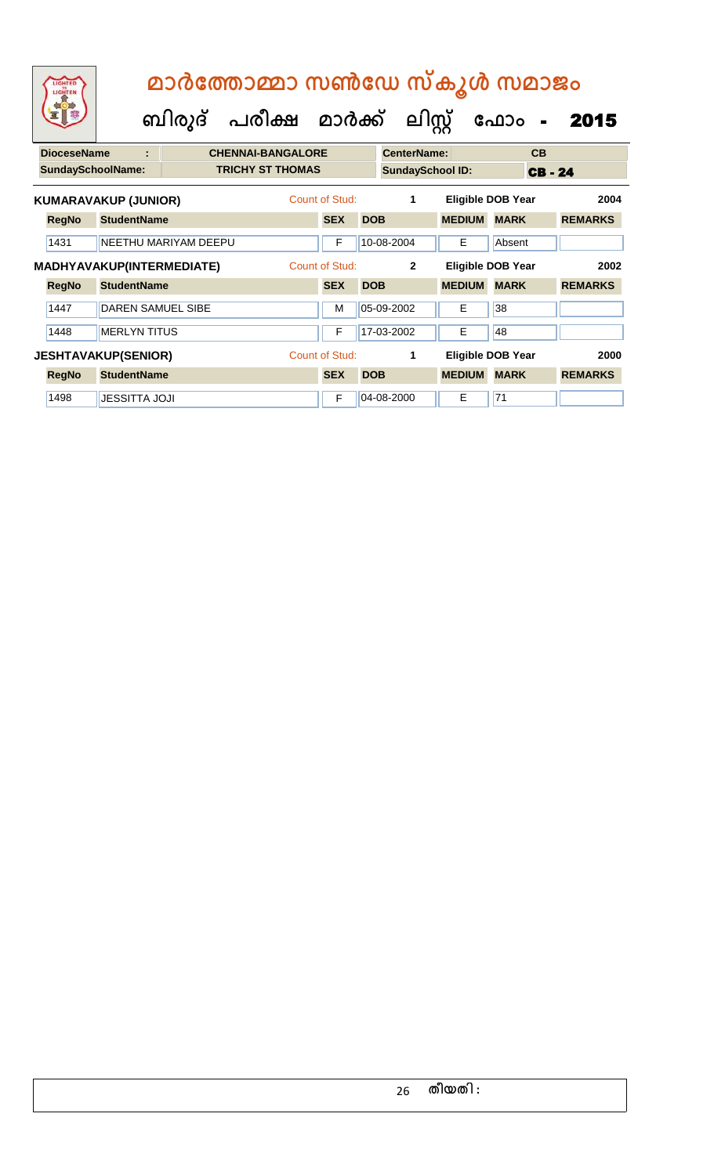| LIGHTED<br>LIGHTEN       |                             |                      | മാർത്തോമ്മാ സൺഡേ സ്കൂൾ സമാജം<br>ബിരുദ് പരീക്ഷ മാർക്ക് |                       |            | ലിസ്റ്റ്                |                          | ഫോം         | $\blacksquare$ | 2015           |
|--------------------------|-----------------------------|----------------------|-------------------------------------------------------|-----------------------|------------|-------------------------|--------------------------|-------------|----------------|----------------|
| <b>DioceseName</b>       | t                           |                      | <b>CHENNAI-BANGALORE</b>                              |                       |            | <b>CenterName:</b>      |                          |             | CB             |                |
| <b>SundaySchoolName:</b> |                             |                      | <b>TRICHY ST THOMAS</b>                               |                       |            | <b>SundaySchool ID:</b> |                          |             | <b>CB-24</b>   |                |
|                          | <b>KUMARAVAKUP (JUNIOR)</b> |                      |                                                       | <b>Count of Stud:</b> |            | 1                       | <b>Eligible DOB Year</b> |             |                | 2004           |
| <b>RegNo</b>             | <b>StudentName</b>          |                      |                                                       | <b>SEX</b>            | <b>DOB</b> |                         | <b>MEDIUM</b>            | <b>MARK</b> |                | <b>REMARKS</b> |
| 1431                     |                             | NEETHU MARIYAM DEEPU |                                                       | F                     |            | 10-08-2004              | E                        | Absent      |                |                |
|                          | MADHYAVAKUP(INTERMEDIATE)   |                      |                                                       | Count of Stud:        |            | $\overline{2}$          | <b>Eligible DOB Year</b> |             |                | 2002           |
| <b>RegNo</b>             | <b>StudentName</b>          |                      |                                                       | <b>SEX</b>            | <b>DOB</b> |                         | <b>MEDIUM</b>            | <b>MARK</b> |                | <b>REMARKS</b> |
| 1447                     | <b>DAREN SAMUEL SIBE</b>    |                      |                                                       | M                     |            | 05-09-2002              | Е                        | 38          |                |                |
| 1448                     | <b>MERLYN TITUS</b>         |                      |                                                       | F                     |            | 17-03-2002              | E                        | 48          |                |                |
|                          | <b>JESHTAVAKUP(SENIOR)</b>  |                      |                                                       | <b>Count of Stud:</b> |            | 1                       | <b>Eligible DOB Year</b> |             |                | 2000           |
| <b>RegNo</b>             | <b>StudentName</b>          |                      |                                                       | <b>SEX</b>            | <b>DOB</b> |                         | <b>MEDIUM</b>            | <b>MARK</b> |                | <b>REMARKS</b> |
| 1498                     | <b>JESSITTA JOJI</b>        |                      |                                                       | F                     |            | 04-08-2000              | E                        | 71          |                |                |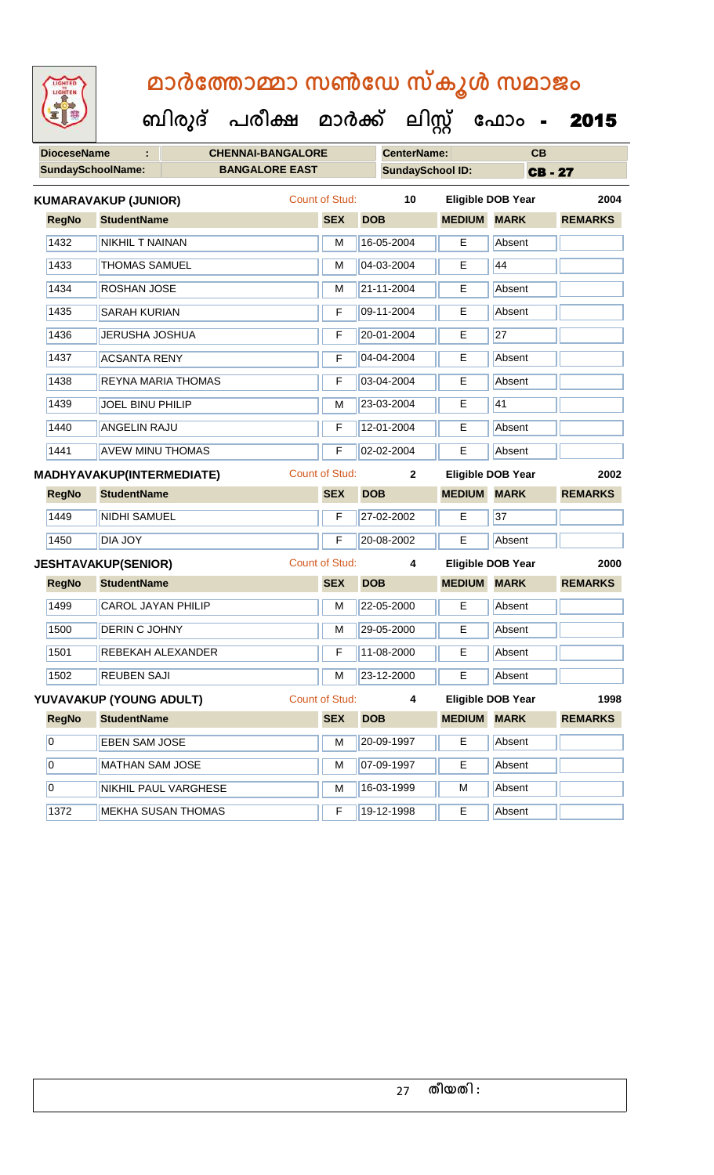| LIGHTED<br>LIGHTEN       |                                  | മാർത്തോമ്മാ സൺഡേ സ്കൂൾ സമാജം         |                       |                |                         |                          |              |                     |
|--------------------------|----------------------------------|--------------------------------------|-----------------------|----------------|-------------------------|--------------------------|--------------|---------------------|
|                          |                                  | ബിരുദ് പരീക്ഷ മാർക്ക് ലിസ്റ്റ് ഫോം - |                       |                |                         |                          |              | 2015                |
| <b>DioceseName</b>       |                                  | <b>CHENNAI-BANGALORE</b>             |                       |                | <b>CenterName:</b>      |                          | CB           |                     |
| <b>SundaySchoolName:</b> |                                  | <b>BANGALORE EAST</b>                |                       |                | <b>SundaySchool ID:</b> |                          | <b>CB-27</b> |                     |
|                          | <b>KUMARAVAKUP (JUNIOR)</b>      |                                      | <b>Count of Stud:</b> |                | 10                      | <b>Eligible DOB Year</b> |              | 2004                |
| <b>RegNo</b>             | <b>StudentName</b>               |                                      | <b>SEX</b>            | <b>DOB</b>     | <b>MEDIUM</b>           | <b>MARK</b>              |              | <b>REMARKS</b>      |
| 1432                     | <b>NIKHIL T NAINAN</b>           |                                      | М                     | 16-05-2004     | Е                       | Absent                   |              |                     |
| 1433                     | <b>THOMAS SAMUEL</b>             |                                      | M                     | 04-03-2004     | Е                       | 44                       |              |                     |
| 1434                     | <b>ROSHAN JOSE</b>               |                                      | м                     | 21-11-2004     | Е                       | Absent                   |              |                     |
| 1435                     | <b>SARAH KURIAN</b>              |                                      | F                     | 09-11-2004     | E                       | Absent                   |              |                     |
| 1436                     | <b>JERUSHA JOSHUA</b>            |                                      | F                     | 20-01-2004     | E                       | 27                       |              |                     |
| 1437                     | <b>ACSANTA RENY</b>              |                                      | F                     | 04-04-2004     | E                       | Absent                   |              |                     |
| 1438                     | <b>REYNA MARIA THOMAS</b>        |                                      | F                     | 03-04-2004     | Е                       | Absent                   |              |                     |
| 1439                     | <b>JOEL BINU PHILIP</b>          |                                      | м                     | 23-03-2004     | E                       | 41                       |              |                     |
| 1440                     | <b>ANGELIN RAJU</b>              |                                      | F                     | 12-01-2004     | Е                       | Absent                   |              |                     |
| 1441                     | <b>AVEW MINU THOMAS</b>          |                                      | F                     | 02-02-2004     | Е                       | Absent                   |              |                     |
|                          | <b>MADHYAVAKUP(INTERMEDIATE)</b> |                                      | <b>Count of Stud:</b> |                | $\mathbf{2}$            | <b>Eligible DOB Year</b> |              | 2002                |
| <b>RegNo</b>             | <b>StudentName</b>               |                                      | <b>SEX</b>            | <b>DOB</b>     | <b>MEDIUM</b>           | <b>MARK</b>              |              | <b>REMARKS</b>      |
| 1449                     | <b>NIDHI SAMUEL</b>              |                                      | F                     | 27-02-2002     | E                       | 37                       |              |                     |
| 1450                     | DIA JOY                          |                                      | F                     | 20-08-2002     | E                       | Absent                   |              |                     |
|                          | <b>JESHTAVAKUP(SENIOR)</b>       |                                      | <b>Count of Stud:</b> |                | 4                       | <b>Eligible DOB Year</b> |              | 2000                |
| <b>RegNo</b>             | <b>StudentName</b>               |                                      | <b>SEX</b>            | <b>DOB</b>     |                         | <b>MEDIUM MARK</b>       |              | <b>REMARKS</b>      |
| 1499                     | <b>CAROL JAYAN PHILIP</b>        |                                      | м                     | 22-05-2000     | Е                       | Absent                   |              |                     |
| 1500                     | DERIN C JOHNY                    |                                      | M                     | 29-05-2000     | E                       | Absent                   |              |                     |
| 1501                     | REBEKAH ALEXANDER                |                                      | F                     | 11-08-2000     | E                       | Absent                   |              |                     |
| 1502                     | <b>REUBEN SAJI</b>               |                                      | м                     | 23-12-2000     | E.                      | Absent                   |              |                     |
|                          | YUVAVAKUP (YOUNG ADULT)          |                                      | Count of Stud:        |                | 4                       | <b>Eligible DOB Year</b> |              | 1998                |
|                          | Dealls Chidenthoma               |                                      |                       | <b>CEV DOD</b> |                         |                          |              | MEDIUM MADY DEMADYS |

| <b>RegNo</b>   | <b>StudentName</b>        | <b>SEX</b> | <b>DOB</b> | <b>MEDIUM</b> | <b>MARK</b> | <b>REMARKS</b> |
|----------------|---------------------------|------------|------------|---------------|-------------|----------------|
| 10             | <b>EBEN SAM JOSE</b>      | м          | 20-09-1997 | Е             | Absent      |                |
| 10             | <b>MATHAN SAM JOSE</b>    | M          | 07-09-1997 | Е             | Absent      |                |
| $\overline{0}$ | NIKHIL PAUL VARGHESE      | M          | 16-03-1999 | M             | Absent      |                |
| 1372           | <b>MEKHA SUSAN THOMAS</b> | F          | 19-12-1998 | Е             | Absent      |                |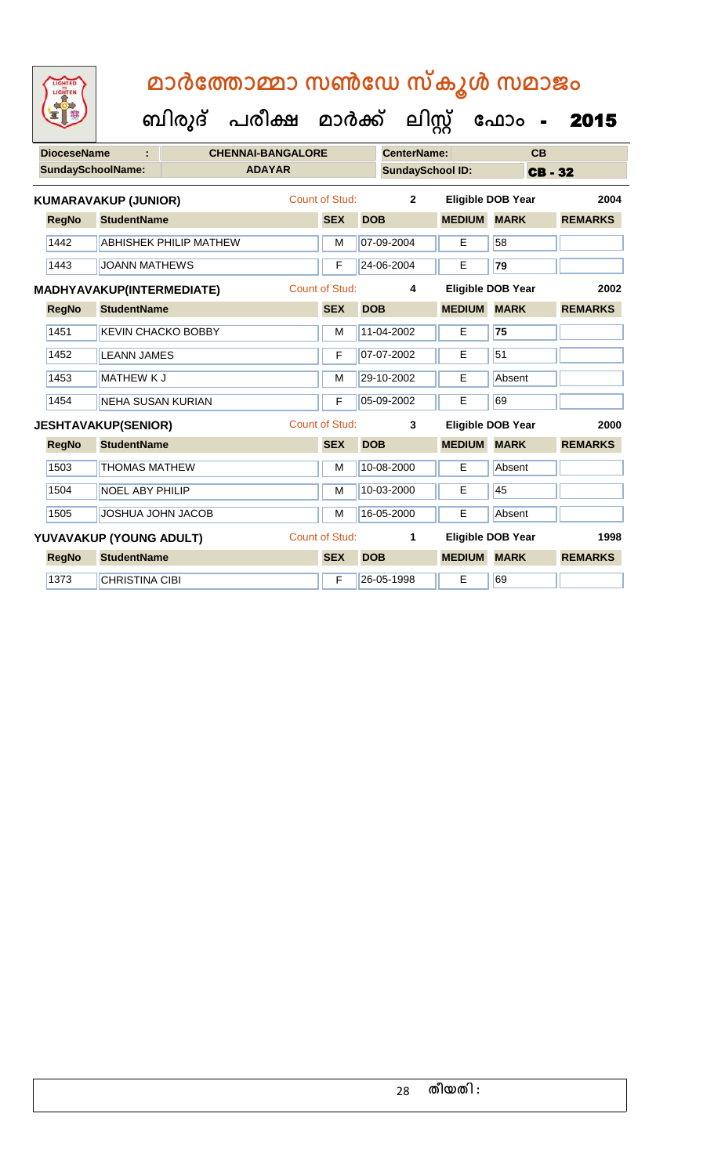**ബിരുദ് പരീക്ഷ മാര്ക് ക ലിസ്റ്റ ക ഫ ാോം** - 2015

| <b>DioceseName</b> |                                  |                               | <b>CHENNAI-BANGALORE</b> |                       |            | <b>CenterName:</b>      |               | CВ                       |                |      |
|--------------------|----------------------------------|-------------------------------|--------------------------|-----------------------|------------|-------------------------|---------------|--------------------------|----------------|------|
|                    | <b>SundaySchoolName:</b>         |                               | <b>ADAYAR</b>            |                       |            | <b>SundaySchool ID:</b> |               |                          | <b>CB-32</b>   |      |
|                    | <b>KUMARAVAKUP (JUNIOR)</b>      |                               |                          | <b>Count of Stud:</b> |            | $\overline{2}$          |               | <b>Eligible DOB Year</b> |                | 2004 |
| <b>RegNo</b>       | <b>StudentName</b>               |                               |                          | <b>SEX</b>            | <b>DOB</b> |                         | <b>MEDIUM</b> | <b>MARK</b>              | <b>REMARKS</b> |      |
| 1442               |                                  | <b>ABHISHEK PHILIP MATHEW</b> |                          | M                     |            | 07-09-2004              | E             | 58                       |                |      |
| 1443               | <b>JOANN MATHEWS</b>             |                               |                          | F                     |            | 24-06-2004              | Е             | 79                       |                |      |
|                    | <b>MADHYAVAKUP(INTERMEDIATE)</b> |                               |                          | <b>Count of Stud:</b> |            | 4                       |               | <b>Eligible DOB Year</b> |                | 2002 |
| <b>RegNo</b>       | <b>StudentName</b>               |                               |                          | <b>SEX</b>            | <b>DOB</b> |                         | <b>MEDIUM</b> | <b>MARK</b>              | <b>REMARKS</b> |      |
| 1451               |                                  | <b>KEVIN CHACKO BOBBY</b>     |                          | M                     |            | 11-04-2002              | E             | 75                       |                |      |
| 1452               | <b>LEANN JAMES</b>               |                               |                          | F                     |            | 07-07-2002              | E             | 51                       |                |      |
| 1453               | <b>MATHEW KJ</b>                 |                               |                          | M                     |            | 29-10-2002              | E             | Absent                   |                |      |
| 1454               | <b>NEHA SUSAN KURIAN</b>         |                               |                          | F                     |            | 05-09-2002              | E             | 69                       |                |      |
|                    | <b>JESHTAVAKUP(SENIOR)</b>       |                               |                          | <b>Count of Stud:</b> |            | 3                       |               | <b>Eligible DOB Year</b> |                | 2000 |
| <b>RegNo</b>       | <b>StudentName</b>               |                               |                          | <b>SEX</b>            | <b>DOB</b> |                         | <b>MEDIUM</b> | <b>MARK</b>              | <b>REMARKS</b> |      |
| 1503               | <b>THOMAS MATHEW</b>             |                               |                          | М                     |            | 10-08-2000              | Е             | Absent                   |                |      |
| 1504               | <b>NOEL ABY PHILIP</b>           |                               |                          | M                     |            | 10-03-2000              | E             | 45                       |                |      |
| 1505               | JOSHUA JOHN JACOB                |                               |                          | M                     |            | 16-05-2000              | E             | Absent                   |                |      |
|                    | YUVAVAKUP (YOUNG ADULT)          |                               |                          | <b>Count of Stud:</b> |            | 1                       |               | <b>Eligible DOB Year</b> |                | 1998 |
| <b>RegNo</b>       | <b>StudentName</b>               |                               |                          | <b>SEX</b>            | <b>DOB</b> |                         | <b>MEDIUM</b> | <b>MARK</b>              | <b>REMARKS</b> |      |
| 1373               | <b>CHRISTINA CIBI</b>            |                               |                          | F                     |            | 26-05-1998              | Е             | 69                       |                |      |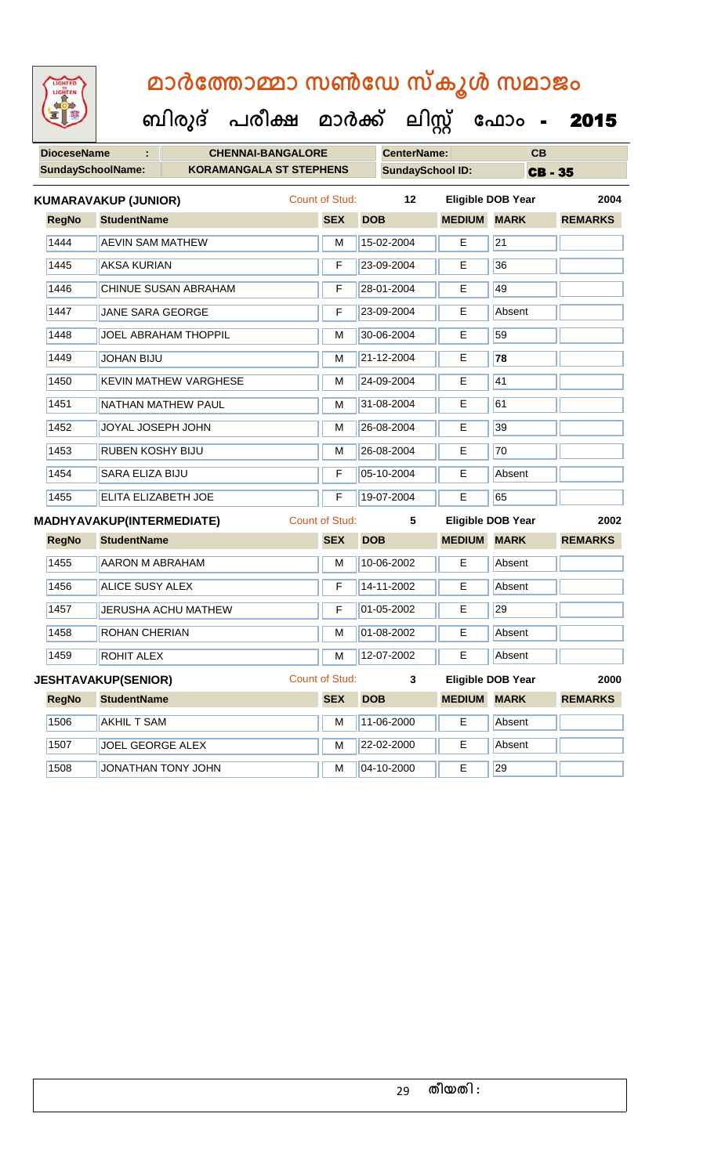| LIGHTED<br>LIGHTEN       | മാർത്തോമ്മാ സൺഡേ സ്കൂൾ സമാജം         |                       |                         |               |                          |                |
|--------------------------|--------------------------------------|-----------------------|-------------------------|---------------|--------------------------|----------------|
|                          | ബിരുദ് പരീക്ഷ മാർക്ക് ലിസ്റ്റ് ഫോം - |                       |                         |               |                          | 2015           |
| <b>DioceseName</b>       | <b>CHENNAI-BANGALORE</b>             |                       | <b>CenterName:</b>      |               | CB                       |                |
| <b>SundaySchoolName:</b> | <b>KORAMANGALA ST STEPHENS</b>       |                       | <b>SundaySchool ID:</b> |               |                          | <b>CB-35</b>   |
|                          | <b>KUMARAVAKUP (JUNIOR)</b>          | Count of Stud:        | 12                      |               | <b>Eligible DOB Year</b> | 2004           |
| <b>RegNo</b>             | <b>StudentName</b>                   | <b>SEX</b>            | <b>DOB</b>              | <b>MEDIUM</b> | <b>MARK</b>              | <b>REMARKS</b> |
| 1444                     | <b>AEVIN SAM MATHEW</b>              | М                     | 15-02-2004              | E             | 21                       |                |
| 1445                     | <b>AKSA KURIAN</b>                   | F                     | 23-09-2004              | E             | 36                       |                |
| 1446                     | CHINUE SUSAN ABRAHAM                 | F                     | 28-01-2004              | E             | 49                       |                |
| 1447                     | JANE SARA GEORGE                     | F                     | 23-09-2004              | Е             | Absent                   |                |
| 1448                     | <b>JOEL ABRAHAM THOPPIL</b>          | M                     | 30-06-2004              | Е             | 59                       |                |
| 1449                     | <b>JOHAN BIJU</b>                    | М                     | 21-12-2004              | E             | 78                       |                |
| 1450                     | <b>KEVIN MATHEW VARGHESE</b>         | M                     | 24-09-2004              | Е             | 41                       |                |
| 1451                     | NATHAN MATHEW PAUL                   | M                     | 31-08-2004              | Е             | 61                       |                |
| 1452                     | JOYAL JOSEPH JOHN                    | М                     | 26-08-2004              | E             | 39                       |                |
| 1453                     | <b>RUBEN KOSHY BIJU</b>              | М                     | 26-08-2004              | Е             | 70                       |                |
| 1454                     | <b>SARA ELIZA BIJU</b>               | F                     | 05-10-2004              | E.            | Absent                   |                |
| 1455                     | ELITA ELIZABETH JOE                  | F                     | 19-07-2004              | E             | 65                       |                |
|                          | <b>MADHYAVAKUP(INTERMEDIATE)</b>     | <b>Count of Stud:</b> | 5                       |               | <b>Eligible DOB Year</b> | 2002           |
| <b>RegNo</b>             | <b>StudentName</b>                   | <b>SEX</b>            | <b>DOB</b>              | <b>MEDIUM</b> | <b>MARK</b>              | <b>REMARKS</b> |
| 1455                     | <b>AARON M ABRAHAM</b>               | М                     | 10-06-2002              | Е             | Absent                   |                |
| 1456                     | ALICE SUSY ALEX                      | F                     | 14-11-2002              | Е             | Absent                   |                |
| 1457                     | JERUSHA ACHU MATHEW                  | F                     | 01-05-2002              | E             | 29                       |                |
| 1458                     | ROHAN CHERIAN                        | M                     | 01-08-2002              | Е             | Absent                   |                |
| 1459                     | ROHIT ALEX                           | M                     | 12-07-2002              | E.            | Absent                   |                |
|                          | <b>JESHTAVAKUP(SENIOR)</b>           | Count of Stud:        | 3                       |               | <b>Eligible DOB Year</b> | 2000           |
| <b>RegNo</b>             | <b>StudentName</b>                   | <b>SEX</b>            | <b>DOB</b>              | <b>MEDIUM</b> | <b>MARK</b>              | <b>REMARKS</b> |
| 1506                     | <b>AKHIL T SAM</b>                   | M                     | 11-06-2000              | E             | Absent                   |                |
| 1507                     | JOEL GEORGE ALEX                     | М                     | 22-02-2000              | E             | Absent                   |                |
| 1508                     | JONATHAN TONY JOHN                   | M                     | 04-10-2000              | E             | 29                       |                |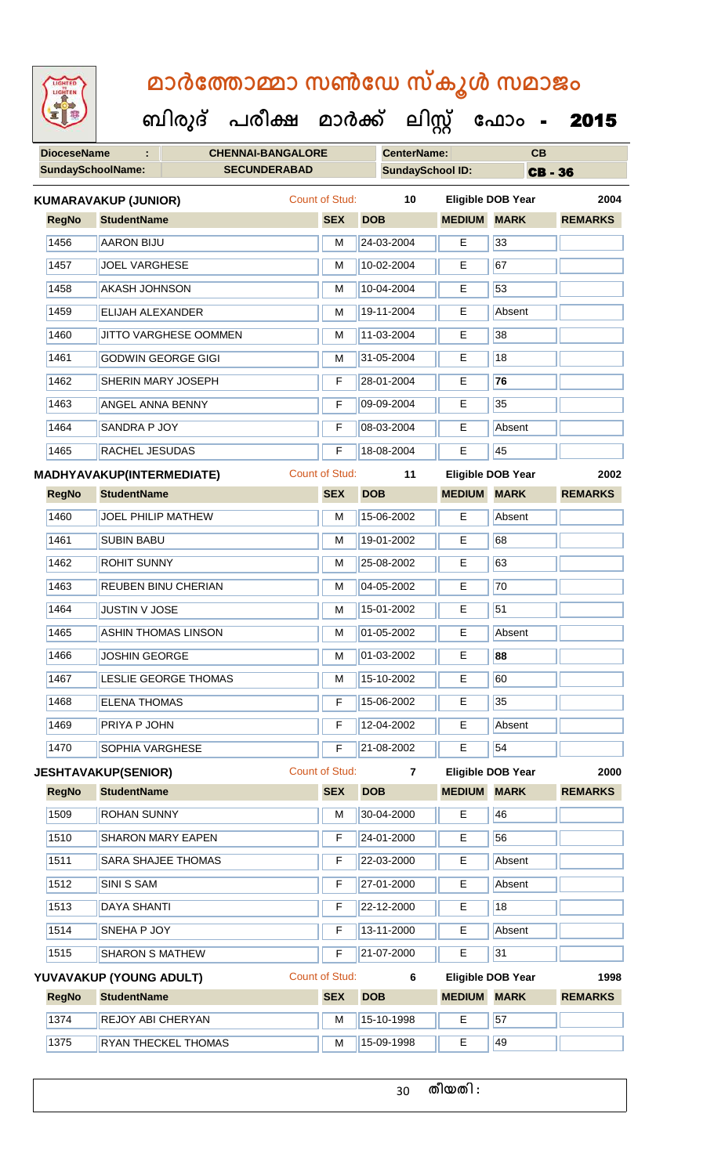**DioceseName : CHENNAI-BANGALORE CenterName: CB SundaySchoolName: SECUNDERABAD SundaySchool ID: CB - 36 ബിരുദ് പരീക്ഷ മാര്ക് ക ലിസ്റ്റ ക ഫ ാോം** - 2015 **RegNo StudentName SEX DOB MEDIUM MARK REMARKS KUMARAVAKUP (JUNIOR)** Count of Stud: **10 Eligible DOB Year 2004** 1456 AARON BIJU M 24-03-2004 E 33 1457 JOEL VARGHESE M 10-02-2004 E 67 1458 AKASH JOHNSON M 10-04-2004 E 53 1459 ELIJAH ALEXANDER M 19-11-2004 E Absent 1460 JJITTO VARGHESE OOMMEN M 11-03-2004 E 38 1461 GODWIN GEORGE GIGI M 31-05-2004 E 18 1462 SHERIN MARY JOSEPH F 28-01-2004 E **76** 1463 ANGEL ANNA BENNY F 09-09-2004 E 35 1464 SANDRA P JOY F 08-03-2004 E Absent 1465 RACHEL JESUDAS F 18-08-2004 E 45 **RegNo StudentName SEX DOB MEDIUM MARK REMARKS MADHYAVAKUP(INTERMEDIATE)** Count of Stud: **11 Eligible DOB Year 2002** 1460 JOEL PHILIP MATHEW M 15-06-2002 E Absent 1461 SUBIN BABU M 19-01-2002 E 68 1462 ROHIT SUNNY M 25-08-2002 E 63 1463 REUBEN BINU CHERIAN M M 04-05-2002 E 70 1464 JUSTIN V JOSE M 15-01-2002 E 51 1465 ASHIN THOMAS LINSON M M 01-05-2002 E Absent 1466 JOSHIN GEORGE M 01-03-2002 E **88** 1467 LESLIE GEORGE THOMAS M 15-10-2002 E 60 1468 ELENA THOMAS F 15-06-2002 E 35 1469 PRIYA P JOHN F 12-04-2002 E Absent 1470 SOPHIA VARGHESE F 721-08-2002 E 54 **RegNo StudentName SEX DOB MEDIUM MARK REMARKS JESHTAVAKUP(SENIOR)** Count of Stud: **7 Eligible DOB Year 2000** 1509 ROHAN SUNNY M M 30-04-2000 E 46 1510 SHARON MARY EAPEN F 24-01-2000 E 56 1511 SARA SHAJEE THOMAS F 22-03-2000 E Absent 1512 SINI S SAM F 27-01-2000 E Absent 1513 DAYA SHANTI F 22-12-2000 E 18

1515 SHARON S MATHEW F 21-07-2000 E 31 **RegNo StudentName SEX DOB MEDIUM MARK REMARKS YUVAVAKUP (YOUNG ADULT)** Count of Stud: **6 Eligible DOB Year 1998** 1374 REJOY ABI CHERYAN M 15-10-1998 E 57 1375 RYAN THECKEL THOMAS M 15-09-1998 E 49

1514 SNEHA P JOY F 13-11-2000 E Absent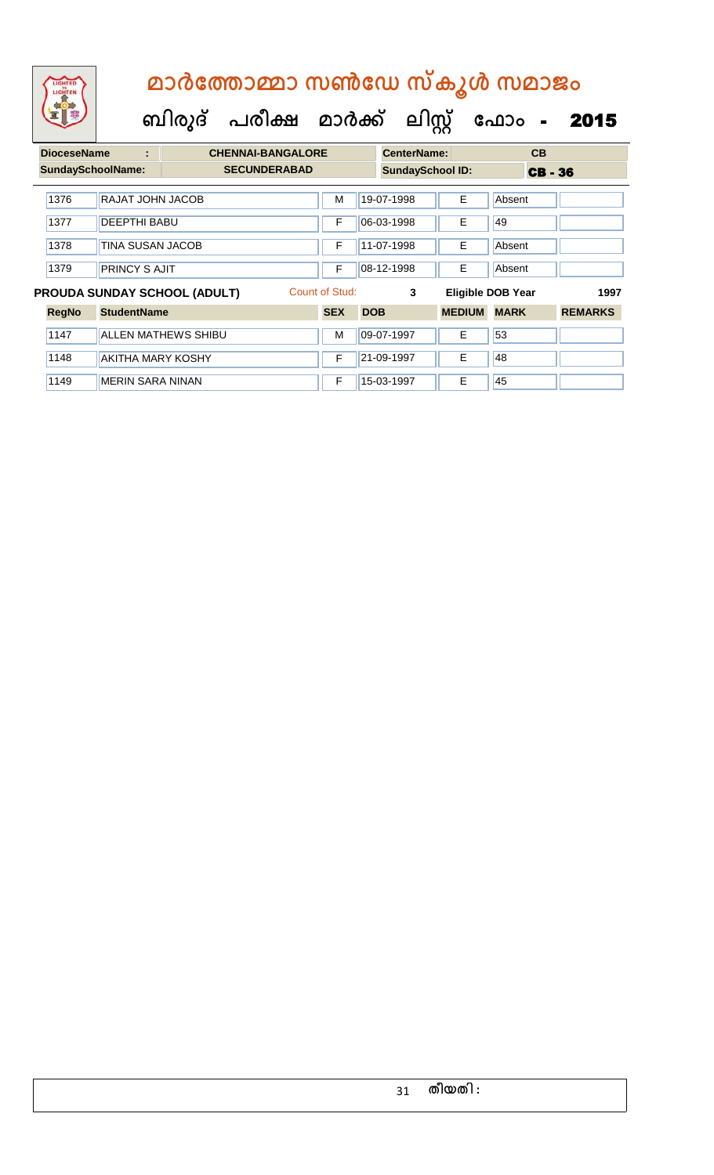### **ബിരുദ് പരീക്ഷ മാര്ക്**

**ക ലിസ്റ്റ**

**ക ഫ ാോം** - 2015

**DioceseName : CHENNAI-BANGALORE CenterName: CB** SundaySchoolName: **SECUNDERABAD SundaySchool ID:** CB - 36 1376 RAJAT JOHN JACOB M 19-07-1998 E Absent 1377 DEEPTHI BABU F 06-03-1998 E 49 1378 | TINA SUSAN JACOB | F | 11-07-1998 | E | Absent 1379 PRINCY S AJIT **F 08-12-1998** E Absent **PROUDA SUNDAY SCHOOL (ADULT)** Count of Stud: **3 Eligible DOB Year 1997**

| <b>RegNo</b> | <b>StudentName</b>       | <b>SEX</b> | <b>DOB</b>    | <b>MEDIUM</b> | <b>MARK</b> | <b>REMARKS</b> |
|--------------|--------------------------|------------|---------------|---------------|-------------|----------------|
| 1147         | ALLEN MATHEWS SHIBU      | М          | 09-07-1997    |               | 53          |                |
| 1148         | <b>AKITHA MARY KOSHY</b> |            | $ 21-09-1997$ |               | 148         |                |
| 1149         | <b>MERIN SARA NINAN</b>  |            | 15-03-1997    |               | 45          |                |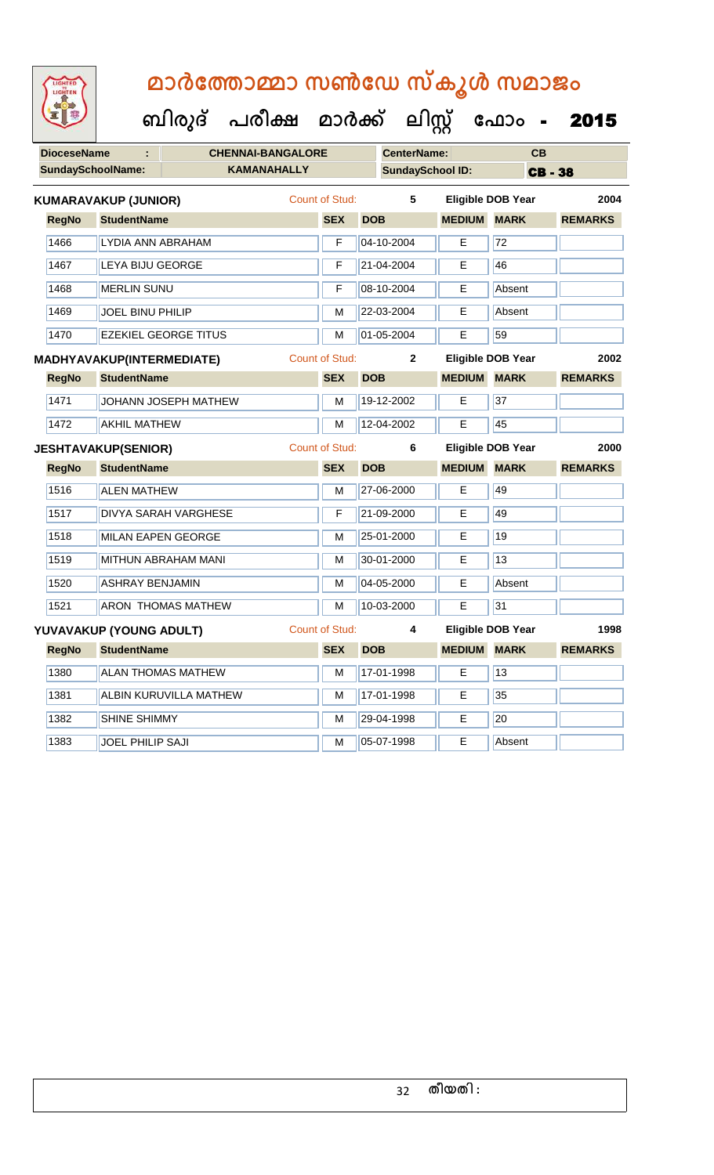| LIGHTED<br>LIGHTEN | മാർത്തോമ്മാ സൺഡേ സ്കൂൾ സമാജം<br>ബിരുദ് പരീക്ഷ മാർക്ക് ലിസ്റ്റ് ഫോം - |                       |                         |               |                          | 2015           |
|--------------------|----------------------------------------------------------------------|-----------------------|-------------------------|---------------|--------------------------|----------------|
| <b>DioceseName</b> | <b>CHENNAI-BANGALORE</b>                                             |                       | <b>CenterName:</b>      |               | CB                       |                |
|                    | <b>KAMANAHALLY</b><br><b>SundaySchoolName:</b>                       |                       | <b>SundaySchool ID:</b> |               |                          | <b>CB-38</b>   |
|                    | <b>KUMARAVAKUP (JUNIOR)</b>                                          | Count of Stud:        | 5                       |               | Eligible DOB Year        | 2004           |
| <b>RegNo</b>       | <b>StudentName</b>                                                   | <b>SEX</b>            | <b>DOB</b>              | <b>MEDIUM</b> | <b>MARK</b>              | <b>REMARKS</b> |
| 1466               | LYDIA ANN ABRAHAM                                                    | F                     | 04-10-2004              | E             | 72                       |                |
| 1467               | LEYA BIJU GEORGE                                                     | F                     | 21-04-2004              | Е             | 46                       |                |
| 1468               | <b>MERLIN SUNU</b>                                                   | F                     | 08-10-2004              | E             | Absent                   |                |
| 1469               | <b>JOEL BINU PHILIP</b>                                              | м                     | 22-03-2004              | Е             | Absent                   |                |
| 1470               | <b>FZEKIEL GEORGE TITUS</b>                                          | М                     | 01-05-2004              | Е             | 59                       |                |
|                    | MADHYAVAKUP(INTERMEDIATE)                                            | Count of Stud:        | $\mathbf{2}$            |               | <b>Eligible DOB Year</b> | 2002           |
| <b>RegNo</b>       | <b>StudentName</b>                                                   | <b>SEX</b>            | <b>DOB</b>              | <b>MEDIUM</b> | <b>MARK</b>              | <b>REMARKS</b> |
| 1471               | JOHANN JOSEPH MATHEW                                                 | м                     | 19-12-2002              | Е             | 37                       |                |
| 1472               | <b>AKHIL MATHEW</b>                                                  | м                     | 12-04-2002              | Е             | 45                       |                |
|                    | <b>JESHTAVAKUP(SENIOR)</b>                                           | <b>Count of Stud:</b> | 6                       |               | Eligible DOB Year        | 2000           |
| <b>RegNo</b>       | <b>StudentName</b>                                                   | <b>SEX</b>            | <b>DOB</b>              | <b>MEDIUM</b> | <b>MARK</b>              | <b>REMARKS</b> |
| 1516               | <b>ALEN MATHEW</b>                                                   | м                     | 27-06-2000              | E             | 49                       |                |
| 1517               | <b>DIVYA SARAH VARGHESE</b>                                          | F                     | 21-09-2000              | Е             | 49                       |                |
| 1518               | <b>MILAN EAPEN GEORGE</b>                                            | м                     | 25-01-2000              | Е             | 19                       |                |
| 1519               | MITHUN ABRAHAM MANI                                                  | м                     | 30-01-2000              | Е             | 13                       |                |
| 1520               | <b>ASHRAY BENJAMIN</b>                                               | M                     | 04-05-2000              | E             | Absent                   |                |
| 1521               | <b>ARON THOMAS MATHEW</b>                                            | M                     | 10-03-2000              | E             | 31                       |                |
|                    | YUVAVAKUP (YOUNG ADULT)                                              | <b>Count of Stud:</b> | 4                       |               | <b>Eligible DOB Year</b> | 1998           |
| <b>RegNo</b>       | <b>StudentName</b>                                                   | <b>SEX</b>            | <b>DOB</b>              | <b>MEDIUM</b> | <b>MARK</b>              | <b>REMARKS</b> |
| 1380               | <b>ALAN THOMAS MATHEW</b>                                            | M                     | 17-01-1998              | E             | 13                       |                |
| 1381               | ALBIN KURUVILLA MATHEW                                               | M                     | 17-01-1998              | Е             | 35                       |                |

1382 SHINE SHIMMY M 29-04-1998 E 20

1383 JOEL PHILIP SAJI M 05-07-1998 E Absent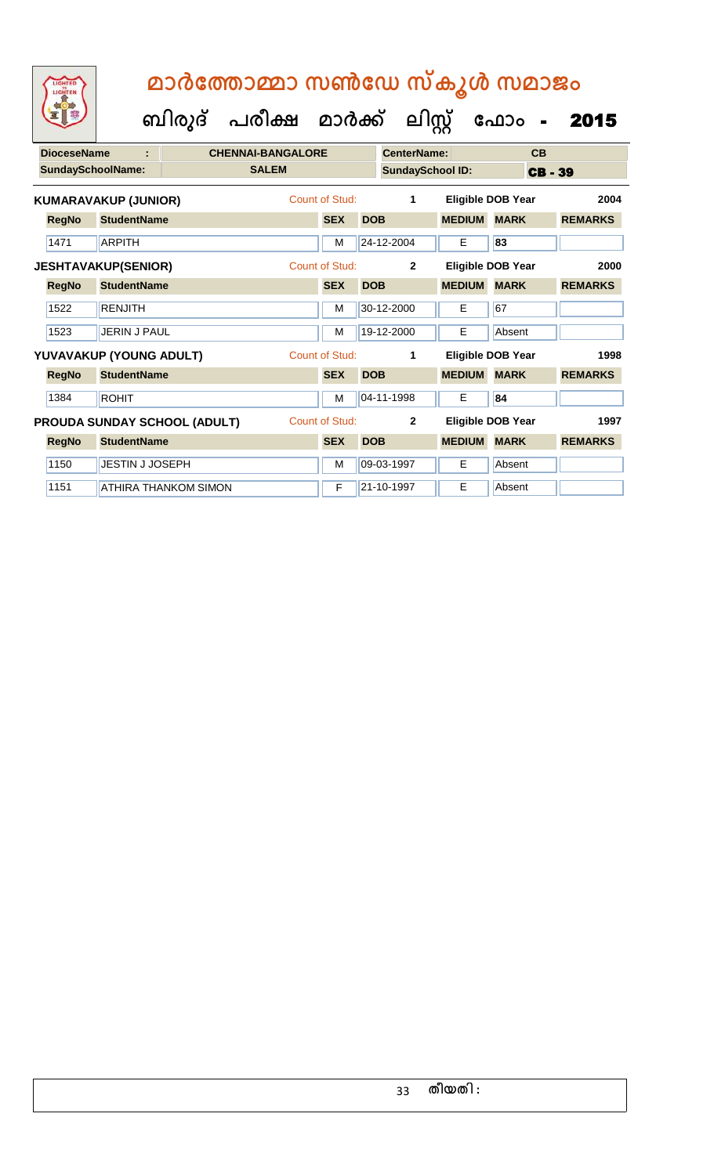**ബിരുദ് പരീക്ഷ മാര്ക് ക ലിസ്റ്റ ക ഫ ാോം** - 2015

| <b>DioceseName</b><br>÷  |              |                             | <b>CHENNAI-BANGALORE</b>            |              |                |            | <b>CenterName:</b>      |               |                          | CB           |                |  |
|--------------------------|--------------|-----------------------------|-------------------------------------|--------------|----------------|------------|-------------------------|---------------|--------------------------|--------------|----------------|--|
| <b>SundaySchoolName:</b> |              |                             |                                     | <b>SALEM</b> |                |            | <b>SundaySchool ID:</b> |               |                          | <b>CB-39</b> |                |  |
|                          |              | <b>KUMARAVAKUP (JUNIOR)</b> |                                     |              | Count of Stud: |            | $\mathbf 1$             |               | <b>Eligible DOB Year</b> |              | 2004           |  |
|                          | <b>RegNo</b> | <b>StudentName</b>          |                                     |              | <b>SEX</b>     | <b>DOB</b> |                         | <b>MEDIUM</b> | <b>MARK</b>              |              | <b>REMARKS</b> |  |
|                          | 1471         | <b>ARPITH</b>               |                                     |              | м              |            | 24-12-2004              | E             | 83                       |              |                |  |
|                          |              | <b>JESHTAVAKUP(SENIOR)</b>  |                                     |              | Count of Stud: |            | $\overline{2}$          |               | <b>Eligible DOB Year</b> |              | 2000           |  |
|                          | <b>RegNo</b> | <b>StudentName</b>          |                                     |              | <b>SEX</b>     | <b>DOB</b> |                         | <b>MEDIUM</b> | <b>MARK</b>              |              | <b>REMARKS</b> |  |
|                          | 1522         | <b>RENJITH</b>              |                                     |              | м              |            | 30-12-2000              | Е             | 67                       |              |                |  |
|                          | 1523         | JERIN J PAUL                |                                     |              | M              |            | 19-12-2000              | E             | Absent                   |              |                |  |
|                          |              | YUVAVAKUP (YOUNG ADULT)     |                                     |              | Count of Stud: |            | 1                       |               | <b>Eligible DOB Year</b> |              | 1998           |  |
|                          | <b>RegNo</b> | <b>StudentName</b>          |                                     |              | <b>SEX</b>     | <b>DOB</b> |                         | <b>MEDIUM</b> | <b>MARK</b>              |              | <b>REMARKS</b> |  |
|                          | 1384         | <b>ROHIT</b>                |                                     |              | М              |            | 04-11-1998              | Е             | 84                       |              |                |  |
|                          |              |                             | <b>PROUDA SUNDAY SCHOOL (ADULT)</b> |              | Count of Stud: |            | $\overline{2}$          |               | Eligible DOB Year        |              | 1997           |  |
|                          | <b>RegNo</b> | <b>StudentName</b>          |                                     |              | <b>SEX</b>     | <b>DOB</b> |                         | <b>MEDIUM</b> | <b>MARK</b>              |              | <b>REMARKS</b> |  |
|                          | 1150         | JESTIN J JOSEPH             |                                     |              | м              |            | 09-03-1997              | E             | Absent                   |              |                |  |
|                          | 1151         |                             | <b>ATHIRA THANKOM SIMON</b>         |              | F              |            | 21-10-1997              | E             | Absent                   |              |                |  |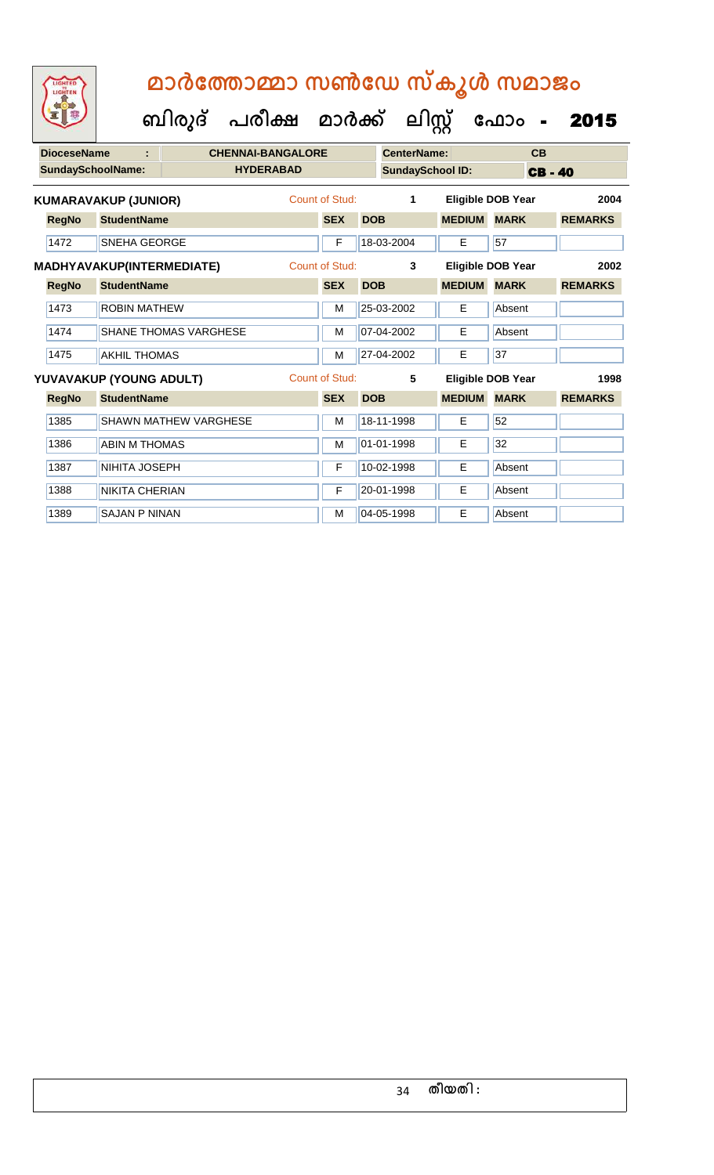**ബിരുദ് പരീക്ഷ മാര്ക് ക ലിസ്റ്റ ക ഫ ാോം** - 2015

| <b>DioceseName</b><br>t   |                                               |                         | <b>CHENNAI-BANGALORE</b>     |                  |                | CenterName: |            | CB                      |                          |                |
|---------------------------|-----------------------------------------------|-------------------------|------------------------------|------------------|----------------|-------------|------------|-------------------------|--------------------------|----------------|
|                           | <b>SundaySchoolName:</b>                      |                         |                              | <b>HYDERABAD</b> |                |             |            | <b>SundaySchool ID:</b> | <b>CB-40</b>             |                |
|                           | Count of Stud:<br><b>KUMARAVAKUP (JUNIOR)</b> |                         |                              |                  |                |             | 1          |                         | <b>Eligible DOB Year</b> | 2004           |
|                           | <b>RegNo</b>                                  | <b>StudentName</b>      |                              |                  | <b>SEX</b>     | <b>DOB</b>  |            | <b>MEDIUM</b>           | <b>MARK</b>              | <b>REMARKS</b> |
|                           | 1472                                          | <b>SNEHA GEORGE</b>     |                              |                  | F              |             | 18-03-2004 | E                       | 57                       |                |
| MADHYAVAKUP(INTERMEDIATE) |                                               |                         |                              | Count of Stud:   |                | 3           |            | Eligible DOB Year       | 2002                     |                |
|                           | <b>RegNo</b>                                  | <b>StudentName</b>      |                              |                  | <b>SEX</b>     | <b>DOB</b>  |            | <b>MEDIUM</b>           | <b>MARK</b>              | <b>REMARKS</b> |
|                           | 1473                                          | <b>ROBIN MATHEW</b>     |                              |                  | M              |             | 25-03-2002 | E                       | Absent                   |                |
|                           | 1474                                          |                         | <b>SHANE THOMAS VARGHESE</b> |                  | M              |             | 07-04-2002 | E                       | Absent                   |                |
|                           | 1475                                          | <b>AKHIL THOMAS</b>     |                              |                  | M              |             | 27-04-2002 | E                       | 37                       |                |
|                           |                                               | YUVAVAKUP (YOUNG ADULT) |                              |                  | Count of Stud: |             | 5          |                         | <b>Eligible DOB Year</b> | 1998           |
|                           | <b>RegNo</b>                                  | <b>StudentName</b>      |                              |                  | <b>SEX</b>     | <b>DOB</b>  |            | <b>MEDIUM</b>           | <b>MARK</b>              | <b>REMARKS</b> |
|                           | 1385                                          |                         | <b>SHAWN MATHEW VARGHESE</b> |                  | M              |             | 18-11-1998 | E                       | 52                       |                |
|                           | 1386                                          | <b>ABIN M THOMAS</b>    |                              |                  | M              |             | 01-01-1998 | Е                       | 32                       |                |
|                           | 1387                                          | NIHITA JOSEPH           |                              |                  | F              |             | 10-02-1998 | E                       | Absent                   |                |
|                           | 1388                                          | <b>NIKITA CHERIAN</b>   |                              |                  | F              |             | 20-01-1998 | E                       | Absent                   |                |

1389 SAJAN P NINAN M CONTROLLER M 04-05-1998 E Absent